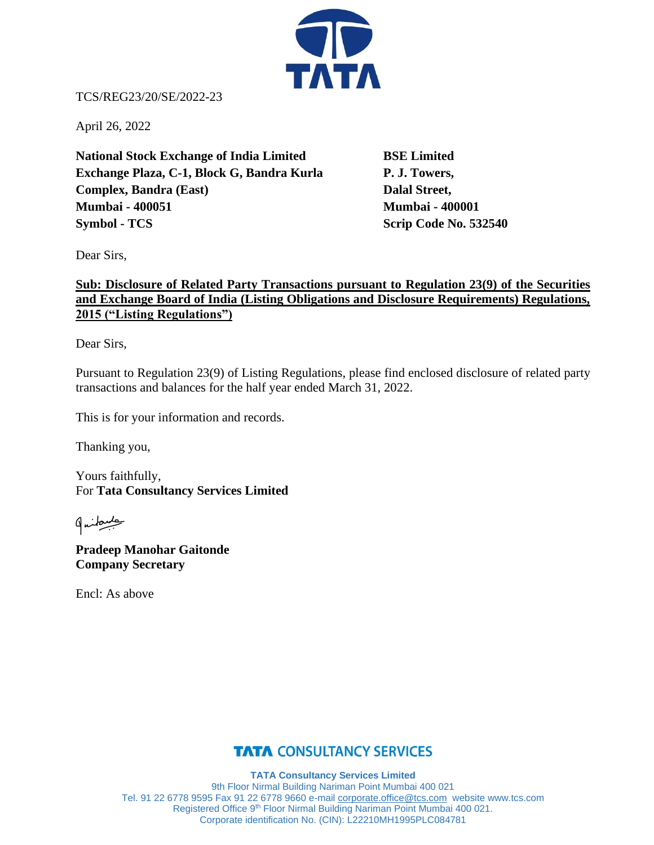

TCS/REG23/20/SE/2022-23

April 26, 2022

**National Stock Exchange of India Limited BSE Limited Exchange Plaza, C-1, Block G, Bandra Kurla P. J. Towers, Complex, Bandra (East)** Dalal Street, **Mumbai - 400051 Mumbai - 400001 Symbol - TCS** Scrip Code No. 532540

Dear Sirs,

## **Sub: Disclosure of Related Party Transactions pursuant to Regulation 23(9) of the Securities and Exchange Board of India (Listing Obligations and Disclosure Requirements) Regulations, 2015 ("Listing Regulations")**

Dear Sirs,

Pursuant to Regulation 23(9) of Listing Regulations, please find enclosed disclosure of related party transactions and balances for the half year ended March 31, 2022.

This is for your information and records.

Thanking you,

Yours faithfully, For **Tata Consultancy Services Limited**

طبيعكنها

**Pradeep Manohar Gaitonde Company Secretary**

Encl: As above

## **TATA CONSULTANCY SERVICES**

**TATA Consultancy Services Limited** 9th Floor Nirmal Building Nariman Point Mumbai 400 021 Tel. 91 22 6778 9595 Fax 91 22 6778 9660 e-mail [corporate.office@tcs.com](mailto:corporate.office@tcs.com) website www.tcs.com Registered Office 9<sup>th</sup> Floor Nirmal Building Nariman Point Mumbai 400 021. Corporate identification No. (CIN): L22210MH1995PLC084781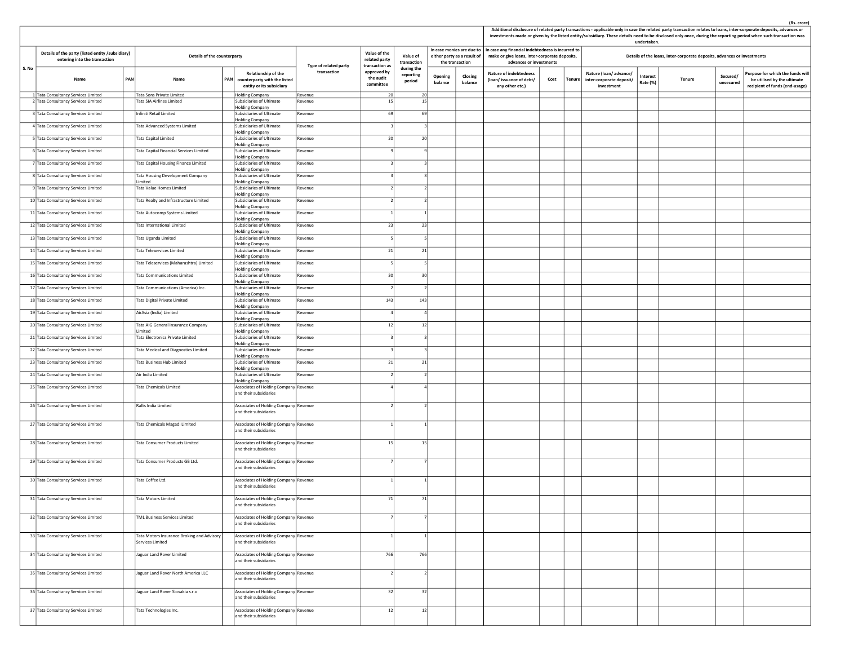| (Rs. crore) |  |
|-------------|--|
|             |  |

| Additional disclosure of related party transactions - applicable only in case the related party transaction relates to loans, inter-corporate deposits, advances or |
|---------------------------------------------------------------------------------------------------------------------------------------------------------------------|
| investments made or given by the listed entity/subsidiary. These details need to be disclosed only once, during the reporting period when such transaction was      |

|       |                                                                                                                  |     |                                                                |     |                                                                                        |                                      |                                                 |                                   |                |                                                                             |                    |                                                                                                                               |      |               |                                                                 | undertaken.                 | investments made or given by the listed entity/subsidiary. These details need to be disclosed only once, during the reporting period when such transaction was |                                                                                                   |
|-------|------------------------------------------------------------------------------------------------------------------|-----|----------------------------------------------------------------|-----|----------------------------------------------------------------------------------------|--------------------------------------|-------------------------------------------------|-----------------------------------|----------------|-----------------------------------------------------------------------------|--------------------|-------------------------------------------------------------------------------------------------------------------------------|------|---------------|-----------------------------------------------------------------|-----------------------------|----------------------------------------------------------------------------------------------------------------------------------------------------------------|---------------------------------------------------------------------------------------------------|
|       | Details of the party (listed entity /subsidiary)<br>Details of the counterparty<br>entering into the transaction |     |                                                                |     |                                                                                        |                                      | Value of the<br>related party<br>transaction as | Value of<br>transaction           |                | In case monies are due to<br>either party as a result of<br>the transaction |                    | In case any financial indebtedness is incurred to<br>make or give loans, inter-corporate deposits,<br>advances or investments |      |               |                                                                 |                             | Details of the loans, inter-corporate deposits, advances or investments                                                                                        |                                                                                                   |
| S. No | Name                                                                                                             | PAN | Name                                                           | PAN | <b>Relationship of the</b><br>counterparty with the listed<br>entity or its subsidiary | Type of related party<br>transaction | approved by<br>the audit<br>committee           | during the<br>reporting<br>period |                | Opening<br>balance                                                          | Closing<br>balance | <b>Nature of indebtedness</b><br>(loan/issuance of debt/<br>any other etc.)                                                   | Cost | <b>Tenure</b> | Nature (loan/advance/<br>inter-corporate deposit/<br>investment | <b>Interest</b><br>Rate (%) | Secured/<br><b>Tenure</b><br>unsecured                                                                                                                         | Purpose for which the funds will<br>be utilised by the ultimate<br>recipient of funds (end-usage) |
|       | 1 Tata Consultancy Services Limited<br>2 Tata Consultancy Services Limited                                       |     | <b>Tata Sons Private Limited</b><br>Tata SIA Airlines Limited  |     | <b>Holding Company</b><br>Subsidiaries of Ultimate<br><b>Holding Company</b>           | Revenue<br>Revenue                   | 20<br>15                                        |                                   | 20<br>15       |                                                                             |                    |                                                                                                                               |      |               |                                                                 |                             |                                                                                                                                                                |                                                                                                   |
|       | 3 Tata Consultancy Services Limited                                                                              |     | Infiniti Retail Limited                                        |     | Subsidiaries of Ultimate                                                               | Revenue                              | 69                                              |                                   | 69             |                                                                             |                    |                                                                                                                               |      |               |                                                                 |                             |                                                                                                                                                                |                                                                                                   |
|       | 4 Tata Consultancy Services Limited                                                                              |     | Tata Advanced Systems Limited                                  |     | <b>Holding Company</b><br>Subsidiaries of Ultimate                                     | Revenue                              |                                                 |                                   |                |                                                                             |                    |                                                                                                                               |      |               |                                                                 |                             |                                                                                                                                                                |                                                                                                   |
|       | 5 Tata Consultancy Services Limited                                                                              |     | <b>Tata Capital Limited</b>                                    |     | <b>Holding Company</b><br>Subsidiaries of Ultimate                                     | Revenue                              | 20                                              |                                   | 20             |                                                                             |                    |                                                                                                                               |      |               |                                                                 |                             |                                                                                                                                                                |                                                                                                   |
|       | 6 Tata Consultancy Services Limited                                                                              |     | Tata Capital Financial Services Limited                        |     | <b>Holding Company</b><br>Subsidiaries of Ultimate                                     | Revenue                              |                                                 |                                   |                |                                                                             |                    |                                                                                                                               |      |               |                                                                 |                             |                                                                                                                                                                |                                                                                                   |
|       | Tata Consultancy Services Limited                                                                                |     | Tata Capital Housing Finance Limited                           |     | <b>Holding Company</b><br>Subsidiaries of Ultimate                                     | Revenue                              |                                                 |                                   |                |                                                                             |                    |                                                                                                                               |      |               |                                                                 |                             |                                                                                                                                                                |                                                                                                   |
|       | 8 Tata Consultancy Services Limited                                                                              |     | Tata Housing Development Company                               |     | <b>Holding Company</b><br>Subsidiaries of Ultimate                                     | Revenue                              |                                                 |                                   |                |                                                                             |                    |                                                                                                                               |      |               |                                                                 |                             |                                                                                                                                                                |                                                                                                   |
|       |                                                                                                                  |     | imited                                                         |     | <b>Holding Company</b>                                                                 |                                      |                                                 |                                   |                |                                                                             |                    |                                                                                                                               |      |               |                                                                 |                             |                                                                                                                                                                |                                                                                                   |
|       | 9 Tata Consultancy Services Limited                                                                              |     | Tata Value Homes Limited                                       |     | Subsidiaries of Ultimate<br>Holding Company                                            | Revenue                              |                                                 |                                   |                |                                                                             |                    |                                                                                                                               |      |               |                                                                 |                             |                                                                                                                                                                |                                                                                                   |
|       | 10 Tata Consultancy Services Limited                                                                             |     | Tata Realty and Infrastructure Limited                         |     | Subsidiaries of Ultimate<br><b>Holding Company</b>                                     | Revenue                              |                                                 |                                   |                |                                                                             |                    |                                                                                                                               |      |               |                                                                 |                             |                                                                                                                                                                |                                                                                                   |
|       | 11 Tata Consultancy Services Limited                                                                             |     | Tata Autocomp Systems Limited                                  |     | Subsidiaries of Ultimate<br><b>Holding Company</b>                                     | Revenue                              |                                                 |                                   |                |                                                                             |                    |                                                                                                                               |      |               |                                                                 |                             |                                                                                                                                                                |                                                                                                   |
|       | 12 Tata Consultancy Services Limited                                                                             |     | Tata International Limited                                     |     | Subsidiaries of Ultimate<br><b>Holding Company</b>                                     | Revenue                              | 23                                              |                                   | 23             |                                                                             |                    |                                                                                                                               |      |               |                                                                 |                             |                                                                                                                                                                |                                                                                                   |
|       | 13 Tata Consultancy Services Limited                                                                             |     | Tata Uganda Limited                                            |     | Subsidiaries of Ultimate<br><b>Holding Company</b>                                     | Revenue                              | -5                                              |                                   |                |                                                                             |                    |                                                                                                                               |      |               |                                                                 |                             |                                                                                                                                                                |                                                                                                   |
|       | 14 Tata Consultancy Services Limited                                                                             |     | <b>Tata Teleservices Limited</b>                               |     | Subsidiaries of Ultimate                                                               | Revenue                              | 21                                              |                                   | 21             |                                                                             |                    |                                                                                                                               |      |               |                                                                 |                             |                                                                                                                                                                |                                                                                                   |
|       | 15 Tata Consultancy Services Limited                                                                             |     | Tata Teleservices (Maharashtra) Limited                        |     | <b>Holding Company</b><br>Subsidiaries of Ultimate                                     | Revenue                              |                                                 |                                   | -5             |                                                                             |                    |                                                                                                                               |      |               |                                                                 |                             |                                                                                                                                                                |                                                                                                   |
|       | 16 Tata Consultancy Services Limited                                                                             |     | <b>Tata Communications Limited</b>                             |     | <b>Holding Company</b><br>Subsidiaries of Ultimate                                     | Revenue                              | 30                                              |                                   | 30             |                                                                             |                    |                                                                                                                               |      |               |                                                                 |                             |                                                                                                                                                                |                                                                                                   |
|       | 17 Tata Consultancy Services Limited                                                                             |     | Tata Communications (America) Inc.                             |     | <b>Holding Company</b><br>Subsidiaries of Ultimate                                     | Revenue                              | $\overline{2}$                                  |                                   |                |                                                                             |                    |                                                                                                                               |      |               |                                                                 |                             |                                                                                                                                                                |                                                                                                   |
|       | 18 Tata Consultancy Services Limited                                                                             |     | <b>Tata Digital Private Limited</b>                            |     | Holding Company<br>Subsidiaries of Ultimate                                            | Revenue                              | 143                                             |                                   | 143            |                                                                             |                    |                                                                                                                               |      |               |                                                                 |                             |                                                                                                                                                                |                                                                                                   |
|       | 19 Tata Consultancy Services Limited                                                                             |     | AirAsia (India) Limited                                        |     | <b>Holding Company</b><br>Subsidiaries of Ultimate                                     | Revenue                              |                                                 |                                   | $\overline{A}$ |                                                                             |                    |                                                                                                                               |      |               |                                                                 |                             |                                                                                                                                                                |                                                                                                   |
|       | 20 Tata Consultancy Services Limited                                                                             |     |                                                                |     | <b>Holding Company</b>                                                                 |                                      | 12                                              |                                   | 12             |                                                                             |                    |                                                                                                                               |      |               |                                                                 |                             |                                                                                                                                                                |                                                                                                   |
|       |                                                                                                                  |     | Tata AIG General Insurance Company<br>Limited                  |     | Subsidiaries of Ultimate<br><b>Holding Company</b>                                     | Revenue                              |                                                 |                                   |                |                                                                             |                    |                                                                                                                               |      |               |                                                                 |                             |                                                                                                                                                                |                                                                                                   |
|       | 21 Tata Consultancy Services Limited                                                                             |     | Tata Electronics Private Limited                               |     | Subsidiaries of Ultimate<br><b>Holding Company</b>                                     | Revenue                              |                                                 |                                   |                |                                                                             |                    |                                                                                                                               |      |               |                                                                 |                             |                                                                                                                                                                |                                                                                                   |
|       | 22 Tata Consultancy Services Limited                                                                             |     | Tata Medical and Diagnostics Limited                           |     | Subsidiaries of Ultimate<br><b>Holding Company</b>                                     | Revenue                              |                                                 |                                   |                |                                                                             |                    |                                                                                                                               |      |               |                                                                 |                             |                                                                                                                                                                |                                                                                                   |
|       | 23 Tata Consultancy Services Limited                                                                             |     | Tata Business Hub Limited                                      |     | Subsidiaries of Ultimate<br><b>Holding Company</b>                                     | Revenue                              | 21                                              |                                   | 21             |                                                                             |                    |                                                                                                                               |      |               |                                                                 |                             |                                                                                                                                                                |                                                                                                   |
|       | 24 Tata Consultancy Services Limited                                                                             |     | Air India Limited                                              |     | Subsidiaries of Ultimate<br><b>Holding Company</b>                                     | Revenue                              | $\vert$ 2                                       |                                   | $\sqrt{2}$     |                                                                             |                    |                                                                                                                               |      |               |                                                                 |                             |                                                                                                                                                                |                                                                                                   |
|       | 25 Tata Consultancy Services Limited                                                                             |     | <b>Tata Chemicals Limited</b>                                  |     | Associates of Holding Company Revenue<br>and their subsidiaries                        |                                      |                                                 |                                   |                |                                                                             |                    |                                                                                                                               |      |               |                                                                 |                             |                                                                                                                                                                |                                                                                                   |
|       | 26 Tata Consultancy Services Limited                                                                             |     | Rallis India Limited                                           |     | Associates of Holding Company Revenue<br>and their subsidiaries                        |                                      |                                                 |                                   |                |                                                                             |                    |                                                                                                                               |      |               |                                                                 |                             |                                                                                                                                                                |                                                                                                   |
|       | 27 Tata Consultancy Services Limited                                                                             |     | Tata Chemicals Magadi Limited                                  |     | Associates of Holding Company Revenue<br>and their subsidiaries                        |                                      |                                                 |                                   | $\overline{1}$ |                                                                             |                    |                                                                                                                               |      |               |                                                                 |                             |                                                                                                                                                                |                                                                                                   |
|       | 28 Tata Consultancy Services Limited                                                                             |     | Tata Consumer Products Limited                                 |     | Associates of Holding Company Revenue<br>and their subsidiaries                        |                                      | 15                                              |                                   | 15             |                                                                             |                    |                                                                                                                               |      |               |                                                                 |                             |                                                                                                                                                                |                                                                                                   |
|       | 29 Tata Consultancy Services Limited                                                                             |     | Tata Consumer Products GB Ltd.                                 |     | Associates of Holding Company Revenue<br>and their subsidiaries                        |                                      |                                                 |                                   |                |                                                                             |                    |                                                                                                                               |      |               |                                                                 |                             |                                                                                                                                                                |                                                                                                   |
|       | 30 Tata Consultancy Services Limited                                                                             |     | Tata Coffee Ltd.                                               |     | Associates of Holding Company Revenue<br>and their subsidiaries                        |                                      |                                                 |                                   |                |                                                                             |                    |                                                                                                                               |      |               |                                                                 |                             |                                                                                                                                                                |                                                                                                   |
|       | 31 Tata Consultancy Services Limited                                                                             |     | Tata Motors Limited                                            |     | Associates of Holding Company Revenue<br>and their subsidiaries                        |                                      | 71                                              |                                   | 71             |                                                                             |                    |                                                                                                                               |      |               |                                                                 |                             |                                                                                                                                                                |                                                                                                   |
|       | 32 Tata Consultancy Services Limited                                                                             |     | TML Business Services Limited                                  |     | Associates of Holding Company Revenue<br>and their subsidiaries                        |                                      |                                                 |                                   |                |                                                                             |                    |                                                                                                                               |      |               |                                                                 |                             |                                                                                                                                                                |                                                                                                   |
|       | 33 Tata Consultancy Services Limited                                                                             |     | Tata Motors Insurance Broking and Advisory<br>Services Limited |     | Associates of Holding Company Revenue<br>and their subsidiaries                        |                                      |                                                 |                                   |                |                                                                             |                    |                                                                                                                               |      |               |                                                                 |                             |                                                                                                                                                                |                                                                                                   |
|       | 34 Tata Consultancy Services Limited                                                                             |     | Jaguar Land Rover Limited                                      |     | Associates of Holding Company Revenue<br>and their subsidiaries                        |                                      | 766                                             |                                   | 766            |                                                                             |                    |                                                                                                                               |      |               |                                                                 |                             |                                                                                                                                                                |                                                                                                   |
|       | 35 Tata Consultancy Services Limited                                                                             |     | Jaguar Land Rover North America LLC                            |     | Associates of Holding Company Revenue<br>and their subsidiaries                        |                                      |                                                 |                                   |                |                                                                             |                    |                                                                                                                               |      |               |                                                                 |                             |                                                                                                                                                                |                                                                                                   |
|       | 36 Tata Consultancy Services Limited                                                                             |     | Jaguar Land Rover Slovakia s.r.o                               |     | Associates of Holding Company Revenue<br>and their subsidiaries                        |                                      | 32                                              |                                   | 32             |                                                                             |                    |                                                                                                                               |      |               |                                                                 |                             |                                                                                                                                                                |                                                                                                   |
|       | 37 Tata Consultancy Services Limited                                                                             |     | Tata Technologies Inc.                                         |     | Associates of Holding Company Revenue<br>and their subsidiaries                        |                                      | 12                                              |                                   | 12             |                                                                             |                    |                                                                                                                               |      |               |                                                                 |                             |                                                                                                                                                                |                                                                                                   |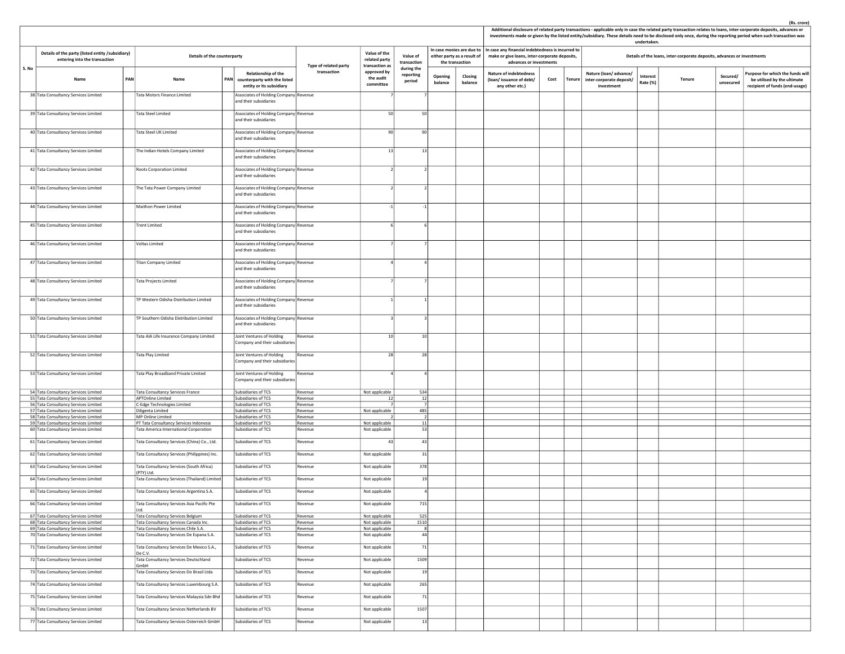|       |                                                                                   |     |                                                                                               |                                                                                     |                       |                                                         |                                   |                                                |                    |                                                                                                                                                                 |      |        |                                                                 | undertaken.          |                                                                         |                       | Additional disclosure of related party transactions - applicable only in case the related party transaction relates to loans, inter-corporate deposits, advances or<br>investments made or given by the listed entity/subsidiary. These details need to be disclosed only once, during the reporting period when such transaction was |
|-------|-----------------------------------------------------------------------------------|-----|-----------------------------------------------------------------------------------------------|-------------------------------------------------------------------------------------|-----------------------|---------------------------------------------------------|-----------------------------------|------------------------------------------------|--------------------|-----------------------------------------------------------------------------------------------------------------------------------------------------------------|------|--------|-----------------------------------------------------------------|----------------------|-------------------------------------------------------------------------|-----------------------|---------------------------------------------------------------------------------------------------------------------------------------------------------------------------------------------------------------------------------------------------------------------------------------------------------------------------------------|
|       | Details of the party (listed entity /subsidiary)<br>entering into the transaction |     | Details of the counterparty                                                                   |                                                                                     | Type of related party | Value of the<br>related party                           | Value of<br>transaction           | either party as a result of<br>the transaction |                    | In case monies are due to $\vert$ In case any financial indebtedness is incurred to<br>make or give loans, inter-corporate deposits,<br>advances or investments |      |        |                                                                 |                      | Details of the loans, inter-corporate deposits, advances or investments |                       |                                                                                                                                                                                                                                                                                                                                       |
| S. No | Name                                                                              | PAN | Name                                                                                          | Relationship of the<br>PAN counterparty with the listed<br>entity or its subsidiary | transaction           | transaction as<br>approved by<br>the audit<br>committee | during the<br>reporting<br>period | Opening<br>balance                             | Closing<br>balance | <b>Nature of indebtedness</b><br>(loan/issuance of debt/<br>any other etc.)                                                                                     | Cost | Tenure | Nature (loan/advance/<br>inter-corporate deposit/<br>investment | Interest<br>Rate (%) | Tenure                                                                  | Secured/<br>unsecured | Purpose for which the funds will<br>be utilised by the ultimate<br>recipient of funds (end-usage)                                                                                                                                                                                                                                     |
|       | 38 Tata Consultancy Services Limited                                              |     | Tata Motors Finance Limited                                                                   | Associates of Holding Company Revenue<br>and their subsidiaries                     |                       |                                                         |                                   |                                                |                    |                                                                                                                                                                 |      |        |                                                                 |                      |                                                                         |                       |                                                                                                                                                                                                                                                                                                                                       |
|       | 39 Tata Consultancy Services Limited                                              |     | Tata Steel Limited                                                                            | Associates of Holding Company Revenue<br>and their subsidiaries                     |                       | 50                                                      | 50                                |                                                |                    |                                                                                                                                                                 |      |        |                                                                 |                      |                                                                         |                       |                                                                                                                                                                                                                                                                                                                                       |
|       | 40 Tata Consultancy Services Limited                                              |     | Tata Steel UK Limited                                                                         | Associates of Holding Company Revenue<br>and their subsidiaries                     |                       | 90                                                      | 90                                |                                                |                    |                                                                                                                                                                 |      |        |                                                                 |                      |                                                                         |                       |                                                                                                                                                                                                                                                                                                                                       |
|       | 41 Tata Consultancy Services Limited                                              |     | The Indian Hotels Company Limited                                                             | Associates of Holding Company Revenue<br>and their subsidiaries                     |                       | 13                                                      | 13                                |                                                |                    |                                                                                                                                                                 |      |        |                                                                 |                      |                                                                         |                       |                                                                                                                                                                                                                                                                                                                                       |
|       | 42 Tata Consultancy Services Limited                                              |     | Roots Corporation Limited                                                                     | Associates of Holding Company Revenue<br>and their subsidiaries                     |                       | 21                                                      |                                   |                                                |                    |                                                                                                                                                                 |      |        |                                                                 |                      |                                                                         |                       |                                                                                                                                                                                                                                                                                                                                       |
|       | 43 Tata Consultancy Services Limited                                              |     | The Tata Power Company Limited                                                                | Associates of Holding Company Revenue<br>and their subsidiaries                     |                       |                                                         |                                   |                                                |                    |                                                                                                                                                                 |      |        |                                                                 |                      |                                                                         |                       |                                                                                                                                                                                                                                                                                                                                       |
|       | 44 Tata Consultancy Services Limited                                              |     | Maithon Power Limited                                                                         | Associates of Holding Company Revenue<br>and their subsidiaries                     |                       | $-1$                                                    | $-1$                              |                                                |                    |                                                                                                                                                                 |      |        |                                                                 |                      |                                                                         |                       |                                                                                                                                                                                                                                                                                                                                       |
|       | 45 Tata Consultancy Services Limited                                              |     | <b>Trent Limited</b>                                                                          | Associates of Holding Company Revenue<br>and their subsidiaries                     |                       |                                                         |                                   |                                                |                    |                                                                                                                                                                 |      |        |                                                                 |                      |                                                                         |                       |                                                                                                                                                                                                                                                                                                                                       |
|       | 46 Tata Consultancy Services Limited                                              |     | <b>Voltas Limited</b>                                                                         | Associates of Holding Company Revenue<br>and their subsidiaries                     |                       |                                                         |                                   |                                                |                    |                                                                                                                                                                 |      |        |                                                                 |                      |                                                                         |                       |                                                                                                                                                                                                                                                                                                                                       |
|       | 47 Tata Consultancy Services Limited                                              |     | <b>Titan Company Limited</b>                                                                  | Associates of Holding Company Revenue<br>and their subsidiaries                     |                       |                                                         |                                   |                                                |                    |                                                                                                                                                                 |      |        |                                                                 |                      |                                                                         |                       |                                                                                                                                                                                                                                                                                                                                       |
|       | 48 Tata Consultancy Services Limited                                              |     | Tata Projects Limited                                                                         | Associates of Holding Company Revenue<br>and their subsidiaries                     |                       |                                                         |                                   |                                                |                    |                                                                                                                                                                 |      |        |                                                                 |                      |                                                                         |                       |                                                                                                                                                                                                                                                                                                                                       |
|       | 49 Tata Consultancy Services Limited                                              |     | TP Western Odisha Distribution Limited                                                        | Associates of Holding Company Revenue<br>and their subsidiaries                     |                       |                                                         |                                   |                                                |                    |                                                                                                                                                                 |      |        |                                                                 |                      |                                                                         |                       |                                                                                                                                                                                                                                                                                                                                       |
|       | 50 Tata Consultancy Services Limited                                              |     | TP Southern Odisha Distribution Limited                                                       | Associates of Holding Company   Revenue<br>and their subsidiaries                   |                       |                                                         |                                   |                                                |                    |                                                                                                                                                                 |      |        |                                                                 |                      |                                                                         |                       |                                                                                                                                                                                                                                                                                                                                       |
|       | 51 Tata Consultancy Services Limited                                              |     | Tata AIA Life Insurance Company Limited                                                       | Joint Ventures of Holding<br>Company and their subsidiaries                         | Revenue               | 10 <sup>1</sup>                                         | 10                                |                                                |                    |                                                                                                                                                                 |      |        |                                                                 |                      |                                                                         |                       |                                                                                                                                                                                                                                                                                                                                       |
|       | 52 Tata Consultancy Services Limited                                              |     | Tata Play Limited                                                                             | Joint Ventures of Holding<br>Company and their subsidiaries                         | Revenue               | 28                                                      | 28                                |                                                |                    |                                                                                                                                                                 |      |        |                                                                 |                      |                                                                         |                       |                                                                                                                                                                                                                                                                                                                                       |
|       | 53 Tata Consultancy Services Limited                                              |     | Tata Play Broadband Private Limited                                                           | Joint Ventures of Holding<br>Company and their subsidiaries                         | Revenue               |                                                         |                                   |                                                |                    |                                                                                                                                                                 |      |        |                                                                 |                      |                                                                         |                       |                                                                                                                                                                                                                                                                                                                                       |
|       | 54 Tata Consultancy Services Limited                                              |     | Tata Consultancy Services France                                                              | Subsidiaries of TCS                                                                 | Revenue               | Not applicable                                          | 534                               |                                                |                    |                                                                                                                                                                 |      |        |                                                                 |                      |                                                                         |                       |                                                                                                                                                                                                                                                                                                                                       |
|       | 55 Tata Consultancy Services Limited<br>56 Tata Consultancy Services Limited      |     | <b>APTOnline Limited</b><br>C-Edge Technologies Limited                                       | Subsidiaries of TCS<br>Subsidiaries of TCS                                          | Revenue<br>Revenue    | 12                                                      | 12<br>7                           |                                                |                    |                                                                                                                                                                 |      |        |                                                                 |                      |                                                                         |                       |                                                                                                                                                                                                                                                                                                                                       |
|       | 57 Tata Consultancy Services Limited                                              |     | Diligenta Limited                                                                             | Subsidiaries of TCS                                                                 | Revenue               | Not applicable                                          | 485                               |                                                |                    |                                                                                                                                                                 |      |        |                                                                 |                      |                                                                         |                       |                                                                                                                                                                                                                                                                                                                                       |
|       | 58 Tata Consultancy Services Limited                                              |     | <b>MP Online Limited</b>                                                                      | Subsidiaries of TCS                                                                 | Revenue               |                                                         | 2                                 |                                                |                    |                                                                                                                                                                 |      |        |                                                                 |                      |                                                                         |                       |                                                                                                                                                                                                                                                                                                                                       |
|       | 59 Tata Consultancy Services Limited<br>60 Tata Consultancy Services Limited      |     | PT Tata Consultancy Services Indonesia<br>Tata America International Corporation              | Subsidiaries of TCS<br>Subsidiaries of TCS                                          | Revenue<br>Revenue    | Not applicable<br>Not applicable                        | 11<br>53                          |                                                |                    |                                                                                                                                                                 |      |        |                                                                 |                      |                                                                         |                       |                                                                                                                                                                                                                                                                                                                                       |
|       | 61 Tata Consultancy Services Limited                                              |     | Tata Consultancy Services (China) Co., Ltd.                                                   | Subsidiaries of TCS                                                                 | Revenue               | 43                                                      | 43                                |                                                |                    |                                                                                                                                                                 |      |        |                                                                 |                      |                                                                         |                       |                                                                                                                                                                                                                                                                                                                                       |
|       | 62 Tata Consultancy Services Limited                                              |     | Tata Consultancy Services (Philippines) Inc.                                                  | Subsidiaries of TCS                                                                 | Revenue               | Not applicable                                          | 31                                |                                                |                    |                                                                                                                                                                 |      |        |                                                                 |                      |                                                                         |                       |                                                                                                                                                                                                                                                                                                                                       |
|       | 63 Tata Consultancy Services Limited                                              |     | Tata Consultancy Services (South Africa)<br>PTY) Ltd.                                         | Subsidiaries of TCS                                                                 | Revenue               | Not applicable                                          | 378                               |                                                |                    |                                                                                                                                                                 |      |        |                                                                 |                      |                                                                         |                       |                                                                                                                                                                                                                                                                                                                                       |
|       | 64 Tata Consultancy Services Limited<br>65 Tata Consultancy Services Limited      |     | Tata Consultancy Services (Thailand) Limited<br>Tata Consultancy Services Argentina S.A.      | Subsidiaries of TCS<br>Subsidiaries of TCS                                          | Revenue<br>Revenue    | Not applicable<br>Not applicable                        | 19<br>$\overline{a}$              |                                                |                    |                                                                                                                                                                 |      |        |                                                                 |                      |                                                                         |                       |                                                                                                                                                                                                                                                                                                                                       |
|       | 66 Tata Consultancy Services Limited                                              |     | Tata Consultancy Services Asia Pacific Pte                                                    | Subsidiaries of TCS                                                                 |                       | Not applicabl                                           | 715                               |                                                |                    |                                                                                                                                                                 |      |        |                                                                 |                      |                                                                         |                       |                                                                                                                                                                                                                                                                                                                                       |
|       |                                                                                   |     | I td                                                                                          |                                                                                     |                       |                                                         |                                   |                                                |                    |                                                                                                                                                                 |      |        |                                                                 |                      |                                                                         |                       |                                                                                                                                                                                                                                                                                                                                       |
|       | 67 Tata Consultancy Services Limited<br>68 Tata Consultancy Services Limited      |     | Tata Consultancy Services Belgium<br>Tata Consultancy Services Canada Inc.                    | Subsidiaries of TCS<br>Subsidiaries of TCS                                          | Revenue<br>Revenue    | Not applicable<br>Not applicable                        | 525<br>1510                       |                                                |                    |                                                                                                                                                                 |      |        |                                                                 |                      |                                                                         |                       |                                                                                                                                                                                                                                                                                                                                       |
|       | 69 Tata Consultancy Services Limited                                              |     | Tata Consultancy Services Chile S.A.                                                          | Subsidiaries of TCS                                                                 | Revenue               | Not applicable                                          | 8                                 |                                                |                    |                                                                                                                                                                 |      |        |                                                                 |                      |                                                                         |                       |                                                                                                                                                                                                                                                                                                                                       |
|       | 70 Tata Consultancy Services Limited                                              |     | Tata Consultancy Services De Espana S.A.                                                      | Subsidiaries of TCS                                                                 | Revenue               | Not applicable                                          | 44                                |                                                |                    |                                                                                                                                                                 |      |        |                                                                 |                      |                                                                         |                       |                                                                                                                                                                                                                                                                                                                                       |
|       | 71 Tata Consultancy Services Limited<br>72 Tata Consultancy Services Limited      |     | Tata Consultancy Services De Mexico S.A.,<br>De C.V.<br>Tata Consultancy Services Deutschland | Subsidiaries of TCS<br>Subsidiaries of TCS                                          | Revenue<br>Revenue    | Not applicable<br>Not applicable                        | 71<br>1509                        |                                                |                    |                                                                                                                                                                 |      |        |                                                                 |                      |                                                                         |                       |                                                                                                                                                                                                                                                                                                                                       |
|       | 73 Tata Consultancy Services Limited                                              |     | GmbH<br>Tata Consultancy Services Do Brasil Ltda                                              | Subsidiaries of TCS                                                                 | Revenue               | Not applicable                                          | 19                                |                                                |                    |                                                                                                                                                                 |      |        |                                                                 |                      |                                                                         |                       |                                                                                                                                                                                                                                                                                                                                       |
|       | 74 Tata Consultancy Services Limited                                              |     | Tata Consultancy Services Luxembourg S.A.                                                     | Subsidiaries of TCS                                                                 | Revenue               | Not applicable                                          | 265                               |                                                |                    |                                                                                                                                                                 |      |        |                                                                 |                      |                                                                         |                       |                                                                                                                                                                                                                                                                                                                                       |
|       | 75 Tata Consultancy Services Limited                                              |     | Tata Consultancy Services Malaysia Sdn Bhd                                                    | Subsidiaries of TCS                                                                 | Revenue               | Not applicable                                          | 71                                |                                                |                    |                                                                                                                                                                 |      |        |                                                                 |                      |                                                                         |                       |                                                                                                                                                                                                                                                                                                                                       |
|       | 76 Tata Consultancy Services Limited                                              |     | Tata Consultancy Services Netherlands BV                                                      | Subsidiaries of TCS                                                                 | Revenue               | Not applicable                                          | 1507                              |                                                |                    |                                                                                                                                                                 |      |        |                                                                 |                      |                                                                         |                       |                                                                                                                                                                                                                                                                                                                                       |
|       | 77 Tata Consultancy Services Limited                                              |     | Tata Consultancy Services Osterreich GmbH                                                     | Subsidiaries of TCS                                                                 | Revenue               | Not applicable                                          | 13                                |                                                |                    |                                                                                                                                                                 |      |        |                                                                 |                      |                                                                         |                       |                                                                                                                                                                                                                                                                                                                                       |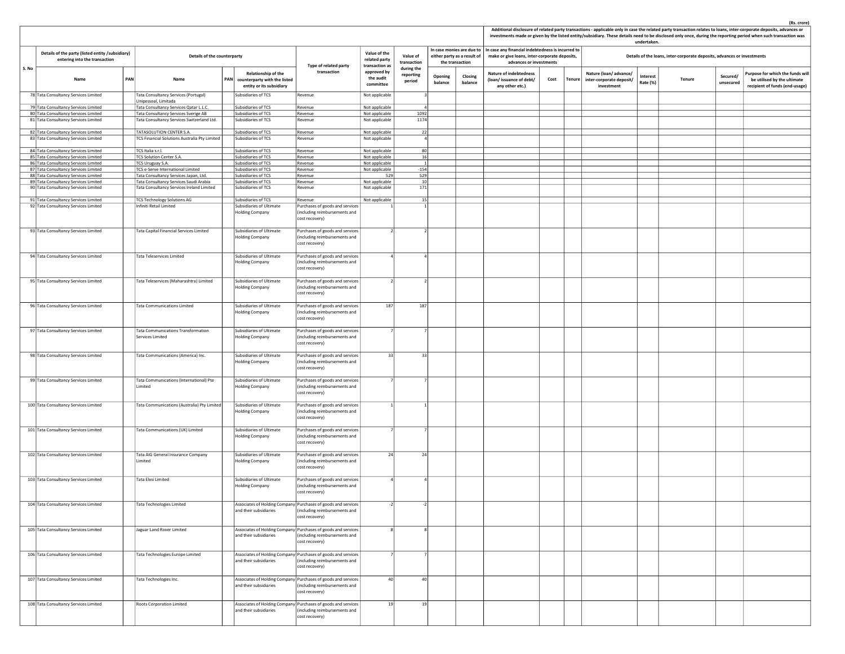|       |                                                                                   |                                                                                     |            |                                                                                 |                                                                                                                  |                                                 |                                   |                    |                                                                             |                    |                                                                                                                               |      |        |                                                                 | undertaken.          |                                                                         |                       | Additional disclosure of related party transactions - applicable only in case the related party transaction relates to loans, inter-corporate deposits, advances or<br>investments made or given by the listed entity/subsidiary. These details need to be disclosed only once, during the reporting period when such transaction was |
|-------|-----------------------------------------------------------------------------------|-------------------------------------------------------------------------------------|------------|---------------------------------------------------------------------------------|------------------------------------------------------------------------------------------------------------------|-------------------------------------------------|-----------------------------------|--------------------|-----------------------------------------------------------------------------|--------------------|-------------------------------------------------------------------------------------------------------------------------------|------|--------|-----------------------------------------------------------------|----------------------|-------------------------------------------------------------------------|-----------------------|---------------------------------------------------------------------------------------------------------------------------------------------------------------------------------------------------------------------------------------------------------------------------------------------------------------------------------------|
|       | Details of the party (listed entity /subsidiary)<br>entering into the transaction | Details of the counterparty                                                         |            |                                                                                 | Type of related party                                                                                            | Value of the<br>related party<br>transaction as | Value of<br>transaction           |                    | In case monies are due to<br>either party as a result of<br>the transaction |                    | In case any financial indebtedness is incurred to<br>make or give loans, inter-corporate deposits,<br>advances or investments |      |        |                                                                 |                      | Details of the loans, inter-corporate deposits, advances or investments |                       |                                                                                                                                                                                                                                                                                                                                       |
| S. No | PAN<br>Name                                                                       | Name                                                                                | <b>PAN</b> | Relationship of the<br>counterparty with the listed<br>entity or its subsidiary | transaction                                                                                                      | approved by<br>the audit<br>committee           | during the<br>reporting<br>period | Opening<br>balance |                                                                             | Closing<br>balance | <b>Nature of indebtedness</b><br>(loan/issuance of debt/<br>any other etc.)                                                   | Cost | Tenure | Nature (loan/advance/<br>inter-corporate deposit/<br>investment | Interest<br>Rate (%) | Tenure                                                                  | Secured/<br>unsecured | Purpose for which the funds will<br>be utilised by the ultimate<br>recipient of funds (end-usage)                                                                                                                                                                                                                                     |
|       | 78 Tata Consultancy Services Limited                                              | Tata Consultancy Services (Portugal)<br>Unipessoal, Limitada                        |            | Subsidiaries of TCS                                                             | Revenue                                                                                                          | Not applicable                                  |                                   |                    |                                                                             |                    |                                                                                                                               |      |        |                                                                 |                      |                                                                         |                       |                                                                                                                                                                                                                                                                                                                                       |
|       | 79 Tata Consultancy Services Limited                                              | Tata Consultancy Services Qatar L.L.C.                                              |            | Subsidiaries of TCS                                                             | Revenue                                                                                                          | Not applicable                                  |                                   |                    |                                                                             |                    |                                                                                                                               |      |        |                                                                 |                      |                                                                         |                       |                                                                                                                                                                                                                                                                                                                                       |
|       | 80 Tata Consultancy Services Limited<br>81 Tata Consultancy Services Limited      | Tata Consultancy Services Sverige AB<br>Tata Consultancy Services Switzerland Ltd.  |            | Subsidiaries of TCS<br>Subsidiaries of TCS                                      | Revenue<br>Revenue                                                                                               | Not applicable<br>Not applicable                | 1092<br>1174                      |                    |                                                                             |                    |                                                                                                                               |      |        |                                                                 |                      |                                                                         |                       |                                                                                                                                                                                                                                                                                                                                       |
|       |                                                                                   |                                                                                     |            |                                                                                 |                                                                                                                  |                                                 |                                   |                    |                                                                             |                    |                                                                                                                               |      |        |                                                                 |                      |                                                                         |                       |                                                                                                                                                                                                                                                                                                                                       |
|       | 82 Tata Consultancy Services Limited                                              | TATASOLUTION CENTER S.A.<br>TCS Financial Solutions Australia Pty Limited           |            | Subsidiaries of TCS<br>Subsidiaries of TCS                                      | Revenue<br>Revenue                                                                                               | Not applicable                                  | 22                                |                    |                                                                             |                    |                                                                                                                               |      |        |                                                                 |                      |                                                                         |                       |                                                                                                                                                                                                                                                                                                                                       |
|       | 83 Tata Consultancy Services Limited                                              |                                                                                     |            |                                                                                 |                                                                                                                  | Not applicable                                  |                                   |                    |                                                                             |                    |                                                                                                                               |      |        |                                                                 |                      |                                                                         |                       |                                                                                                                                                                                                                                                                                                                                       |
|       | 84 Tata Consultancy Services Limited                                              | TCS Italia s.r.l.                                                                   |            | Subsidiaries of TCS                                                             | Revenue                                                                                                          | Not applicable                                  | 80                                |                    |                                                                             |                    |                                                                                                                               |      |        |                                                                 |                      |                                                                         |                       |                                                                                                                                                                                                                                                                                                                                       |
|       | 85 Tata Consultancy Services Limited<br>86 Tata Consultancy Services Limited      | TCS Solution Center S.A.<br>TCS Uruguay S.A.                                        |            | Subsidiaries of TCS<br>Subsidiaries of TCS                                      | Revenue<br>Revenue                                                                                               | Not applicable<br>Not applicable                | 16                                |                    |                                                                             |                    |                                                                                                                               |      |        |                                                                 |                      |                                                                         |                       |                                                                                                                                                                                                                                                                                                                                       |
|       | 87 Tata Consultancy Services Limited                                              | TCS e-Serve International Limited                                                   |            | Subsidiaries of TCS                                                             | Revenue                                                                                                          | Not applicable                                  | $-154$                            |                    |                                                                             |                    |                                                                                                                               |      |        |                                                                 |                      |                                                                         |                       |                                                                                                                                                                                                                                                                                                                                       |
|       | 88 Tata Consultancy Services Limited                                              | Tata Consultancy Services Japan, Ltd.                                               |            | Subsidiaries of TCS                                                             | Revenue                                                                                                          | 529                                             | 529                               |                    |                                                                             |                    |                                                                                                                               |      |        |                                                                 |                      |                                                                         |                       |                                                                                                                                                                                                                                                                                                                                       |
|       | 89 Tata Consultancy Services Limited<br>90 Tata Consultancy Services Limited      | Tata Consultancy Services Saudi Arabia<br>Tata Consultancy Services Ireland Limited |            | Subsidiaries of TCS<br>Subsidiaries of TCS                                      | Revenue<br>Revenue                                                                                               | Not applicable<br>Not applicable                | 10<br>171                         |                    |                                                                             |                    |                                                                                                                               |      |        |                                                                 |                      |                                                                         |                       |                                                                                                                                                                                                                                                                                                                                       |
|       |                                                                                   |                                                                                     |            |                                                                                 |                                                                                                                  |                                                 |                                   |                    |                                                                             |                    |                                                                                                                               |      |        |                                                                 |                      |                                                                         |                       |                                                                                                                                                                                                                                                                                                                                       |
|       | 91 Tata Consultancy Services Limited<br>92 Tata Consultancy Services Limited      | <b>TCS Technology Solutions AG</b><br>Infiniti Retail Limited                       |            | Subsidiaries of TCS<br>Subsidiaries of Ultimate                                 | Revenue<br>Purchases of goods and services                                                                       | Not applicable                                  | 15                                |                    |                                                                             |                    |                                                                                                                               |      |        |                                                                 |                      |                                                                         |                       |                                                                                                                                                                                                                                                                                                                                       |
|       |                                                                                   |                                                                                     |            | <b>Holding Company</b>                                                          | (including reimbursements and<br>cost recovery)                                                                  |                                                 |                                   |                    |                                                                             |                    |                                                                                                                               |      |        |                                                                 |                      |                                                                         |                       |                                                                                                                                                                                                                                                                                                                                       |
|       | 93 Tata Consultancy Services Limited                                              | Tata Capital Financial Services Limited                                             |            | Subsidiaries of Ultimate<br><b>Holding Company</b>                              | Purchases of goods and services<br>(including reimbursements and<br>cost recovery)                               |                                                 |                                   |                    |                                                                             |                    |                                                                                                                               |      |        |                                                                 |                      |                                                                         |                       |                                                                                                                                                                                                                                                                                                                                       |
|       | 94 Tata Consultancy Services Limited                                              | <b>Tata Teleservices Limited</b>                                                    |            | Subsidiaries of Ultimate<br><b>Holding Company</b>                              | Purchases of goods and services<br>(including reimbursements and<br>cost recovery)                               |                                                 |                                   |                    |                                                                             |                    |                                                                                                                               |      |        |                                                                 |                      |                                                                         |                       |                                                                                                                                                                                                                                                                                                                                       |
|       | 95 Tata Consultancy Services Limited                                              | Tata Teleservices (Maharashtra) Limited                                             |            | Subsidiaries of Ultimate                                                        | Purchases of goods and services                                                                                  |                                                 |                                   |                    |                                                                             |                    |                                                                                                                               |      |        |                                                                 |                      |                                                                         |                       |                                                                                                                                                                                                                                                                                                                                       |
|       |                                                                                   |                                                                                     |            | Holding Company                                                                 | (including reimbursements and<br>cost recovery)                                                                  |                                                 |                                   |                    |                                                                             |                    |                                                                                                                               |      |        |                                                                 |                      |                                                                         |                       |                                                                                                                                                                                                                                                                                                                                       |
|       | 96 Tata Consultancy Services Limited                                              | <b>Tata Communications Limited</b>                                                  |            | Subsidiaries of Ultimate                                                        | Purchases of goods and services                                                                                  | 187                                             | 187                               |                    |                                                                             |                    |                                                                                                                               |      |        |                                                                 |                      |                                                                         |                       |                                                                                                                                                                                                                                                                                                                                       |
|       |                                                                                   | Tata Communications Transformation                                                  |            | <b>Holding Company</b>                                                          | including reimbursements and<br>cost recovery)                                                                   |                                                 |                                   |                    |                                                                             |                    |                                                                                                                               |      |        |                                                                 |                      |                                                                         |                       |                                                                                                                                                                                                                                                                                                                                       |
|       | 97 Tata Consultancy Services Limited                                              | Services Limited                                                                    |            | Subsidiaries of Ultimate<br><b>Holding Company</b>                              | Purchases of goods and services<br>(including reimbursements and<br>cost recovery)                               |                                                 |                                   |                    |                                                                             |                    |                                                                                                                               |      |        |                                                                 |                      |                                                                         |                       |                                                                                                                                                                                                                                                                                                                                       |
|       | 98 Tata Consultancy Services Limited                                              | Tata Communications (America) Inc.                                                  |            | Subsidiaries of Ultimate<br><b>Holding Company</b>                              | Purchases of goods and services<br>(including reimbursements and<br>cost recovery)                               | 33                                              | 33                                |                    |                                                                             |                    |                                                                                                                               |      |        |                                                                 |                      |                                                                         |                       |                                                                                                                                                                                                                                                                                                                                       |
|       | 99 Tata Consultancy Services Limited                                              | Tata Communications (International) Pte<br>Limited                                  |            | Subsidiaries of Ultimate<br><b>Holding Company</b>                              | Purchases of goods and services<br>(including reimbursements and<br>cost recovery)                               |                                                 |                                   |                    |                                                                             |                    |                                                                                                                               |      |        |                                                                 |                      |                                                                         |                       |                                                                                                                                                                                                                                                                                                                                       |
|       | 100 Tata Consultancy Services Limited                                             | Tata Communications (Australia) Pty Limited                                         |            | Subsidiaries of Ultimate<br>Holding Company                                     | Purchases of goods and services<br>(including reimbursements and<br>cost recovery)                               |                                                 |                                   |                    |                                                                             |                    |                                                                                                                               |      |        |                                                                 |                      |                                                                         |                       |                                                                                                                                                                                                                                                                                                                                       |
|       | 101 Tata Consultancy Services Limited                                             | Tata Communications (UK) Limited                                                    |            | Subsidiaries of Ultimate<br><b>Holding Company</b>                              | Purchases of goods and services<br>(including reimbursements and<br>cost recovery)                               |                                                 |                                   |                    |                                                                             |                    |                                                                                                                               |      |        |                                                                 |                      |                                                                         |                       |                                                                                                                                                                                                                                                                                                                                       |
|       | 102 Tata Consultancy Services Limited                                             | Tata AIG General Insurance Company<br>Limited                                       |            | Subsidiaries of Ultimate<br>Holding Company                                     | Purchases of goods and services<br>(including reimbursements and<br>cost recovery)                               | 24                                              | 24                                |                    |                                                                             |                    |                                                                                                                               |      |        |                                                                 |                      |                                                                         |                       |                                                                                                                                                                                                                                                                                                                                       |
|       | 103 Tata Consultancy Services Limited                                             | <b>Tata Elxsi Limited</b>                                                           |            | Subsidiaries of Ultimate<br><b>Holding Company</b>                              | Purchases of goods and services<br>(including reimbursements and<br>cost recovery)                               |                                                 |                                   |                    |                                                                             |                    |                                                                                                                               |      |        |                                                                 |                      |                                                                         |                       |                                                                                                                                                                                                                                                                                                                                       |
|       | 104 Tata Consultancy Services Limited                                             | Tata Technologies Limited                                                           |            | and their subsidiaries                                                          | ssociates of Holding Company Purchases of goods and services<br>(including reimbursements and<br>cost recovery)  |                                                 |                                   |                    |                                                                             |                    |                                                                                                                               |      |        |                                                                 |                      |                                                                         |                       |                                                                                                                                                                                                                                                                                                                                       |
|       | 105 Tata Consultancy Services Limited                                             | Jaguar Land Rover Limited                                                           |            | and their subsidiaries                                                          | Associates of Holding Company Purchases of goods and services<br>(including reimbursements and<br>cost recovery) |                                                 |                                   |                    |                                                                             |                    |                                                                                                                               |      |        |                                                                 |                      |                                                                         |                       |                                                                                                                                                                                                                                                                                                                                       |
|       | 106 Tata Consultancy Services Limited                                             | Tata Technologies Europe Limited                                                    |            | and their subsidiaries                                                          | Associates of Holding Company Purchases of goods and services<br>(including reimbursements and<br>cost recovery) |                                                 |                                   |                    |                                                                             |                    |                                                                                                                               |      |        |                                                                 |                      |                                                                         |                       |                                                                                                                                                                                                                                                                                                                                       |
|       | 107 Tata Consultancy Services Limited                                             | Tata Technologies Inc.                                                              |            | and their subsidiaries                                                          | Associates of Holding Company Purchases of goods and services<br>(including reimbursements and<br>cost recovery) | 40                                              | 40                                |                    |                                                                             |                    |                                                                                                                               |      |        |                                                                 |                      |                                                                         |                       |                                                                                                                                                                                                                                                                                                                                       |
|       | 108 Tata Consultancy Services Limited                                             | <b>Roots Corporation Limited</b>                                                    |            | and their subsidiaries                                                          | Associates of Holding Company Purchases of goods and services<br>(including reimbursements and<br>cost recovery) | 19                                              | 19                                |                    |                                                                             |                    |                                                                                                                               |      |        |                                                                 |                      |                                                                         |                       |                                                                                                                                                                                                                                                                                                                                       |
|       |                                                                                   |                                                                                     |            |                                                                                 |                                                                                                                  |                                                 |                                   |                    |                                                                             |                    |                                                                                                                               |      |        |                                                                 |                      |                                                                         |                       |                                                                                                                                                                                                                                                                                                                                       |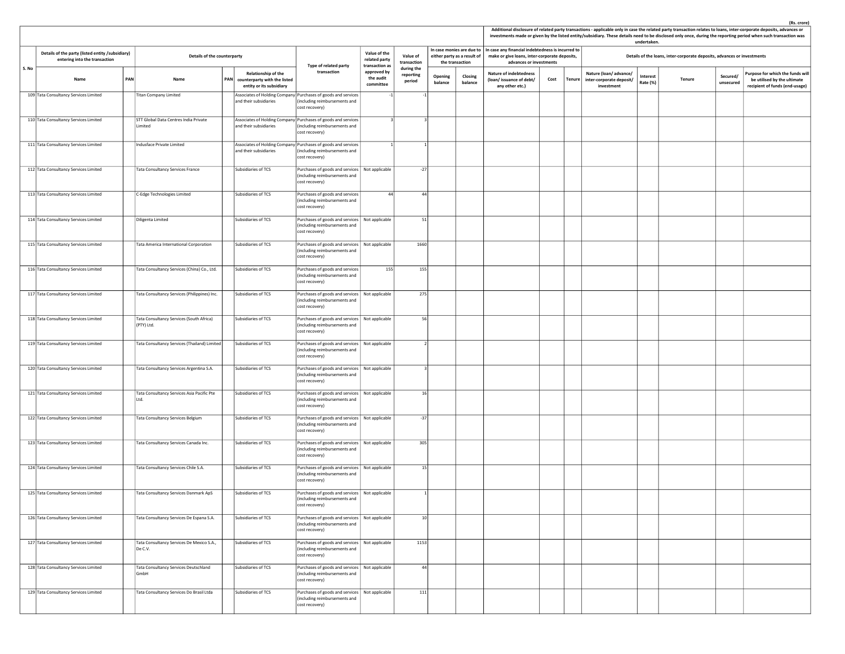|       |                                                                                   |     |                                                        |                                                                                     |                                                                                                                  |                                                         |                                   |                                                                             |                    |                                                                                                                               |      |                                                                        | undertaken.          |                                                                         |                       | Additional disclosure of related party transactions - applicable only in case the related party transaction relates to loans, inter-corporate deposits, advances or<br>investments made or given by the listed entity/subsidiary. These details need to be disclosed only once, during the reporting period when such transaction was |
|-------|-----------------------------------------------------------------------------------|-----|--------------------------------------------------------|-------------------------------------------------------------------------------------|------------------------------------------------------------------------------------------------------------------|---------------------------------------------------------|-----------------------------------|-----------------------------------------------------------------------------|--------------------|-------------------------------------------------------------------------------------------------------------------------------|------|------------------------------------------------------------------------|----------------------|-------------------------------------------------------------------------|-----------------------|---------------------------------------------------------------------------------------------------------------------------------------------------------------------------------------------------------------------------------------------------------------------------------------------------------------------------------------|
|       | Details of the party (listed entity /subsidiary)<br>entering into the transaction |     | Details of the counterparty                            |                                                                                     |                                                                                                                  | Value of the<br>related party                           | Value of<br>transaction           | In case monies are due to<br>either party as a result of<br>the transaction |                    | In case any financial indebtedness is incurred to<br>make or give loans, inter-corporate deposits,<br>advances or investments |      |                                                                        |                      | Details of the loans, inter-corporate deposits, advances or investments |                       |                                                                                                                                                                                                                                                                                                                                       |
| S. No | Name                                                                              | PAN | Name                                                   | Relationship of the<br>PAN counterparty with the listed<br>entity or its subsidiary | Type of related party<br>transaction                                                                             | transaction as<br>approved by<br>the audit<br>committee | during the<br>reporting<br>period | Opening<br>balance                                                          | Closing<br>balance | Nature of indebtedness<br>(loan/issuance of debt/<br>any other etc.)                                                          | Cost | Nature (loan/advance/<br>Tenure inter-corporate deposit/<br>investment | Interest<br>Rate (%) | Tenure                                                                  | Secured/<br>unsecured | Purpose for which the funds wil<br>be utilised by the ultimate<br>recipient of funds (end-usage)                                                                                                                                                                                                                                      |
|       | 109 Tata Consultancy Services Limited                                             |     | <b>Titan Company Limited</b>                           | and their subsidiaries                                                              | Associates of Holding Company Purchases of goods and services<br>including reimbursements and<br>cost recovery)  |                                                         |                                   |                                                                             |                    |                                                                                                                               |      |                                                                        |                      |                                                                         |                       |                                                                                                                                                                                                                                                                                                                                       |
|       | 110 Tata Consultancy Services Limited                                             |     | STT Global Data Centres India Private<br>Limited       | and their subsidiaries                                                              | Associates of Holding Company Purchases of goods and services<br>including reimbursements and<br>cost recovery)  |                                                         |                                   |                                                                             |                    |                                                                                                                               |      |                                                                        |                      |                                                                         |                       |                                                                                                                                                                                                                                                                                                                                       |
|       | 111 Tata Consultancy Services Limited                                             |     | Indusface Private Limited                              | and their subsidiaries                                                              | Associates of Holding Company Purchases of goods and services<br>(including reimbursements and<br>cost recovery) |                                                         |                                   |                                                                             |                    |                                                                                                                               |      |                                                                        |                      |                                                                         |                       |                                                                                                                                                                                                                                                                                                                                       |
|       | 112 Tata Consultancy Services Limited                                             |     | Tata Consultancy Services France                       | Subsidiaries of TCS                                                                 | Purchases of goods and services   Not applicable<br>(including reimbursements and<br>cost recovery)              |                                                         | $-27$                             |                                                                             |                    |                                                                                                                               |      |                                                                        |                      |                                                                         |                       |                                                                                                                                                                                                                                                                                                                                       |
|       | 113 Tata Consultancy Services Limited                                             |     | C-Edge Technologies Limited                            | Subsidiaries of TCS                                                                 | Purchases of goods and services<br>including reimbursements and<br>cost recovery)                                | 44                                                      | 44                                |                                                                             |                    |                                                                                                                               |      |                                                                        |                      |                                                                         |                       |                                                                                                                                                                                                                                                                                                                                       |
|       | 114 Tata Consultancy Services Limited                                             |     | Diligenta Limited                                      | Subsidiaries of TCS                                                                 | Purchases of goods and services   Not applicable<br>(including reimbursements and<br>cost recovery)              |                                                         | 51                                |                                                                             |                    |                                                                                                                               |      |                                                                        |                      |                                                                         |                       |                                                                                                                                                                                                                                                                                                                                       |
|       | 115 Tata Consultancy Services Limited                                             |     | Tata America International Corporation                 | Subsidiaries of TCS                                                                 | Purchases of goods and services   Not applicable<br>(including reimbursements and<br>cost recovery)              |                                                         | 1660                              |                                                                             |                    |                                                                                                                               |      |                                                                        |                      |                                                                         |                       |                                                                                                                                                                                                                                                                                                                                       |
|       | 116 Tata Consultancy Services Limited                                             |     | Tata Consultancy Services (China) Co., Ltd.            | Subsidiaries of TCS                                                                 | Purchases of goods and services<br>(including reimbursements and<br>cost recovery)                               | 155                                                     | 155                               |                                                                             |                    |                                                                                                                               |      |                                                                        |                      |                                                                         |                       |                                                                                                                                                                                                                                                                                                                                       |
|       | 117 Tata Consultancy Services Limited                                             |     | Tata Consultancy Services (Philippines) Inc.           | Subsidiaries of TCS                                                                 | Purchases of goods and services   Not applicable<br>(including reimbursements and<br>cost recovery)              |                                                         | 275                               |                                                                             |                    |                                                                                                                               |      |                                                                        |                      |                                                                         |                       |                                                                                                                                                                                                                                                                                                                                       |
|       | 118 Tata Consultancy Services Limited                                             |     | Tata Consultancy Services (South Africa)<br>(PTY) Ltd. | Subsidiaries of TCS                                                                 | Purchases of goods and services   Not applicable<br>(including reimbursements and<br>cost recovery)              |                                                         | 56                                |                                                                             |                    |                                                                                                                               |      |                                                                        |                      |                                                                         |                       |                                                                                                                                                                                                                                                                                                                                       |
|       | 119 Tata Consultancy Services Limited                                             |     | Tata Consultancy Services (Thailand) Limited           | Subsidiaries of TCS                                                                 | Purchases of goods and services   Not applicable<br>(including reimbursements and<br>cost recovery)              |                                                         | $\overline{2}$                    |                                                                             |                    |                                                                                                                               |      |                                                                        |                      |                                                                         |                       |                                                                                                                                                                                                                                                                                                                                       |
|       | 120 Tata Consultancy Services Limited                                             |     | Tata Consultancy Services Argentina S.A.               | Subsidiaries of TCS                                                                 | Purchases of goods and services   Not applicable<br>(including reimbursements and<br>cost recovery)              |                                                         | 3                                 |                                                                             |                    |                                                                                                                               |      |                                                                        |                      |                                                                         |                       |                                                                                                                                                                                                                                                                                                                                       |
|       | 121 Tata Consultancy Services Limited                                             |     | Tata Consultancy Services Asia Pacific Pte<br>Ltd.     | Subsidiaries of TCS                                                                 | Purchases of goods and services   Not applicable<br>(including reimbursements and<br>cost recovery)              |                                                         | 16                                |                                                                             |                    |                                                                                                                               |      |                                                                        |                      |                                                                         |                       |                                                                                                                                                                                                                                                                                                                                       |
|       | 122 Tata Consultancy Services Limited                                             |     | Tata Consultancy Services Belgium                      | Subsidiaries of TCS                                                                 | Purchases of goods and services   Not applicable<br>(including reimbursements and<br>cost recovery)              |                                                         | $-37$                             |                                                                             |                    |                                                                                                                               |      |                                                                        |                      |                                                                         |                       |                                                                                                                                                                                                                                                                                                                                       |
|       | 123 Tata Consultancy Services Limited                                             |     | Tata Consultancy Services Canada Inc.                  | Subsidiaries of TCS                                                                 | Purchases of goods and services   Not applicable<br>(including reimbursements and<br>cost recovery)              |                                                         | 305                               |                                                                             |                    |                                                                                                                               |      |                                                                        |                      |                                                                         |                       |                                                                                                                                                                                                                                                                                                                                       |
|       | 124 Tata Consultancy Services Limited                                             |     | Tata Consultancy Services Chile S.A.                   | Subsidiaries of TCS                                                                 | Purchases of goods and services   Not applicable<br>(including reimbursements and<br>cost recovery)              |                                                         | 15                                |                                                                             |                    |                                                                                                                               |      |                                                                        |                      |                                                                         |                       |                                                                                                                                                                                                                                                                                                                                       |
|       | 125 Tata Consultancy Services Limited                                             |     | Tata Consultancy Services Danmark ApS                  | Subsidiaries of TCS                                                                 | Purchases of goods and services   Not applicable<br>(including reimbursements and<br>cost recovery)              |                                                         |                                   |                                                                             |                    |                                                                                                                               |      |                                                                        |                      |                                                                         |                       |                                                                                                                                                                                                                                                                                                                                       |
|       | 126 Tata Consultancy Services Limited                                             |     | Tata Consultancy Services De Espana S.A.               | Subsidiaries of TCS                                                                 | Purchases of goods and services   Not applicable<br>(including reimbursements and<br>cost recovery)              |                                                         | 10                                |                                                                             |                    |                                                                                                                               |      |                                                                        |                      |                                                                         |                       |                                                                                                                                                                                                                                                                                                                                       |
|       | 127 Tata Consultancy Services Limited                                             |     | Tata Consultancy Services De Mexico S.A.,<br>De C.V.   | Subsidiaries of TCS                                                                 | Purchases of goods and services   Not applicable<br>(including reimbursements and<br>cost recovery)              |                                                         | 1153                              |                                                                             |                    |                                                                                                                               |      |                                                                        |                      |                                                                         |                       |                                                                                                                                                                                                                                                                                                                                       |
|       | 128 Tata Consultancy Services Limited                                             |     | Tata Consultancy Services Deutschland<br>GmbH          | Subsidiaries of TCS                                                                 | Purchases of goods and services   Not applicable<br>(including reimbursements and<br>cost recovery)              |                                                         | 44                                |                                                                             |                    |                                                                                                                               |      |                                                                        |                      |                                                                         |                       |                                                                                                                                                                                                                                                                                                                                       |
|       | 129 Tata Consultancy Services Limited                                             |     | Tata Consultancy Services Do Brasil Ltda               | Subsidiaries of TCS                                                                 | Purchases of goods and services   Not applicable<br>(including reimbursements and<br>cost recovery)              |                                                         | 111                               |                                                                             |                    |                                                                                                                               |      |                                                                        |                      |                                                                         |                       |                                                                                                                                                                                                                                                                                                                                       |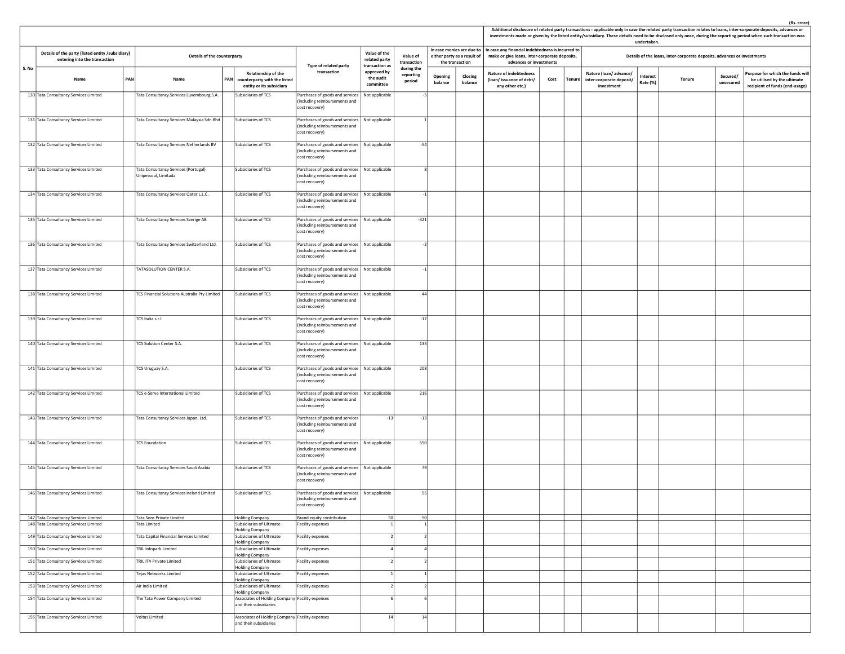|       |                                                                                   |     |                                                              |                                                                                               |                                                                                                     |                                                 |                                   |                    |                                                                             |                                                                                                                               |      |        |                                                                 | undertaken.          |                                                                         |                       | Additional disclosure of related party transactions - applicable only in case the related party transaction relates to loans, inter-corporate deposits, advances or<br>investments made or given by the listed entity/subsidiary. These details need to be disclosed only once, during the reporting period when such transaction was |
|-------|-----------------------------------------------------------------------------------|-----|--------------------------------------------------------------|-----------------------------------------------------------------------------------------------|-----------------------------------------------------------------------------------------------------|-------------------------------------------------|-----------------------------------|--------------------|-----------------------------------------------------------------------------|-------------------------------------------------------------------------------------------------------------------------------|------|--------|-----------------------------------------------------------------|----------------------|-------------------------------------------------------------------------|-----------------------|---------------------------------------------------------------------------------------------------------------------------------------------------------------------------------------------------------------------------------------------------------------------------------------------------------------------------------------|
|       | Details of the party (listed entity /subsidiary)<br>entering into the transaction |     | Details of the counterparty                                  |                                                                                               | Type of related party                                                                               | Value of the<br>related party<br>transaction as | Value of<br>transaction           |                    | In case monies are due to<br>either party as a result of<br>the transaction | In case any financial indebtedness is incurred to<br>make or give loans, inter-corporate deposits,<br>advances or investments |      |        |                                                                 |                      | Details of the loans, inter-corporate deposits, advances or investments |                       |                                                                                                                                                                                                                                                                                                                                       |
| S. No | Name                                                                              | PAN | Name                                                         | Relationship of the<br><b>PAN</b><br>counterparty with the listed<br>entity or its subsidiary | transaction                                                                                         | approved by<br>the audit<br>committee           | during the<br>reporting<br>period | Opening<br>balance | Closing<br>balance                                                          | <b>Nature of indebtedness</b><br>(loan/issuance of debt/<br>any other etc.)                                                   | Cost | Tenure | Nature (loan/advance/<br>inter-corporate deposit/<br>investment | Interest<br>Rate (%) | Tenure                                                                  | Secured/<br>unsecured | Purpose for which the funds wil<br>be utilised by the ultimate<br>recipient of funds (end-usage)                                                                                                                                                                                                                                      |
|       | 130 Tata Consultancy Services Limited                                             |     | Tata Consultancy Services Luxembourg S.A.                    | Subsidiaries of TCS                                                                           | Purchases of goods and services<br>(including reimbursements and<br>cost recovery)                  | Not applicable                                  |                                   |                    |                                                                             |                                                                                                                               |      |        |                                                                 |                      |                                                                         |                       |                                                                                                                                                                                                                                                                                                                                       |
|       | 131 Tata Consultancy Services Limited                                             |     | Tata Consultancy Services Malaysia Sdn Bhd                   | Subsidiaries of TCS                                                                           | Purchases of goods and services   Not applicable<br>(including reimbursements and<br>cost recovery) |                                                 |                                   |                    |                                                                             |                                                                                                                               |      |        |                                                                 |                      |                                                                         |                       |                                                                                                                                                                                                                                                                                                                                       |
|       | 132 Tata Consultancy Services Limited                                             |     | Tata Consultancy Services Netherlands BV                     | Subsidiaries of TCS                                                                           | Purchases of goods and services   Not applicable<br>(including reimbursements and<br>cost recovery) |                                                 | $-54$                             |                    |                                                                             |                                                                                                                               |      |        |                                                                 |                      |                                                                         |                       |                                                                                                                                                                                                                                                                                                                                       |
|       | 133 Tata Consultancy Services Limited                                             |     | Tata Consultancy Services (Portugal)<br>Unipessoal, Limitada | Subsidiaries of TCS                                                                           | Purchases of goods and services   Not applicable<br>(including reimbursements and<br>cost recovery) |                                                 | 8                                 |                    |                                                                             |                                                                                                                               |      |        |                                                                 |                      |                                                                         |                       |                                                                                                                                                                                                                                                                                                                                       |
|       | 134 Tata Consultancy Services Limited                                             |     | Tata Consultancy Services Qatar L.L.C.                       | Subsidiaries of TCS                                                                           | Purchases of goods and services   Not applicable<br>(including reimbursements and<br>cost recovery) |                                                 | $-1$                              |                    |                                                                             |                                                                                                                               |      |        |                                                                 |                      |                                                                         |                       |                                                                                                                                                                                                                                                                                                                                       |
|       | 135 Tata Consultancy Services Limited                                             |     | Tata Consultancy Services Sverige AB                         | Subsidiaries of TCS                                                                           | Purchases of goods and services   Not applicable<br>(including reimbursements and<br>cost recovery) |                                                 | $-321$                            |                    |                                                                             |                                                                                                                               |      |        |                                                                 |                      |                                                                         |                       |                                                                                                                                                                                                                                                                                                                                       |
|       | 136 Tata Consultancy Services Limited                                             |     | Tata Consultancy Services Switzerland Ltd.                   | Subsidiaries of TCS                                                                           | Purchases of goods and services   Not applicable<br>(including reimbursements and<br>cost recovery) |                                                 | $-2$                              |                    |                                                                             |                                                                                                                               |      |        |                                                                 |                      |                                                                         |                       |                                                                                                                                                                                                                                                                                                                                       |
|       | 137 Tata Consultancy Services Limited                                             |     | TATASOLUTION CENTER S.A.                                     | Subsidiaries of TCS                                                                           | Purchases of goods and services   Not applicable<br>(including reimbursements and<br>cost recovery) |                                                 | $^{\circ}1$                       |                    |                                                                             |                                                                                                                               |      |        |                                                                 |                      |                                                                         |                       |                                                                                                                                                                                                                                                                                                                                       |
|       | 138 Tata Consultancy Services Limited                                             |     | TCS Financial Solutions Australia Pty Limited                | Subsidiaries of TCS                                                                           | Purchases of goods and services   Not applicable<br>(including reimbursements and<br>cost recovery) |                                                 | 44                                |                    |                                                                             |                                                                                                                               |      |        |                                                                 |                      |                                                                         |                       |                                                                                                                                                                                                                                                                                                                                       |
|       | 139 Tata Consultancy Services Limited                                             |     | TCS Italia s.r.l.                                            | Subsidiaries of TCS                                                                           | Purchases of goods and services   Not applicable<br>(including reimbursements and<br>cost recovery) |                                                 | $-17$                             |                    |                                                                             |                                                                                                                               |      |        |                                                                 |                      |                                                                         |                       |                                                                                                                                                                                                                                                                                                                                       |
|       | 140 Tata Consultancy Services Limited                                             |     | TCS Solution Center S.A.                                     | Subsidiaries of TCS                                                                           | Purchases of goods and services   Not applicable<br>(including reimbursements and<br>cost recovery) |                                                 | 133                               |                    |                                                                             |                                                                                                                               |      |        |                                                                 |                      |                                                                         |                       |                                                                                                                                                                                                                                                                                                                                       |
|       | 141 Tata Consultancy Services Limited                                             |     | TCS Uruguay S.A.                                             | Subsidiaries of TCS                                                                           | Purchases of goods and services   Not applicable<br>(including reimbursements and<br>cost recovery) |                                                 | 208                               |                    |                                                                             |                                                                                                                               |      |        |                                                                 |                      |                                                                         |                       |                                                                                                                                                                                                                                                                                                                                       |
|       | 142 Tata Consultancy Services Limited                                             |     | TCS e-Serve International Limited                            | Subsidiaries of TCS                                                                           | Purchases of goods and services   Not applicable<br>(including reimbursements and<br>cost recovery) |                                                 | 216                               |                    |                                                                             |                                                                                                                               |      |        |                                                                 |                      |                                                                         |                       |                                                                                                                                                                                                                                                                                                                                       |
|       | 143 Tata Consultancy Services Limited                                             |     | Tata Consultancy Services Japan, Ltd.                        | Subsidiaries of TCS                                                                           | Purchases of goods and services<br>(including reimbursements and<br>cost recovery)                  | $-13$                                           | $-13$                             |                    |                                                                             |                                                                                                                               |      |        |                                                                 |                      |                                                                         |                       |                                                                                                                                                                                                                                                                                                                                       |
|       | 144 Tata Consultancy Services Limited                                             |     | <b>TCS Foundation</b>                                        | Subsidiaries of TCS                                                                           | Purchases of goods and services   Not applicable<br>(including reimbursements and<br>cost recovery) |                                                 | 550                               |                    |                                                                             |                                                                                                                               |      |        |                                                                 |                      |                                                                         |                       |                                                                                                                                                                                                                                                                                                                                       |
|       | 145 Tata Consultancy Services Limited                                             |     | Tata Consultancy Services Saudi Arabia                       | Subsidiaries of TCS                                                                           | Purchases of goods and services   Not applicable<br>(including reimbursements and<br>cost recovery) |                                                 | 79                                |                    |                                                                             |                                                                                                                               |      |        |                                                                 |                      |                                                                         |                       |                                                                                                                                                                                                                                                                                                                                       |
|       | 146 Tata Consultancy Services Limited                                             |     | Tata Consultancy Services Ireland Limited                    | Subsidiaries of TCS                                                                           | Purchases of goods and services   Not applicable<br>(including reimbursements and<br>cost recovery) |                                                 | 55                                |                    |                                                                             |                                                                                                                               |      |        |                                                                 |                      |                                                                         |                       |                                                                                                                                                                                                                                                                                                                                       |
|       | 147 Tata Consultancy Services Limited<br>148 Tata Consultancy Services Limited    |     | Tata Sons Private Limited<br>Tata Limited                    | <b>Holding Company</b><br>Subsidiaries of Ultimate                                            | Brand equity contribution<br>Facility expenses                                                      | 50                                              | 50                                |                    |                                                                             |                                                                                                                               |      |        |                                                                 |                      |                                                                         |                       |                                                                                                                                                                                                                                                                                                                                       |
|       |                                                                                   |     | Tata Capital Financial Services Limited                      | <b>Holding Company</b><br>Subsidiaries of Ultimate                                            |                                                                                                     |                                                 |                                   |                    |                                                                             |                                                                                                                               |      |        |                                                                 |                      |                                                                         |                       |                                                                                                                                                                                                                                                                                                                                       |
|       | 149 Tata Consultancy Services Limited                                             |     |                                                              | <b>Holding Company</b>                                                                        | Facility expenses                                                                                   |                                                 |                                   |                    |                                                                             |                                                                                                                               |      |        |                                                                 |                      |                                                                         |                       |                                                                                                                                                                                                                                                                                                                                       |
|       | 150 Tata Consultancy Services Limited                                             |     | <b>TRIL Infopark Limited</b>                                 | Subsidiaries of Ultimate<br><b>Holding Company</b>                                            | Facility expenses                                                                                   |                                                 |                                   |                    |                                                                             |                                                                                                                               |      |        |                                                                 |                      |                                                                         |                       |                                                                                                                                                                                                                                                                                                                                       |
|       | 151 Tata Consultancy Services Limited                                             |     | TRIL IT4 Private Limited                                     | Subsidiaries of Ultimate<br><b>Holding Company</b>                                            | Facility expenses                                                                                   |                                                 |                                   |                    |                                                                             |                                                                                                                               |      |        |                                                                 |                      |                                                                         |                       |                                                                                                                                                                                                                                                                                                                                       |
|       | 152 Tata Consultancy Services Limited                                             |     | Tejas Networks Limited                                       | Subsidiaries of Ultimate<br><b>Holding Company</b>                                            | Facility expenses                                                                                   |                                                 |                                   |                    |                                                                             |                                                                                                                               |      |        |                                                                 |                      |                                                                         |                       |                                                                                                                                                                                                                                                                                                                                       |
|       | 153 Tata Consultancy Services Limited                                             |     | Air India Limited                                            | Subsidiaries of Ultimate<br><b>Holding Company</b>                                            | Facility expenses                                                                                   |                                                 |                                   |                    |                                                                             |                                                                                                                               |      |        |                                                                 |                      |                                                                         |                       |                                                                                                                                                                                                                                                                                                                                       |
|       | 154 Tata Consultancy Services Limited                                             |     | The Tata Power Company Limited                               | Associates of Holding Company Facility expenses<br>and their subsidiaries                     |                                                                                                     |                                                 |                                   |                    |                                                                             |                                                                                                                               |      |        |                                                                 |                      |                                                                         |                       |                                                                                                                                                                                                                                                                                                                                       |
|       | 155 Tata Consultancy Services Limited                                             |     | Voltas Limited                                               | Associates of Holding Company Facility expenses<br>and their subsidiaries                     |                                                                                                     | 14                                              | 14                                |                    |                                                                             |                                                                                                                               |      |        |                                                                 |                      |                                                                         |                       |                                                                                                                                                                                                                                                                                                                                       |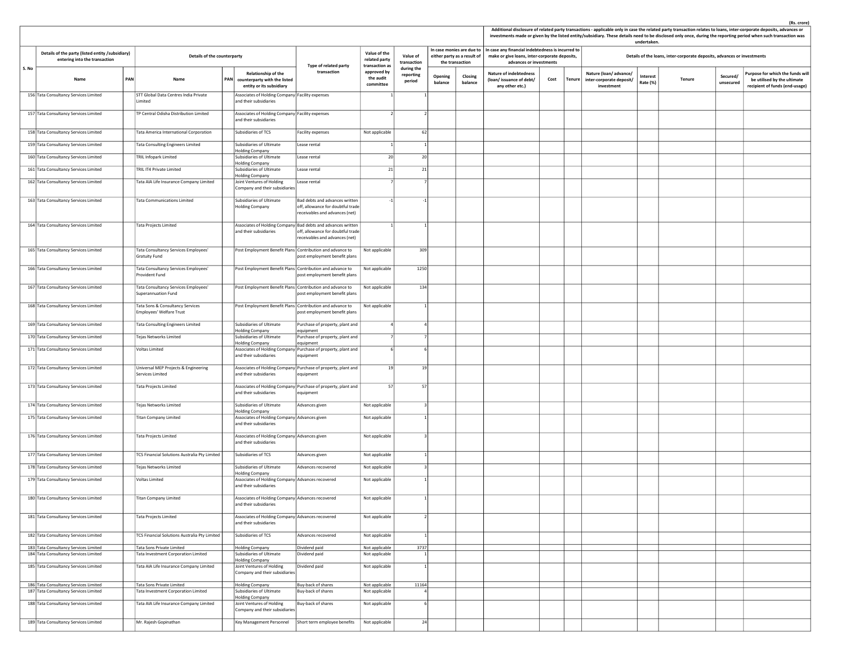|       |                                                                                   |                                                                         |     |                                                                                       |                                                                                                                                    |                                                         |                                   |                    |                                                                             |                                                                                                                               |      |        |                                                                 | undertaken.          |                                                                         |                       | investments made or given by the listed entity/subsidiary. These details need to be disclosed only once, during the reporting period when such transaction was |
|-------|-----------------------------------------------------------------------------------|-------------------------------------------------------------------------|-----|---------------------------------------------------------------------------------------|------------------------------------------------------------------------------------------------------------------------------------|---------------------------------------------------------|-----------------------------------|--------------------|-----------------------------------------------------------------------------|-------------------------------------------------------------------------------------------------------------------------------|------|--------|-----------------------------------------------------------------|----------------------|-------------------------------------------------------------------------|-----------------------|----------------------------------------------------------------------------------------------------------------------------------------------------------------|
|       | Details of the party (listed entity /subsidiary)<br>entering into the transaction | Details of the counterparty                                             |     |                                                                                       |                                                                                                                                    | Value of the<br>related party                           | Value of<br>transaction           |                    | In case monies are due to<br>either party as a result of<br>the transaction | In case any financial indebtedness is incurred to<br>make or give loans, inter-corporate deposits,<br>advances or investments |      |        |                                                                 |                      | Details of the loans, inter-corporate deposits, advances or investments |                       |                                                                                                                                                                |
| S. No | PAN<br>Name                                                                       | Name                                                                    | PAN | Relationship of the<br>counterparty with the listed<br>entity or its subsidiary       | Type of related party<br>transaction                                                                                               | transaction as<br>approved by<br>the audit<br>committee | during the<br>reporting<br>period | Opening<br>balance | Closing<br>balance                                                          | <b>Nature of indebtedness</b><br>(loan/issuance of debt/<br>any other etc.)                                                   | Cost | Tenure | Nature (loan/advance/<br>inter-corporate deposit/<br>investment | Interest<br>Rate (%) | Tenure                                                                  | Secured/<br>unsecured | Purpose for which the funds will<br>be utilised by the ultimate<br>recipient of funds (end-usage)                                                              |
|       | 156 Tata Consultancy Services Limited                                             | STT Global Data Centres India Private<br>Limited                        |     | Associates of Holding Company Facility expenses<br>and their subsidiaries             |                                                                                                                                    |                                                         |                                   |                    |                                                                             |                                                                                                                               |      |        |                                                                 |                      |                                                                         |                       |                                                                                                                                                                |
|       | 157 Tata Consultancy Services Limited                                             | TP Central Odisha Distribution Limited                                  |     | Associates of Holding Company Facility expenses<br>and their subsidiaries             |                                                                                                                                    |                                                         |                                   |                    |                                                                             |                                                                                                                               |      |        |                                                                 |                      |                                                                         |                       |                                                                                                                                                                |
|       | 158 Tata Consultancy Services Limited                                             | Tata America International Corporation                                  |     | Subsidiaries of TCS                                                                   | Facility expenses                                                                                                                  | Not applicable                                          | 62                                |                    |                                                                             |                                                                                                                               |      |        |                                                                 |                      |                                                                         |                       |                                                                                                                                                                |
|       | 159 Tata Consultancy Services Limited                                             | <b>Tata Consulting Engineers Limited</b>                                |     | Subsidiaries of Ultimate<br><b>Holding Company</b>                                    | Lease rental                                                                                                                       |                                                         |                                   |                    |                                                                             |                                                                                                                               |      |        |                                                                 |                      |                                                                         |                       |                                                                                                                                                                |
|       | 160 Tata Consultancy Services Limited                                             | <b>TRIL Infopark Limited</b>                                            |     | Subsidiaries of Ultimate<br>Holding Company                                           | Lease rental                                                                                                                       | 20                                                      | 20                                |                    |                                                                             |                                                                                                                               |      |        |                                                                 |                      |                                                                         |                       |                                                                                                                                                                |
|       | 161 Tata Consultancy Services Limited                                             | TRIL IT4 Private Limited                                                |     | Subsidiaries of Ultimate                                                              | Lease rental                                                                                                                       | 21                                                      | 21                                |                    |                                                                             |                                                                                                                               |      |        |                                                                 |                      |                                                                         |                       |                                                                                                                                                                |
|       | 162 Tata Consultancy Services Limited                                             | Tata AIA Life Insurance Company Limited                                 |     | <b>Holding Company</b><br>Joint Ventures of Holding<br>Company and their subsidiaries | Lease rental                                                                                                                       |                                                         |                                   |                    |                                                                             |                                                                                                                               |      |        |                                                                 |                      |                                                                         |                       |                                                                                                                                                                |
|       | 163 Tata Consultancy Services Limited                                             | <b>Tata Communications Limited</b>                                      |     | Subsidiaries of Ultimate<br><b>Holding Company</b>                                    | Bad debts and advances written<br>off, allowance for doubtful trade<br>receivables and advances (net)                              |                                                         |                                   |                    |                                                                             |                                                                                                                               |      |        |                                                                 |                      |                                                                         |                       |                                                                                                                                                                |
|       | 164 Tata Consultancy Services Limited                                             | <b>Tata Projects Limited</b>                                            |     | and their subsidiaries                                                                | Associates of Holding Company Bad debts and advances written<br>off, allowance for doubtful trade<br>eceivables and advances (net) |                                                         |                                   |                    |                                                                             |                                                                                                                               |      |        |                                                                 |                      |                                                                         |                       |                                                                                                                                                                |
|       | 165 Tata Consultancy Services Limited                                             | Tata Consultancy Services Employees'<br><b>Gratuity Fund</b>            |     | Post Employment Benefit Plans Contribution and advance to                             | post employment benefit plans                                                                                                      | Not applicable                                          | 309                               |                    |                                                                             |                                                                                                                               |      |        |                                                                 |                      |                                                                         |                       |                                                                                                                                                                |
|       | 166 Tata Consultancy Services Limited                                             | Tata Consultancy Services Employees'<br>Provident Fund                  |     | Post Employment Benefit Plans Contribution and advance to                             | post employment benefit plans                                                                                                      | Not applicable                                          | 1250                              |                    |                                                                             |                                                                                                                               |      |        |                                                                 |                      |                                                                         |                       |                                                                                                                                                                |
|       | 167 Tata Consultancy Services Limited                                             | Tata Consultancy Services Employees'<br>Superannuation Fund             |     | Post Employment Benefit Plans Contribution and advance to                             | post employment benefit plans                                                                                                      | Not applicable                                          | 134                               |                    |                                                                             |                                                                                                                               |      |        |                                                                 |                      |                                                                         |                       |                                                                                                                                                                |
|       | 168 Tata Consultancy Services Limited                                             | Tata Sons & Consultancy Services<br><b>Employees' Welfare Trust</b>     |     | Post Employment Benefit Plans Contribution and advance to                             | post employment benefit plans                                                                                                      | Not applicable                                          |                                   |                    |                                                                             |                                                                                                                               |      |        |                                                                 |                      |                                                                         |                       |                                                                                                                                                                |
|       | 169 Tata Consultancy Services Limited                                             | <b>Tata Consulting Engineers Limited</b>                                |     | Subsidiaries of Ultimate<br><b>Holding Company</b>                                    | Purchase of property, plant and<br>equipment                                                                                       |                                                         |                                   |                    |                                                                             |                                                                                                                               |      |        |                                                                 |                      |                                                                         |                       |                                                                                                                                                                |
|       | 170 Tata Consultancy Services Limited                                             | Tejas Networks Limited                                                  |     | Subsidiaries of Ultimate<br><b>Holding Company</b>                                    | Purchase of property, plant and<br>equipment                                                                                       |                                                         |                                   |                    |                                                                             |                                                                                                                               |      |        |                                                                 |                      |                                                                         |                       |                                                                                                                                                                |
|       | 171 Tata Consultancy Services Limited                                             | <b>Voltas Limited</b>                                                   |     | and their subsidiaries                                                                | Associates of Holding Company Purchase of property, plant and<br>equipment                                                         |                                                         |                                   |                    |                                                                             |                                                                                                                               |      |        |                                                                 |                      |                                                                         |                       |                                                                                                                                                                |
|       | 172 Tata Consultancy Services Limited                                             | Universal MEP Projects & Engineering<br>Services Limited                |     | and their subsidiaries                                                                | Associates of Holding Company Purchase of property, plant and<br>equipment                                                         | 19                                                      | 19                                |                    |                                                                             |                                                                                                                               |      |        |                                                                 |                      |                                                                         |                       |                                                                                                                                                                |
|       | 173 Tata Consultancy Services Limited                                             | <b>Tata Projects Limited</b>                                            |     | and their subsidiaries                                                                | Associates of Holding Company Purchase of property, plant and<br>equipment                                                         | 57                                                      | 57                                |                    |                                                                             |                                                                                                                               |      |        |                                                                 |                      |                                                                         |                       |                                                                                                                                                                |
|       | 174 Tata Consultancy Services Limited                                             | Tejas Networks Limited                                                  |     | Subsidiaries of Ultimate<br><b>Holding Company</b>                                    | Advances given                                                                                                                     | Not applicable                                          |                                   |                    |                                                                             |                                                                                                                               |      |        |                                                                 |                      |                                                                         |                       |                                                                                                                                                                |
|       | 175 Tata Consultancy Services Limited                                             | <b>Titan Company Limited</b>                                            |     | Associates of Holding Company Advances given<br>and their subsidiaries                |                                                                                                                                    | Not applicable                                          |                                   |                    |                                                                             |                                                                                                                               |      |        |                                                                 |                      |                                                                         |                       |                                                                                                                                                                |
|       | 176 Tata Consultancy Services Limited                                             | <b>Tata Projects Limited</b>                                            |     | Associates of Holding Company Advances given<br>and their subsidiaries                |                                                                                                                                    | Not applicable                                          |                                   |                    |                                                                             |                                                                                                                               |      |        |                                                                 |                      |                                                                         |                       |                                                                                                                                                                |
|       | 177 Tata Consultancy Services Limited                                             | TCS Financial Solutions Australia Pty Limited                           |     | Subsidiaries of TCS                                                                   | Advances given                                                                                                                     | Not applicable                                          |                                   |                    |                                                                             |                                                                                                                               |      |        |                                                                 |                      |                                                                         |                       |                                                                                                                                                                |
|       | 178 Tata Consultancy Services Limited                                             | Tejas Networks Limited                                                  |     | Subsidiaries of Ultimate<br><b>Holding Company</b>                                    | Advances recovered                                                                                                                 | Not applicable                                          |                                   |                    |                                                                             |                                                                                                                               |      |        |                                                                 |                      |                                                                         |                       |                                                                                                                                                                |
|       | 179 Tata Consultancy Services Limited                                             | Voltas Limited                                                          |     | Associates of Holding Company Advances recovered<br>and their subsidiaries            |                                                                                                                                    | Not applicable                                          |                                   |                    |                                                                             |                                                                                                                               |      |        |                                                                 |                      |                                                                         |                       |                                                                                                                                                                |
|       | 180 Tata Consultancy Services Limited                                             | <b>Titan Company Limited</b>                                            |     | Associates of Holding Company Advances recovered<br>and their subsidiaries            |                                                                                                                                    | Not applicable                                          |                                   |                    |                                                                             |                                                                                                                               |      |        |                                                                 |                      |                                                                         |                       |                                                                                                                                                                |
|       | 181 Tata Consultancy Services Limited                                             | <b>Tata Projects Limited</b>                                            |     | Associates of Holding Company Advances recovered<br>and their subsidiaries            |                                                                                                                                    | Not applicable                                          |                                   |                    |                                                                             |                                                                                                                               |      |        |                                                                 |                      |                                                                         |                       |                                                                                                                                                                |
|       | 182 Tata Consultancy Services Limited                                             | TCS Financial Solutions Australia Pty Limited                           |     | Subsidiaries of TCS                                                                   | Advances recovered                                                                                                                 | Not applicable                                          |                                   |                    |                                                                             |                                                                                                                               |      |        |                                                                 |                      |                                                                         |                       |                                                                                                                                                                |
|       | 183 Tata Consultancy Services Limited<br>184 Tata Consultancy Services Limited    | <b>Tata Sons Private Limited</b><br>Tata Investment Corporation Limited |     | <b>Holding Company</b><br>Subsidiaries of Ultimate                                    | Dividend paid<br>Dividend paid                                                                                                     | Not applicable<br>Not applicable                        | 3737                              |                    |                                                                             |                                                                                                                               |      |        |                                                                 |                      |                                                                         |                       |                                                                                                                                                                |
|       | 185 Tata Consultancy Services Limited                                             | Tata AIA Life Insurance Company Limited                                 |     | <b>Holding Company</b><br>Joint Ventures of Holding                                   | Dividend paid                                                                                                                      | Not applicable                                          |                                   |                    |                                                                             |                                                                                                                               |      |        |                                                                 |                      |                                                                         |                       |                                                                                                                                                                |
|       | 186 Tata Consultancy Services Limited                                             | Tata Sons Private Limited                                               |     | Company and their subsidiaries<br><b>Holding Company</b>                              | Buy-back of shares                                                                                                                 | Not applicable                                          | 11164                             |                    |                                                                             |                                                                                                                               |      |        |                                                                 |                      |                                                                         |                       |                                                                                                                                                                |
|       | 187 Tata Consultancy Services Limited                                             | Tata Investment Corporation Limited                                     |     | Subsidiaries of Ultimate<br><b>Holding Company</b>                                    | Buy-back of shares                                                                                                                 | Not applicable                                          |                                   |                    |                                                                             |                                                                                                                               |      |        |                                                                 |                      |                                                                         |                       |                                                                                                                                                                |
|       | 188 Tata Consultancy Services Limited                                             | Tata AIA Life Insurance Company Limited                                 |     | Joint Ventures of Holding<br>Company and their subsidiaries                           | Buy-back of shares                                                                                                                 | Not applicable                                          |                                   |                    |                                                                             |                                                                                                                               |      |        |                                                                 |                      |                                                                         |                       |                                                                                                                                                                |
|       | 189 Tata Consultancy Services Limited                                             | Mr. Rajesh Gopinathan                                                   |     |                                                                                       | Key Management Personnel Short term employee benefits Not applicable                                                               |                                                         |                                   | 24                 |                                                                             |                                                                                                                               |      |        |                                                                 |                      |                                                                         |                       |                                                                                                                                                                |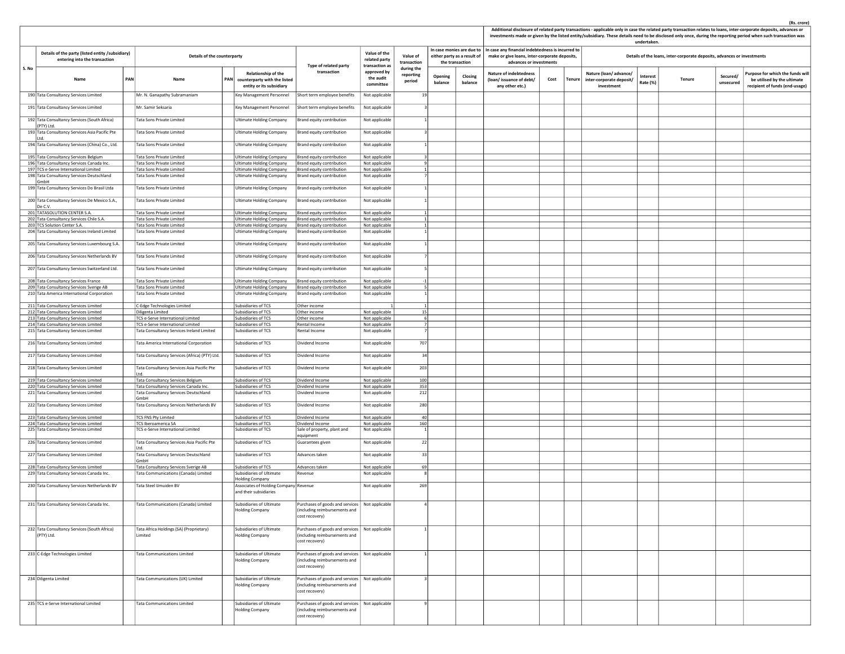|       |                                                                                   |            |                                                        |            |                                                                                 |                                                                                                     |                                                 |                                   |     |                                                                             |                    |                                                                                                                               |      |               |                                                                 | undertaken.          |                                                                         |                       | investments made or given by the listed entity/subsidiary. These details need to be disclosed only once, during the reporting period when such transaction was |
|-------|-----------------------------------------------------------------------------------|------------|--------------------------------------------------------|------------|---------------------------------------------------------------------------------|-----------------------------------------------------------------------------------------------------|-------------------------------------------------|-----------------------------------|-----|-----------------------------------------------------------------------------|--------------------|-------------------------------------------------------------------------------------------------------------------------------|------|---------------|-----------------------------------------------------------------|----------------------|-------------------------------------------------------------------------|-----------------------|----------------------------------------------------------------------------------------------------------------------------------------------------------------|
|       | Details of the party (listed entity /subsidiary)<br>entering into the transaction |            | Details of the counterparty                            |            |                                                                                 | Type of related party                                                                               | Value of the<br>related party<br>transaction as | Value of<br>transaction           |     | In case monies are due to<br>either party as a result of<br>the transaction |                    | In case any financial indebtedness is incurred to<br>make or give loans, inter-corporate deposits,<br>advances or investments |      |               |                                                                 |                      | Details of the loans, inter-corporate deposits, advances or investments |                       |                                                                                                                                                                |
| S. No | Name                                                                              | <b>PAN</b> | Name                                                   | <b>PAN</b> | Relationship of the<br>counterparty with the listed<br>entity or its subsidiary | transaction                                                                                         | approved by<br>the audit<br>committee           | during the<br>reporting<br>period |     | Opening<br>balance                                                          | Closing<br>balance | <b>Nature of indebtedness</b><br>(loan/issuance of debt/<br>any other etc.)                                                   | Cost | <b>Tenure</b> | Nature (loan/advance/<br>inter-corporate deposit/<br>investment | Interest<br>Rate (%) | Tenure                                                                  | Secured/<br>unsecured | Purpose for which the funds wil<br>be utilised by the ultimate<br>recipient of funds (end-usage)                                                               |
|       | 190 Tata Consultancy Services Limited                                             |            | Mr. N. Ganapathy Subramaniam                           |            | Key Management Personnel                                                        | Short term employee benefits                                                                        | Not applicable                                  |                                   | 19  |                                                                             |                    |                                                                                                                               |      |               |                                                                 |                      |                                                                         |                       |                                                                                                                                                                |
|       | 191 Tata Consultancy Services Limited                                             |            | Mr. Samir Seksaria                                     |            | Key Management Personnel                                                        | Short term employee benefits                                                                        | Not applicable                                  |                                   |     |                                                                             |                    |                                                                                                                               |      |               |                                                                 |                      |                                                                         |                       |                                                                                                                                                                |
|       | 192 Tata Consultancy Services (South Africa)                                      |            | Tata Sons Private Limited                              |            | <b>Ultimate Holding Company</b>                                                 | Brand equity contribution                                                                           | Not applicable                                  |                                   |     |                                                                             |                    |                                                                                                                               |      |               |                                                                 |                      |                                                                         |                       |                                                                                                                                                                |
|       | (PTY) Ltd.<br>193 Tata Consultancy Services Asia Pacific Pte                      |            | Tata Sons Private Limited                              |            | <b>Ultimate Holding Company</b>                                                 | Brand equity contribution                                                                           | Not applicable                                  |                                   |     |                                                                             |                    |                                                                                                                               |      |               |                                                                 |                      |                                                                         |                       |                                                                                                                                                                |
|       | litd.<br>194 Tata Consultancy Services (China) Co., Ltd.                          |            | Tata Sons Private Limited                              |            | <b>Ultimate Holding Company</b>                                                 | Brand equity contribution                                                                           | Not applicable                                  |                                   |     |                                                                             |                    |                                                                                                                               |      |               |                                                                 |                      |                                                                         |                       |                                                                                                                                                                |
|       | 195 Tata Consultancy Services Belgium                                             |            | <b>Tata Sons Private Limited</b>                       |            | <b>Ultimate Holding Company</b>                                                 | Brand equity contribution                                                                           | Not applicable                                  |                                   |     |                                                                             |                    |                                                                                                                               |      |               |                                                                 |                      |                                                                         |                       |                                                                                                                                                                |
|       | 196 Tata Consultancy Services Canada Inc.                                         |            | <b>Tata Sons Private Limited</b>                       |            | <b>Ultimate Holding Company</b>                                                 | Brand equity contribution                                                                           | Not applicable                                  |                                   |     |                                                                             |                    |                                                                                                                               |      |               |                                                                 |                      |                                                                         |                       |                                                                                                                                                                |
|       | 197 TCS e-Serve International Limited                                             |            | Tata Sons Private Limited                              |            | <b>Jitimate Holding Company</b>                                                 | Brand equity contribution                                                                           | Not applicable                                  |                                   |     |                                                                             |                    |                                                                                                                               |      |               |                                                                 |                      |                                                                         |                       |                                                                                                                                                                |
|       | 198 Tata Consultancy Services Deutschland<br>GmbH                                 |            | Tata Sons Private Limited                              |            | <b>Ultimate Holding Company</b>                                                 | Brand equity contribution                                                                           | Not applicable                                  |                                   |     |                                                                             |                    |                                                                                                                               |      |               |                                                                 |                      |                                                                         |                       |                                                                                                                                                                |
|       | 199 Tata Consultancy Services Do Brasil Ltda                                      |            | Tata Sons Private Limited                              |            | <b>Ultimate Holding Company</b>                                                 | Brand equity contribution                                                                           | Not applicable                                  |                                   |     |                                                                             |                    |                                                                                                                               |      |               |                                                                 |                      |                                                                         |                       |                                                                                                                                                                |
|       | 200 Tata Consultancy Services De Mexico S.A.,<br>De C.V.                          |            | <b>Tata Sons Private Limited</b>                       |            | <b>Ultimate Holding Company</b>                                                 | Brand equity contribution                                                                           | Not applicable                                  |                                   |     |                                                                             |                    |                                                                                                                               |      |               |                                                                 |                      |                                                                         |                       |                                                                                                                                                                |
|       | 201 TATASOLUTION CENTER S.A.                                                      |            | Tata Sons Private Limited                              |            | <b>Ultimate Holding Company</b>                                                 | Brand equity contribution                                                                           | Not applicable                                  |                                   |     |                                                                             |                    |                                                                                                                               |      |               |                                                                 |                      |                                                                         |                       |                                                                                                                                                                |
|       | 202 Tata Consultancy Services Chile S.A.                                          |            | Tata Sons Private Limited                              |            | <b>Ultimate Holding Company</b>                                                 | Brand equity contribution                                                                           | Not applicable                                  |                                   |     |                                                                             |                    |                                                                                                                               |      |               |                                                                 |                      |                                                                         |                       |                                                                                                                                                                |
|       | 203 TCS Solution Center S.A.<br>204 Tata Consultancy Services Ireland Limited     |            | Tata Sons Private Limited<br>Tata Sons Private Limited |            | <b>Ultimate Holding Company</b><br>Ultimate Holding Company                     | Brand equity contribution<br>Brand equity contribution                                              | Not applicable<br>Not applicable                |                                   |     |                                                                             |                    |                                                                                                                               |      |               |                                                                 |                      |                                                                         |                       |                                                                                                                                                                |
|       | 205 Tata Consultancy Services Luxembourg S.A.                                     |            | <b>Tata Sons Private Limited</b>                       |            | <b>Ultimate Holding Company</b>                                                 | Brand equity contribution                                                                           | Not applicable                                  |                                   |     |                                                                             |                    |                                                                                                                               |      |               |                                                                 |                      |                                                                         |                       |                                                                                                                                                                |
|       | 206 Tata Consultancy Services Netherlands BV                                      |            | Tata Sons Private Limited                              |            | <b>Ultimate Holding Company</b>                                                 | Brand equity contribution                                                                           | Not applicable                                  |                                   |     |                                                                             |                    |                                                                                                                               |      |               |                                                                 |                      |                                                                         |                       |                                                                                                                                                                |
|       | 207 Tata Consultancy Services Switzerland Ltd.                                    |            | Tata Sons Private Limited                              |            | <b>Ultimate Holding Company</b>                                                 | Brand equity contribution                                                                           | Not applicable                                  |                                   |     |                                                                             |                    |                                                                                                                               |      |               |                                                                 |                      |                                                                         |                       |                                                                                                                                                                |
|       |                                                                                   |            |                                                        |            |                                                                                 |                                                                                                     |                                                 |                                   |     |                                                                             |                    |                                                                                                                               |      |               |                                                                 |                      |                                                                         |                       |                                                                                                                                                                |
|       | 208 Tata Consultancy Services France                                              |            | Tata Sons Private Limited                              |            | <b>Ultimate Holding Company</b>                                                 | Brand equity contribution                                                                           | Not applicable                                  |                                   |     |                                                                             |                    |                                                                                                                               |      |               |                                                                 |                      |                                                                         |                       |                                                                                                                                                                |
|       | 209 Tata Consultancy Services Sverige AB                                          |            | <b>Tata Sons Private Limited</b>                       |            | <b>Ultimate Holding Company</b>                                                 | Brand equity contribution                                                                           | Not applicable                                  |                                   |     |                                                                             |                    |                                                                                                                               |      |               |                                                                 |                      |                                                                         |                       |                                                                                                                                                                |
|       | 210 Tata America International Corporation                                        |            | Tata Sons Private Limited                              |            | Ultimate Holding Company                                                        | Brand equity contribution                                                                           | Not applicable                                  |                                   |     |                                                                             |                    |                                                                                                                               |      |               |                                                                 |                      |                                                                         |                       |                                                                                                                                                                |
|       | 211 Tata Consultancy Services Limited                                             |            | C-Edge Technologies Limited                            |            | Subsidiaries of TCS                                                             | Other income                                                                                        |                                                 |                                   |     |                                                                             |                    |                                                                                                                               |      |               |                                                                 |                      |                                                                         |                       |                                                                                                                                                                |
|       | 212 Tata Consultancy Services Limited                                             |            | Diligenta Limited                                      |            | Subsidiaries of TCS                                                             | Other income                                                                                        | Not applicable                                  |                                   | 15  |                                                                             |                    |                                                                                                                               |      |               |                                                                 |                      |                                                                         |                       |                                                                                                                                                                |
|       | 213 Tata Consultancy Services Limited                                             |            | TCS e-Serve International Limited                      |            | Subsidiaries of TCS                                                             | Other income                                                                                        | Not applicable                                  |                                   |     |                                                                             |                    |                                                                                                                               |      |               |                                                                 |                      |                                                                         |                       |                                                                                                                                                                |
|       | 214 Tata Consultancy Services Limited                                             |            | TCS e-Serve International Limited                      |            | Subsidiaries of TCS                                                             | Rental Income                                                                                       | Not applicable                                  |                                   |     |                                                                             |                    |                                                                                                                               |      |               |                                                                 |                      |                                                                         |                       |                                                                                                                                                                |
|       | 215 Tata Consultancy Services Limited                                             |            | Tata Consultancy Services Ireland Limited              |            | Subsidiaries of TCS                                                             | Rental Income                                                                                       | Not applicable                                  |                                   |     |                                                                             |                    |                                                                                                                               |      |               |                                                                 |                      |                                                                         |                       |                                                                                                                                                                |
|       | 216 Tata Consultancy Services Limited                                             |            | Tata America International Corporation                 |            | Subsidiaries of TCS                                                             | Dividend Income                                                                                     | Not applicable                                  |                                   | 707 |                                                                             |                    |                                                                                                                               |      |               |                                                                 |                      |                                                                         |                       |                                                                                                                                                                |
|       | 217 Tata Consultancy Services Limited                                             |            | Tata Consultancy Services (Africa) (PTY) Ltd.          |            | Subsidiaries of TCS                                                             | Dividend Income                                                                                     | Not applicable                                  |                                   | 34  |                                                                             |                    |                                                                                                                               |      |               |                                                                 |                      |                                                                         |                       |                                                                                                                                                                |
|       | 218 Tata Consultancy Services Limited                                             |            | Tata Consultancy Services Asia Pacific Pte<br>ht I     |            | Subsidiaries of TCS                                                             | Dividend Income                                                                                     | Not applicable                                  |                                   | 203 |                                                                             |                    |                                                                                                                               |      |               |                                                                 |                      |                                                                         |                       |                                                                                                                                                                |
|       | 219 Tata Consultancy Services Limited                                             |            | Tata Consultancy Services Belgium                      |            | Subsidiaries of TCS                                                             | Dividend Income                                                                                     | Not applicable                                  |                                   | 100 |                                                                             |                    |                                                                                                                               |      |               |                                                                 |                      |                                                                         |                       |                                                                                                                                                                |
|       | 220 Tata Consultancy Services Limited                                             |            | Tata Consultancy Services Canada Inc.                  |            | Subsidiaries of TCS                                                             | Dividend Income                                                                                     | Not applicable                                  |                                   | 353 |                                                                             |                    |                                                                                                                               |      |               |                                                                 |                      |                                                                         |                       |                                                                                                                                                                |
|       | 221 Tata Consultancy Services Limited                                             |            | Tata Consultancy Services Deutschland<br>GmbH          |            | Subsidiaries of TCS                                                             | Dividend Income                                                                                     | Not applicable                                  |                                   | 212 |                                                                             |                    |                                                                                                                               |      |               |                                                                 |                      |                                                                         |                       |                                                                                                                                                                |
|       | 222 Tata Consultancy Services Limited                                             |            | Tata Consultancy Services Netherlands BV               |            | Subsidiaries of TCS                                                             | Dividend Income                                                                                     | Not applicable                                  |                                   | 280 |                                                                             |                    |                                                                                                                               |      |               |                                                                 |                      |                                                                         |                       |                                                                                                                                                                |
|       | 223 Tata Consultancy Services Limited                                             |            | TCS FNS Pty Limited                                    |            | Subsidiaries of TCS                                                             | Dividend Income                                                                                     | Not applicable                                  |                                   | 40  |                                                                             |                    |                                                                                                                               |      |               |                                                                 |                      |                                                                         |                       |                                                                                                                                                                |
|       | 224 Tata Consultancy Services Limited                                             |            | TCS Iberoamerica SA                                    |            | Subsidiaries of TCS                                                             | Dividend Income                                                                                     | Not applicable                                  |                                   | 160 |                                                                             |                    |                                                                                                                               |      |               |                                                                 |                      |                                                                         |                       |                                                                                                                                                                |
|       | 225 Tata Consultancy Services Limited                                             |            | TCS e-Serve International Limited                      |            | Subsidiaries of TCS                                                             | Sale of property, plant and<br>equipment                                                            | Not applicable                                  |                                   |     |                                                                             |                    |                                                                                                                               |      |               |                                                                 |                      |                                                                         |                       |                                                                                                                                                                |
|       | 226 Tata Consultancy Services Limited                                             |            | Tata Consultancy Services Asia Pacific Pte             |            | Subsidiaries of TCS                                                             | Guarantees given                                                                                    | Not applicable                                  |                                   | 22  |                                                                             |                    |                                                                                                                               |      |               |                                                                 |                      |                                                                         |                       |                                                                                                                                                                |
|       | 227 Tata Consultancy Services Limited                                             |            | Ltd.<br>Tata Consultancy Services Deutschland          |            | Subsidiaries of TCS                                                             | Advances taken                                                                                      | Not applicable                                  |                                   | 33  |                                                                             |                    |                                                                                                                               |      |               |                                                                 |                      |                                                                         |                       |                                                                                                                                                                |
|       |                                                                                   |            | GmbH                                                   |            |                                                                                 |                                                                                                     |                                                 |                                   |     |                                                                             |                    |                                                                                                                               |      |               |                                                                 |                      |                                                                         |                       |                                                                                                                                                                |
|       | 228 Tata Consultancy Services Limited                                             |            | Tata Consultancy Services Sverige AB                   |            | Subsidiaries of TCS                                                             | Advances taken                                                                                      | Not applicable                                  |                                   | 69  |                                                                             |                    |                                                                                                                               |      |               |                                                                 |                      |                                                                         |                       |                                                                                                                                                                |
|       | 229 Tata Consultancy Services Canada Inc.                                         |            | Tata Communications (Canada) Limited                   |            | Subsidiaries of Ultimate<br>Holding Company                                     | Revenue                                                                                             | Not applicable                                  |                                   |     |                                                                             |                    |                                                                                                                               |      |               |                                                                 |                      |                                                                         |                       |                                                                                                                                                                |
|       | 230 Tata Consultancy Services Netherlands BV                                      |            | Tata Steel Umuiden BV                                  |            | Associates of Holding Company Revenue<br>and their subsidiaries                 |                                                                                                     | Not applicable                                  |                                   | 269 |                                                                             |                    |                                                                                                                               |      |               |                                                                 |                      |                                                                         |                       |                                                                                                                                                                |
|       |                                                                                   |            |                                                        |            |                                                                                 |                                                                                                     |                                                 |                                   |     |                                                                             |                    |                                                                                                                               |      |               |                                                                 |                      |                                                                         |                       |                                                                                                                                                                |
|       | 231 Tata Consultancy Services Canada Inc.                                         |            | Tata Communications (Canada) Limited                   |            | Subsidiaries of Ultimate<br>Iding Company                                       | Purchases of goods and services<br>ncluding reimbursements and<br>cost recovery)                    | Not applicable                                  |                                   |     |                                                                             |                    |                                                                                                                               |      |               |                                                                 |                      |                                                                         |                       |                                                                                                                                                                |
|       | 232 Tata Consultancy Services (South Africa)<br>(PTY) Ltd.                        |            | Tata Africa Holdings (SA) (Proprietary)<br>Limited     |            | Subsidiaries of Ultimate<br><b>Holding Company</b>                              | Purchases of goods and services   Not applicable<br>(including reimbursements and<br>cost recovery) |                                                 |                                   |     |                                                                             |                    |                                                                                                                               |      |               |                                                                 |                      |                                                                         |                       |                                                                                                                                                                |
|       | 233 C-Edge Technologies Limited                                                   |            | <b>Tata Communications Limited</b>                     |            | Subsidiaries of Ultimate<br><b>Holding Company</b>                              | Purchases of goods and services<br>(including reimbursements and<br>cost recovery)                  | Not applicable                                  |                                   |     |                                                                             |                    |                                                                                                                               |      |               |                                                                 |                      |                                                                         |                       |                                                                                                                                                                |
|       | 234 Diligenta Limited                                                             |            | Tata Communications (UK) Limited                       |            | Subsidiaries of Ultimate<br><b>Holding Company</b>                              | Purchases of goods and services   Not applicable<br>(including reimbursements and<br>cost recovery) |                                                 |                                   |     |                                                                             |                    |                                                                                                                               |      |               |                                                                 |                      |                                                                         |                       |                                                                                                                                                                |
|       | 235 TCS e-Serve International Limited                                             |            | <b>Tata Communications Limited</b>                     |            | Subsidiaries of Ultimate<br><b>Holding Company</b>                              | Purchases of goods and services   Not applicable<br>(including reimbursements and<br>cost recovery) |                                                 |                                   |     |                                                                             |                    |                                                                                                                               |      |               |                                                                 |                      |                                                                         |                       |                                                                                                                                                                |

Additional disclosure of related party transactions - applicable only in case the related party transaction relates to loans, inter-corp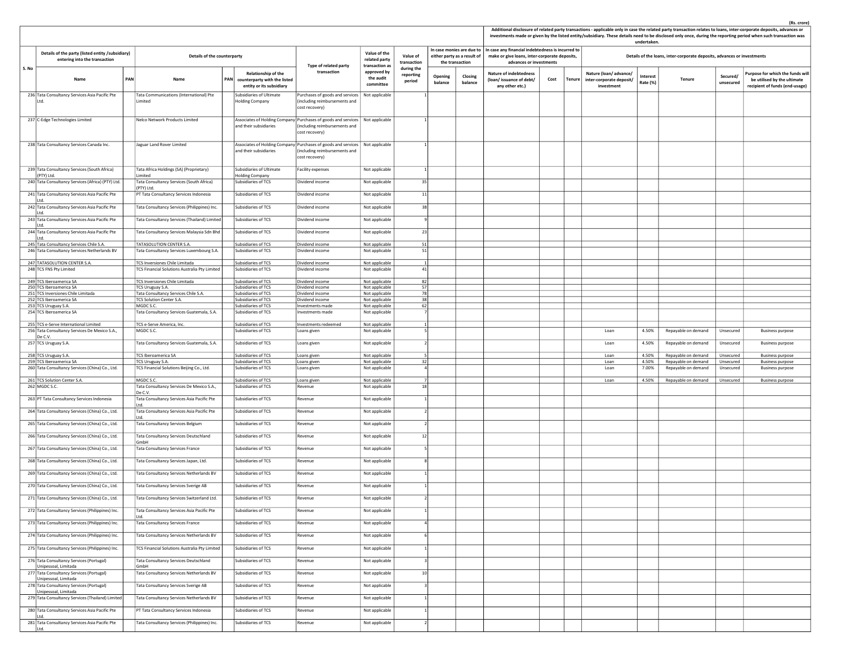|       |                                                                                        |            |                                                                                        |     |                                                                                 |                                                                                                                                   |                                                 |                                   |                    |                                                                             |                                                                                                                               |      |               |                                                                 | undertaken.          |                                                                         |                       | Additional disclosure of related party transactions - applicable only in case the related party transaction relates to loans, inter-corporate deposits, advances or<br>investments made or given by the listed entity/subsidiary. These details need to be disclosed only once, during the reporting period when such transaction was |
|-------|----------------------------------------------------------------------------------------|------------|----------------------------------------------------------------------------------------|-----|---------------------------------------------------------------------------------|-----------------------------------------------------------------------------------------------------------------------------------|-------------------------------------------------|-----------------------------------|--------------------|-----------------------------------------------------------------------------|-------------------------------------------------------------------------------------------------------------------------------|------|---------------|-----------------------------------------------------------------|----------------------|-------------------------------------------------------------------------|-----------------------|---------------------------------------------------------------------------------------------------------------------------------------------------------------------------------------------------------------------------------------------------------------------------------------------------------------------------------------|
|       | Details of the party (listed entity /subsidiary)<br>entering into the transaction      |            | Details of the counterparty                                                            |     |                                                                                 | Type of related party                                                                                                             | Value of the<br>related party<br>transaction as | Value of<br>transaction           |                    | In case monies are due to<br>either party as a result of<br>the transaction | In case any financial indebtedness is incurred to<br>make or give loans, inter-corporate deposits,<br>advances or investments |      |               |                                                                 |                      | Details of the loans, inter-corporate deposits, advances or investments |                       |                                                                                                                                                                                                                                                                                                                                       |
| S. No | Name                                                                                   | <b>PAN</b> | Name                                                                                   | PAN | Relationship of the<br>counterparty with the listed<br>entity or its subsidiary | transaction                                                                                                                       | approved by<br>the audit<br>committee           | during the<br>reporting<br>period | Opening<br>balance | Closing<br>balance                                                          | <b>Nature of indebtedness</b><br>(loan/issuance of debt/<br>any other etc.)                                                   | Cost | <b>Tenure</b> | Nature (loan/advance/<br>inter-corporate deposit/<br>investment | Interest<br>Rate (%) | Tenure                                                                  | Secured/<br>unsecured | Purpose for which the funds wil<br>be utilised by the ultimate<br>recipient of funds (end-usage)                                                                                                                                                                                                                                      |
|       | 236 Tata Consultancy Services Asia Pacific Pte<br>Ltd.                                 |            | Tata Communications (International) Pte<br>.imited                                     |     | Subsidiaries of Ultimate<br>Holding Company                                     | Purchases of goods and services<br>(including reimbursements and<br>cost recovery)                                                | Not applicable                                  |                                   |                    |                                                                             |                                                                                                                               |      |               |                                                                 |                      |                                                                         |                       |                                                                                                                                                                                                                                                                                                                                       |
|       | 237 C-Edge Technologies Limited                                                        |            | Nelco Network Products Limited                                                         |     | and their subsidiaries                                                          | Associates of Holding Company Purchases of goods and services   Not applicable<br>including reimbursements and<br>cost recovery)  |                                                 |                                   |                    |                                                                             |                                                                                                                               |      |               |                                                                 |                      |                                                                         |                       |                                                                                                                                                                                                                                                                                                                                       |
|       | 238 Tata Consultancy Services Canada Inc.                                              |            | Jaguar Land Rover Limited                                                              |     | and their subsidiaries                                                          | Associates of Holding Company Purchases of goods and services   Not applicable<br>(including reimbursements and<br>cost recovery) |                                                 |                                   |                    |                                                                             |                                                                                                                               |      |               |                                                                 |                      |                                                                         |                       |                                                                                                                                                                                                                                                                                                                                       |
|       | 239 Tata Consultancy Services (South Africa)<br>(PTY) Ltd.                             |            | Tata Africa Holdings (SA) (Proprietary)<br>imited                                      |     | Subsidiaries of Ultimate<br>Holding Company                                     | Facility expenses                                                                                                                 | Not applicable                                  | $\mathbf{1}$                      |                    |                                                                             |                                                                                                                               |      |               |                                                                 |                      |                                                                         |                       |                                                                                                                                                                                                                                                                                                                                       |
|       | 240 Tata Consultancy Services (Africa) (PTY) Ltd.                                      |            | Tata Consultancy Services (South Africa)<br>(PTY) Ltd.                                 |     | Subsidiaries of TCS                                                             | Dividend income                                                                                                                   | Not applicable                                  | 35                                |                    |                                                                             |                                                                                                                               |      |               |                                                                 |                      |                                                                         |                       |                                                                                                                                                                                                                                                                                                                                       |
|       | 241 Tata Consultancy Services Asia Pacific Pte                                         |            | PT Tata Consultancy Services Indonesia                                                 |     | Subsidiaries of TCS                                                             | Dividend income                                                                                                                   | Not applicable                                  | 11                                |                    |                                                                             |                                                                                                                               |      |               |                                                                 |                      |                                                                         |                       |                                                                                                                                                                                                                                                                                                                                       |
|       | 242 Tata Consultancy Services Asia Pacific Pte                                         |            | Tata Consultancy Services (Philippines) Inc.                                           |     | Subsidiaries of TCS                                                             | Dividend income                                                                                                                   | Not applicable                                  | 38                                |                    |                                                                             |                                                                                                                               |      |               |                                                                 |                      |                                                                         |                       |                                                                                                                                                                                                                                                                                                                                       |
|       | litd.<br>243 Tata Consultancy Services Asia Pacific Pte                                |            | Tata Consultancy Services (Thailand) Limited                                           |     | Subsidiaries of TCS                                                             | Dividend income                                                                                                                   | Not applicable                                  | $\overline{9}$                    |                    |                                                                             |                                                                                                                               |      |               |                                                                 |                      |                                                                         |                       |                                                                                                                                                                                                                                                                                                                                       |
|       | litd.<br>244 Tata Consultancy Services Asia Pacific Pte                                |            | Tata Consultancy Services Malaysia Sdn Bhd                                             |     | Subsidiaries of TCS                                                             | Dividend income                                                                                                                   | Not applicable                                  | 23                                |                    |                                                                             |                                                                                                                               |      |               |                                                                 |                      |                                                                         |                       |                                                                                                                                                                                                                                                                                                                                       |
|       | litd.<br>245 Tata Consultancy Services Chile S.A.                                      |            | TATASOLUTION CENTER S.A.                                                               |     | Subsidiaries of TCS                                                             | Dividend income                                                                                                                   | Not applicable                                  | 51                                |                    |                                                                             |                                                                                                                               |      |               |                                                                 |                      |                                                                         |                       |                                                                                                                                                                                                                                                                                                                                       |
|       | 246 Tata Consultancy Services Netherlands BV                                           |            | Tata Consultancy Services Luxembourg S.A.                                              |     | Subsidiaries of TCS                                                             | Dividend income                                                                                                                   | Not applicable                                  | 51                                |                    |                                                                             |                                                                                                                               |      |               |                                                                 |                      |                                                                         |                       |                                                                                                                                                                                                                                                                                                                                       |
|       | 247 TATASOLUTION CENTER S.A.<br>248 TCS FNS Pty Limited                                |            | <b>TCS Inversiones Chile Limitada</b><br>TCS Financial Solutions Australia Pty Limited |     | Subsidiaries of TCS<br>Subsidiaries of TCS                                      | Dividend income<br>Dividend income                                                                                                | Not applicable<br>Not applicable                | $\mathbf{1}$<br>41                |                    |                                                                             |                                                                                                                               |      |               |                                                                 |                      |                                                                         |                       |                                                                                                                                                                                                                                                                                                                                       |
|       |                                                                                        |            |                                                                                        |     |                                                                                 |                                                                                                                                   |                                                 |                                   |                    |                                                                             |                                                                                                                               |      |               |                                                                 |                      |                                                                         |                       |                                                                                                                                                                                                                                                                                                                                       |
|       | 249 TCS Iberoamerica SA<br>250 TCS Iberoamerica SA                                     |            | TCS Inversiones Chile Limitada<br>TCS Uruguay S.A.                                     |     | Subsidiaries of TCS<br>Subsidiaries of TCS                                      | Dividend income<br>Dividend income                                                                                                | Not applicable<br>Not applicable                | 82<br>57                          |                    |                                                                             |                                                                                                                               |      |               |                                                                 |                      |                                                                         |                       |                                                                                                                                                                                                                                                                                                                                       |
|       | 251 TCS Inversiones Chile Limitada                                                     |            | Tata Consultancy Services Chile S.A.                                                   |     | Subsidiaries of TCS                                                             | Dividend income                                                                                                                   | Not applicable                                  | 78                                |                    |                                                                             |                                                                                                                               |      |               |                                                                 |                      |                                                                         |                       |                                                                                                                                                                                                                                                                                                                                       |
|       | 252 TCS Iberoamerica SA                                                                |            | <b>TCS Solution Center S.A.</b>                                                        |     | Subsidiaries of TCS<br>Subsidiaries of TCS                                      | Dividend income                                                                                                                   | Not applicable                                  | 38                                |                    |                                                                             |                                                                                                                               |      |               |                                                                 |                      |                                                                         |                       |                                                                                                                                                                                                                                                                                                                                       |
|       | 253 TCS Uruguay S.A.<br>254 TCS Iberoamerica SA                                        |            | MGDC S.C.<br>Tata Consultancy Services Guatemala, S.A.                                 |     | Subsidiaries of TCS                                                             | Investments made<br>nvestments made                                                                                               | Not applicable<br>Not applicable                | 62                                |                    |                                                                             |                                                                                                                               |      |               |                                                                 |                      |                                                                         |                       |                                                                                                                                                                                                                                                                                                                                       |
|       |                                                                                        |            |                                                                                        |     |                                                                                 |                                                                                                                                   |                                                 |                                   |                    |                                                                             |                                                                                                                               |      |               |                                                                 |                      |                                                                         |                       |                                                                                                                                                                                                                                                                                                                                       |
|       | 255 TCS e-Serve International Limited<br>256 Tata Consultancy Services De Mexico S.A., |            | TCS e-Serve America, Inc.<br>MGDC S.C.                                                 |     | Subsidiaries of TCS<br>Subsidiaries of TCS                                      | Investments redeemed<br>Loans given                                                                                               | Not applicable<br>Not applicable                | 1                                 |                    |                                                                             |                                                                                                                               |      |               | Loan                                                            | 4.50%                | Repayable on demand                                                     | Unsecured             | <b>Business purpose</b>                                                                                                                                                                                                                                                                                                               |
|       | De C.V.<br>257 TCS Uruguay S.A.                                                        |            | Tata Consultancy Services Guatemala, S.A.                                              |     | Subsidiaries of TCS                                                             | Loans given                                                                                                                       | Not applicable                                  | $\mathcal{L}$                     |                    |                                                                             |                                                                                                                               |      |               | Loan                                                            | 4.50%                | Repayable on demand                                                     | Unsecured             | <b>Business purpose</b>                                                                                                                                                                                                                                                                                                               |
|       | 258 TCS Uruguay S.A.                                                                   |            | TCS Iberoamerica SA                                                                    |     | Subsidiaries of TCS                                                             | Loans given                                                                                                                       | Not applicable                                  | $\overline{\phantom{a}}$          |                    |                                                                             |                                                                                                                               |      |               | Loan                                                            | 4.50%                | Repayable on demand                                                     | Unsecured             | <b>Business purpose</b>                                                                                                                                                                                                                                                                                                               |
|       | 259 TCS Iberoamerica SA                                                                |            | TCS Uruguay S.A.                                                                       |     | Subsidiaries of TCS                                                             | Loans given                                                                                                                       | Not applicable                                  | 32                                |                    |                                                                             |                                                                                                                               |      |               | Loan                                                            | 4.50%                | Repayable on demand                                                     | Unsecured             | <b>Business purpose</b>                                                                                                                                                                                                                                                                                                               |
|       | 260 Tata Consultancy Services (China) Co., Ltd.                                        |            | TCS Financial Solutions Beijing Co., Ltd.                                              |     | Subsidiaries of TCS                                                             | Loans given                                                                                                                       | Not applicable                                  |                                   |                    |                                                                             |                                                                                                                               |      |               | Loan                                                            | 7.00%                | Repayable on demand                                                     | Unsecured             | <b>Business purpose</b>                                                                                                                                                                                                                                                                                                               |
|       | 261 TCS Solution Center S.A.                                                           |            | MGDC S.C.                                                                              |     | Subsidiaries of TCS                                                             | Loans given                                                                                                                       | Not applicable                                  |                                   |                    |                                                                             |                                                                                                                               |      |               | Loan                                                            | 4.50%                | Repayable on demand                                                     | Unsecured             | <b>Business purpose</b>                                                                                                                                                                                                                                                                                                               |
|       | 262 MGDC S.C.                                                                          |            | Tata Consultancy Services De Mexico S.A.,<br>De C.V.                                   |     | Subsidiaries of TCS                                                             | <b>Revenue</b>                                                                                                                    | Not applicable                                  | 18                                |                    |                                                                             |                                                                                                                               |      |               |                                                                 |                      |                                                                         |                       |                                                                                                                                                                                                                                                                                                                                       |
|       | 263 PT Tata Consultancy Services Indonesia                                             |            | Tata Consultancy Services Asia Pacific Pte                                             |     | Subsidiaries of TCS                                                             | Revenue                                                                                                                           | Not applicable                                  | 1                                 |                    |                                                                             |                                                                                                                               |      |               |                                                                 |                      |                                                                         |                       |                                                                                                                                                                                                                                                                                                                                       |
|       | 264 Tata Consultancy Services (China) Co., Ltd.                                        |            | Tata Consultancy Services Asia Pacific Pte                                             |     | Subsidiaries of TCS                                                             | Revenue                                                                                                                           | Not applicable                                  |                                   |                    |                                                                             |                                                                                                                               |      |               |                                                                 |                      |                                                                         |                       |                                                                                                                                                                                                                                                                                                                                       |
|       | 265 Tata Consultancy Services (China) Co., Ltd.                                        |            | Tata Consultancy Services Belgium                                                      |     | Subsidiaries of TCS                                                             | Revenue                                                                                                                           | Not applicable                                  |                                   |                    |                                                                             |                                                                                                                               |      |               |                                                                 |                      |                                                                         |                       |                                                                                                                                                                                                                                                                                                                                       |
|       | 266 Tata Consultancy Services (China) Co., Ltd.                                        |            | Tata Consultancy Services Deutschland<br>GmbH                                          |     | Subsidiaries of TCS                                                             | Revenue                                                                                                                           | Not applicable                                  | 12                                |                    |                                                                             |                                                                                                                               |      |               |                                                                 |                      |                                                                         |                       |                                                                                                                                                                                                                                                                                                                                       |
|       | 267 Tata Consultancy Services (China) Co., Ltd.                                        |            | <b>Tata Consultancy Services France</b>                                                |     | Subsidiaries of TCS                                                             | Revenue                                                                                                                           | Not applicable                                  |                                   |                    |                                                                             |                                                                                                                               |      |               |                                                                 |                      |                                                                         |                       |                                                                                                                                                                                                                                                                                                                                       |
|       | 268 Tata Consultancy Services (China) Co., Ltd.                                        |            | Tata Consultancy Services Japan, Ltd.                                                  |     | Subsidiaries of TCS                                                             | Revenue                                                                                                                           | Not applicable                                  |                                   |                    |                                                                             |                                                                                                                               |      |               |                                                                 |                      |                                                                         |                       |                                                                                                                                                                                                                                                                                                                                       |
|       | 269 Tata Consultancy Services (China) Co., Ltd.                                        |            | Tata Consultancy Services Netherlands BV                                               |     | Subsidiaries of TCS                                                             | Revenue                                                                                                                           | Not applicable                                  |                                   |                    |                                                                             |                                                                                                                               |      |               |                                                                 |                      |                                                                         |                       |                                                                                                                                                                                                                                                                                                                                       |
|       | 270 Tata Consultancy Services (China) Co., Ltd.                                        |            | Tata Consultancy Services Sverige AB                                                   |     | Subsidiaries of TCS                                                             | Revenue                                                                                                                           | Not applicable                                  |                                   |                    |                                                                             |                                                                                                                               |      |               |                                                                 |                      |                                                                         |                       |                                                                                                                                                                                                                                                                                                                                       |
|       | 271 Tata Consultancy Services (China) Co., Ltd.                                        |            | Tata Consultancy Services Switzerland Ltd.                                             |     | Subsidiaries of TCS                                                             | Revenue                                                                                                                           | Not applicable                                  |                                   |                    |                                                                             |                                                                                                                               |      |               |                                                                 |                      |                                                                         |                       |                                                                                                                                                                                                                                                                                                                                       |
|       | 272 Tata Consultancy Services (Philippines) Inc.                                       |            | Tata Consultancy Services Asia Pacific Pte                                             |     | Subsidiaries of TCS                                                             | Revenue                                                                                                                           | Not applicable                                  |                                   |                    |                                                                             |                                                                                                                               |      |               |                                                                 |                      |                                                                         |                       |                                                                                                                                                                                                                                                                                                                                       |
|       | 273 Tata Consultancy Services (Philippines) Inc.                                       |            | Tata Consultancy Services France                                                       |     | Subsidiaries of TCS                                                             | Revenue                                                                                                                           | Not applicable                                  |                                   |                    |                                                                             |                                                                                                                               |      |               |                                                                 |                      |                                                                         |                       |                                                                                                                                                                                                                                                                                                                                       |
|       | 274 Tata Consultancy Services (Philippines) Inc.                                       |            | Tata Consultancy Services Netherlands BV                                               |     | Subsidiaries of TCS                                                             | Revenue                                                                                                                           | Not applicable                                  |                                   |                    |                                                                             |                                                                                                                               |      |               |                                                                 |                      |                                                                         |                       |                                                                                                                                                                                                                                                                                                                                       |
|       | 275 Tata Consultancy Services (Philippines) Inc.                                       |            | TCS Financial Solutions Australia Pty Limited                                          |     | Subsidiaries of TCS                                                             | Revenue                                                                                                                           | Not applicable                                  |                                   |                    |                                                                             |                                                                                                                               |      |               |                                                                 |                      |                                                                         |                       |                                                                                                                                                                                                                                                                                                                                       |
|       | 276 Tata Consultancy Services (Portugal)<br>Unipessoal, Limitada                       |            | Tata Consultancy Services Deutschland<br>GmbH                                          |     | Subsidiaries of TCS                                                             | Revenue                                                                                                                           | Not applicable                                  | $\overline{\mathbf{3}}$           |                    |                                                                             |                                                                                                                               |      |               |                                                                 |                      |                                                                         |                       |                                                                                                                                                                                                                                                                                                                                       |
|       | 277 Tata Consultancy Services (Portugal)<br>Unipessoal, Limitada                       |            | Tata Consultancy Services Netherlands BV                                               |     | Subsidiaries of TCS                                                             | Revenue                                                                                                                           | Not applicable                                  | 10                                |                    |                                                                             |                                                                                                                               |      |               |                                                                 |                      |                                                                         |                       |                                                                                                                                                                                                                                                                                                                                       |
|       | 278 Tata Consultancy Services (Portugal)<br>Unipessoal, Limitada                       |            | Tata Consultancy Services Sverige AB                                                   |     | Subsidiaries of TCS                                                             | Revenue                                                                                                                           | Not applicable                                  |                                   |                    |                                                                             |                                                                                                                               |      |               |                                                                 |                      |                                                                         |                       |                                                                                                                                                                                                                                                                                                                                       |
|       | 279 Tata Consultancy Services (Thailand) Limited                                       |            | Tata Consultancy Services Netherlands BV                                               |     | Subsidiaries of TCS                                                             | Revenue                                                                                                                           | Not applicable                                  |                                   |                    |                                                                             |                                                                                                                               |      |               |                                                                 |                      |                                                                         |                       |                                                                                                                                                                                                                                                                                                                                       |
|       | 280 Tata Consultancy Services Asia Pacific Pte<br>litd.                                |            | PT Tata Consultancy Services Indonesia                                                 |     | Subsidiaries of TCS                                                             | Revenue                                                                                                                           | Not applicable                                  |                                   |                    |                                                                             |                                                                                                                               |      |               |                                                                 |                      |                                                                         |                       |                                                                                                                                                                                                                                                                                                                                       |
|       | 281 Tata Consultancy Services Asia Pacific Pte<br>Ltd.                                 |            | Tata Consultancy Services (Philippines) Inc.                                           |     | Subsidiaries of TCS                                                             | Revenue                                                                                                                           | Not applicable                                  |                                   |                    |                                                                             |                                                                                                                               |      |               |                                                                 |                      |                                                                         |                       |                                                                                                                                                                                                                                                                                                                                       |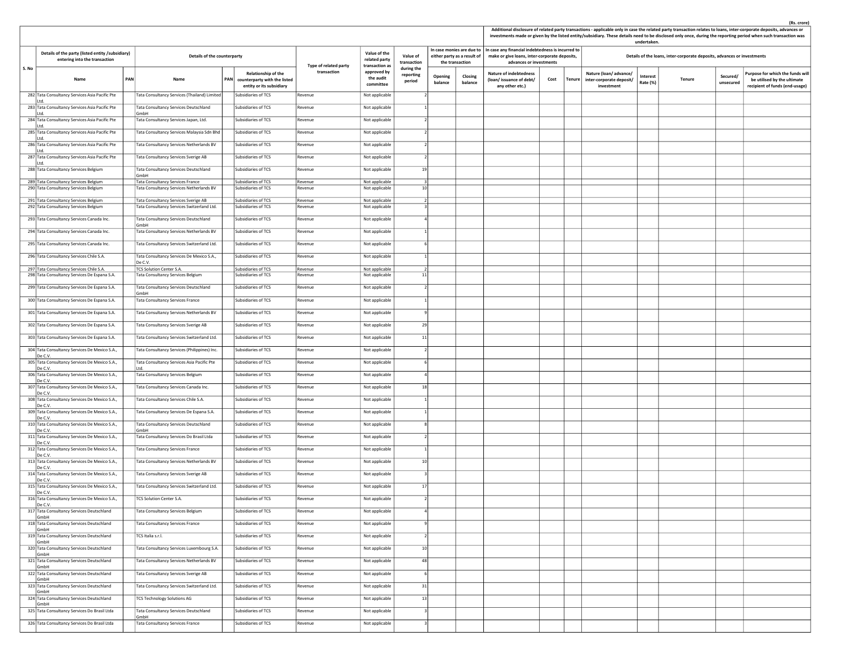|       |                                                                                          |     |                                                                                     |            |                                                                                 |                       |                                                 |                                   |                                                |                          |                                                                                                                               |      |        | undertaken.                                                     |                      |                                                                         | Additional disclosure of related party transactions - applicable only in case the related party transaction relates to loans, inter-corporate deposits, advances or<br>investments made or given by the listed entity/subsidiary. These details need to be disclosed only once, during the reporting period when such transaction was |                                                                                                  |
|-------|------------------------------------------------------------------------------------------|-----|-------------------------------------------------------------------------------------|------------|---------------------------------------------------------------------------------|-----------------------|-------------------------------------------------|-----------------------------------|------------------------------------------------|--------------------------|-------------------------------------------------------------------------------------------------------------------------------|------|--------|-----------------------------------------------------------------|----------------------|-------------------------------------------------------------------------|---------------------------------------------------------------------------------------------------------------------------------------------------------------------------------------------------------------------------------------------------------------------------------------------------------------------------------------|--------------------------------------------------------------------------------------------------|
|       | Details of the party (listed entity /subsidiary)<br>entering into the transaction        |     | Details of the counterparty                                                         |            |                                                                                 | Type of related party | Value of the<br>related party<br>transaction as | Value of<br>transaction           | either party as a result of<br>the transaction | n case monies are due to | In case any financial indebtedness is incurred to<br>make or give loans, inter-corporate deposits,<br>advances or investments |      |        |                                                                 |                      | Details of the loans, inter-corporate deposits, advances or investments |                                                                                                                                                                                                                                                                                                                                       |                                                                                                  |
| S. No | Name                                                                                     | PAN | Name                                                                                | <b>PAN</b> | Relationship of the<br>counterparty with the listed<br>entity or its subsidiary | transaction           | approved by<br>the audit<br>committee           | during the<br>reporting<br>period | Opening<br>balance                             | Closing<br>balance       | <b>Nature of indebtedness</b><br>(loan/issuance of debt/<br>any other etc.)                                                   | Cost | Tenure | Nature (loan/advance/<br>inter-corporate deposit/<br>investment | Interest<br>Rate (%) | Tenure                                                                  | Secured/<br>unsecured                                                                                                                                                                                                                                                                                                                 | Purpose for which the funds wil<br>be utilised by the ultimate<br>recipient of funds (end-usage) |
|       | 282 Tata Consultancy Services Asia Pacific Pte<br>Ltd.                                   |     | Tata Consultancy Services (Thailand) Limited                                        |            | Subsidiaries of TCS                                                             | Revenue               | Not applicable                                  |                                   |                                                |                          |                                                                                                                               |      |        |                                                                 |                      |                                                                         |                                                                                                                                                                                                                                                                                                                                       |                                                                                                  |
|       | 283 Tata Consultancy Services Asia Pacific Pte<br>Ltd.                                   |     | Tata Consultancy Services Deutschland<br>GmbH                                       |            | Subsidiaries of TCS                                                             | Revenue               | Not applicable                                  |                                   |                                                |                          |                                                                                                                               |      |        |                                                                 |                      |                                                                         |                                                                                                                                                                                                                                                                                                                                       |                                                                                                  |
|       | 284 Tata Consultancy Services Asia Pacific Pte<br>litd.                                  |     | Tata Consultancy Services Japan, Ltd.                                               |            | Subsidiaries of TCS                                                             | Revenue               | Not applicable                                  |                                   |                                                |                          |                                                                                                                               |      |        |                                                                 |                      |                                                                         |                                                                                                                                                                                                                                                                                                                                       |                                                                                                  |
|       | 285 Tata Consultancy Services Asia Pacific Pte<br>litd.                                  |     | Tata Consultancy Services Malaysia Sdn Bhd                                          |            | Subsidiaries of TCS                                                             | Revenue               | Not applicable                                  |                                   |                                                |                          |                                                                                                                               |      |        |                                                                 |                      |                                                                         |                                                                                                                                                                                                                                                                                                                                       |                                                                                                  |
|       | 286 Tata Consultancy Services Asia Pacific Pte<br>Ltd.                                   |     | Tata Consultancy Services Netherlands BV                                            |            | Subsidiaries of TCS                                                             | Revenue               | Not applicable                                  |                                   |                                                |                          |                                                                                                                               |      |        |                                                                 |                      |                                                                         |                                                                                                                                                                                                                                                                                                                                       |                                                                                                  |
|       | 287 Tata Consultancy Services Asia Pacific Pte<br>Ltd.                                   |     | Tata Consultancy Services Sverige AB                                                |            | Subsidiaries of TCS                                                             | Revenue               | Not applicable                                  |                                   |                                                |                          |                                                                                                                               |      |        |                                                                 |                      |                                                                         |                                                                                                                                                                                                                                                                                                                                       |                                                                                                  |
|       | 288 Tata Consultancy Services Belgium                                                    |     | Tata Consultancy Services Deutschland<br>GmbH                                       |            | Subsidiaries of TCS                                                             | Revenue               | Not applicable                                  | 19                                |                                                |                          |                                                                                                                               |      |        |                                                                 |                      |                                                                         |                                                                                                                                                                                                                                                                                                                                       |                                                                                                  |
|       | 289 Tata Consultancy Services Belgium<br>290 Tata Consultancy Services Belgium           |     | <b>Tata Consultancy Services France</b><br>Tata Consultancy Services Netherlands BV |            | Subsidiaries of TCS<br>Subsidiaries of TCS                                      | Revenue<br>Revenue    | Not applicable<br>Not applicable                | 10                                |                                                |                          |                                                                                                                               |      |        |                                                                 |                      |                                                                         |                                                                                                                                                                                                                                                                                                                                       |                                                                                                  |
|       | 291 Tata Consultancy Services Belgium                                                    |     | Tata Consultancy Services Sverige AB                                                |            | Subsidiaries of TCS                                                             | Revenue               | Not applicable                                  |                                   |                                                |                          |                                                                                                                               |      |        |                                                                 |                      |                                                                         |                                                                                                                                                                                                                                                                                                                                       |                                                                                                  |
|       | 292 Tata Consultancy Services Belgium                                                    |     | Tata Consultancy Services Switzerland Ltd.                                          |            | Subsidiaries of TCS                                                             | Revenue               | Not applicable                                  |                                   |                                                |                          |                                                                                                                               |      |        |                                                                 |                      |                                                                         |                                                                                                                                                                                                                                                                                                                                       |                                                                                                  |
|       | 293 Tata Consultancy Services Canada Inc.                                                |     | Tata Consultancy Services Deutschland<br>GmbH                                       |            | Subsidiaries of TCS                                                             | Revenue               | Not applicable                                  |                                   |                                                |                          |                                                                                                                               |      |        |                                                                 |                      |                                                                         |                                                                                                                                                                                                                                                                                                                                       |                                                                                                  |
|       | 294 Tata Consultancy Services Canada Inc.                                                |     | Tata Consultancy Services Netherlands BV                                            |            | Subsidiaries of TCS                                                             | Revenue               | Not applicable                                  |                                   |                                                |                          |                                                                                                                               |      |        |                                                                 |                      |                                                                         |                                                                                                                                                                                                                                                                                                                                       |                                                                                                  |
|       | 295 Tata Consultancy Services Canada Inc.                                                |     | Tata Consultancy Services Switzerland Ltd.                                          |            | Subsidiaries of TCS                                                             | Revenue               | Not applicable                                  |                                   |                                                |                          |                                                                                                                               |      |        |                                                                 |                      |                                                                         |                                                                                                                                                                                                                                                                                                                                       |                                                                                                  |
|       | 296 Tata Consultancy Services Chile S.A.                                                 |     | Tata Consultancy Services De Mexico S.A.,<br>De C.V.                                |            | Subsidiaries of TCS                                                             | Revenue               | Not applicable                                  |                                   |                                                |                          |                                                                                                                               |      |        |                                                                 |                      |                                                                         |                                                                                                                                                                                                                                                                                                                                       |                                                                                                  |
|       | 297 Tata Consultancy Services Chile S.A.<br>298 Tata Consultancy Services De Espana S.A. |     | TCS Solution Center S.A.<br>Tata Consultancy Services Belgium                       |            | Subsidiaries of TCS<br>Subsidiaries of TCS                                      | Revenue<br>Revenue    | Not applicable<br>Not applicable                | 11                                |                                                |                          |                                                                                                                               |      |        |                                                                 |                      |                                                                         |                                                                                                                                                                                                                                                                                                                                       |                                                                                                  |
|       | 299 Tata Consultancy Services De Espana S.A.                                             |     | Tata Consultancy Services Deutschland                                               |            | Subsidiaries of TCS                                                             | Revenue               | Not applicable                                  |                                   |                                                |                          |                                                                                                                               |      |        |                                                                 |                      |                                                                         |                                                                                                                                                                                                                                                                                                                                       |                                                                                                  |
|       | 300 Tata Consultancy Services De Espana S.A.                                             |     | GmbH<br><b>Tata Consultancy Services France</b>                                     |            | Subsidiaries of TCS                                                             | Revenue               | Not applicable                                  |                                   |                                                |                          |                                                                                                                               |      |        |                                                                 |                      |                                                                         |                                                                                                                                                                                                                                                                                                                                       |                                                                                                  |
|       | 301 Tata Consultancy Services De Espana S.A.                                             |     | Tata Consultancy Services Netherlands BV                                            |            | Subsidiaries of TCS                                                             | Revenue               | Not applicable                                  |                                   |                                                |                          |                                                                                                                               |      |        |                                                                 |                      |                                                                         |                                                                                                                                                                                                                                                                                                                                       |                                                                                                  |
|       | 302 Tata Consultancy Services De Espana S.A.                                             |     | Tata Consultancy Services Sverige AB                                                |            | Subsidiaries of TCS                                                             | Revenue               | Not applicable                                  | 29                                |                                                |                          |                                                                                                                               |      |        |                                                                 |                      |                                                                         |                                                                                                                                                                                                                                                                                                                                       |                                                                                                  |
|       | 303 Tata Consultancy Services De Espana S.A.                                             |     | Tata Consultancy Services Switzerland Ltd.                                          |            | Subsidiaries of TCS                                                             | Revenue               | Not applicable                                  | 11                                |                                                |                          |                                                                                                                               |      |        |                                                                 |                      |                                                                         |                                                                                                                                                                                                                                                                                                                                       |                                                                                                  |
|       | 304 Tata Consultancy Services De Mexico S.A.,                                            |     | Tata Consultancy Services (Philippines) Inc.                                        |            | Subsidiaries of TCS                                                             | Revenue               | Not applicable                                  |                                   |                                                |                          |                                                                                                                               |      |        |                                                                 |                      |                                                                         |                                                                                                                                                                                                                                                                                                                                       |                                                                                                  |
|       | De C.V.<br>305 Tata Consultancy Services De Mexico S.A.,                                 |     | Tata Consultancy Services Asia Pacific Pte                                          |            | Subsidiaries of TCS                                                             | Revenue               | Not applicable                                  |                                   |                                                |                          |                                                                                                                               |      |        |                                                                 |                      |                                                                         |                                                                                                                                                                                                                                                                                                                                       |                                                                                                  |
|       | De C.V.<br>306 Tata Consultancy Services De Mexico S.A.,                                 |     | Ltd.<br>Tata Consultancy Services Belgium                                           |            | Subsidiaries of TCS                                                             | Revenue               | Not applicable                                  |                                   |                                                |                          |                                                                                                                               |      |        |                                                                 |                      |                                                                         |                                                                                                                                                                                                                                                                                                                                       |                                                                                                  |
|       | De C.V.<br>307 Tata Consultancy Services De Mexico S.A.,                                 |     | Tata Consultancy Services Canada Inc.                                               |            | Subsidiaries of TCS                                                             | Revenue               | Not applicable                                  | 18                                |                                                |                          |                                                                                                                               |      |        |                                                                 |                      |                                                                         |                                                                                                                                                                                                                                                                                                                                       |                                                                                                  |
|       | De C.V<br>308 Tata Consultancy Services De Mexico S.A.,                                  |     | Tata Consultancy Services Chile S.A.                                                |            | Subsidiaries of TCS                                                             | Revenue               | Not applicable                                  |                                   |                                                |                          |                                                                                                                               |      |        |                                                                 |                      |                                                                         |                                                                                                                                                                                                                                                                                                                                       |                                                                                                  |
|       | De C.V.<br>309 Tata Consultancy Services De Mexico S.A.,                                 |     | Tata Consultancy Services De Espana S.A.                                            |            | Subsidiaries of TCS                                                             | Revenue               | Not applicable                                  |                                   |                                                |                          |                                                                                                                               |      |        |                                                                 |                      |                                                                         |                                                                                                                                                                                                                                                                                                                                       |                                                                                                  |
|       | De C.V<br>310 Tata Consultancy Services De Mexico S.A.,                                  |     | Tata Consultancy Services Deutschland                                               |            | Subsidiaries of TCS                                                             | Revenue               | Not applicable                                  |                                   |                                                |                          |                                                                                                                               |      |        |                                                                 |                      |                                                                         |                                                                                                                                                                                                                                                                                                                                       |                                                                                                  |
|       | De C.V.<br>311 Tata Consultancy Services De Mexico S.A.,                                 |     | GmbH<br>Tata Consultancy Services Do Brasil Ltda                                    |            | Subsidiaries of TCS                                                             | Revenue               | Not applicable                                  |                                   |                                                |                          |                                                                                                                               |      |        |                                                                 |                      |                                                                         |                                                                                                                                                                                                                                                                                                                                       |                                                                                                  |
|       | De C.V<br>312 Tata Consultancy Services De Mexico S.A.,                                  |     | Tata Consultancy Services France                                                    |            | Subsidiaries of TCS                                                             | Revenue               | Not applicable                                  |                                   |                                                |                          |                                                                                                                               |      |        |                                                                 |                      |                                                                         |                                                                                                                                                                                                                                                                                                                                       |                                                                                                  |
|       | De C.V.<br>313 Tata Consultancy Services De Mexico S.A.,                                 |     | Tata Consultancy Services Netherlands BV                                            |            | Subsidiaries of TCS                                                             | Revenue               | Not applicable                                  | 10                                |                                                |                          |                                                                                                                               |      |        |                                                                 |                      |                                                                         |                                                                                                                                                                                                                                                                                                                                       |                                                                                                  |
|       | De C.V.<br>314 Tata Consultancy Services De Mexico S.A.,                                 |     | Tata Consultancy Services Sverige AB                                                |            | Subsidiaries of TCS                                                             | Revenue               | Not applicable                                  |                                   |                                                |                          |                                                                                                                               |      |        |                                                                 |                      |                                                                         |                                                                                                                                                                                                                                                                                                                                       |                                                                                                  |
|       | De C.V.<br>315 Tata Consultancy Services De Mexico S.A.,                                 |     | Tata Consultancy Services Switzerland Ltd.                                          |            | Subsidiaries of TCS                                                             | Revenue               | Not applicable                                  | 17                                |                                                |                          |                                                                                                                               |      |        |                                                                 |                      |                                                                         |                                                                                                                                                                                                                                                                                                                                       |                                                                                                  |
|       | De C.V.<br>316 Tata Consultancy Services De Mexico S.A.,                                 |     | TCS Solution Center S.A.                                                            |            | Subsidiaries of TCS                                                             | Revenue               | Not applicable                                  |                                   |                                                |                          |                                                                                                                               |      |        |                                                                 |                      |                                                                         |                                                                                                                                                                                                                                                                                                                                       |                                                                                                  |
|       | De C.V.<br>317 Tata Consultancy Services Deutschland                                     |     | Tata Consultancy Services Belgium                                                   |            | Subsidiaries of TCS                                                             | Revenue               | Not applicable                                  |                                   |                                                |                          |                                                                                                                               |      |        |                                                                 |                      |                                                                         |                                                                                                                                                                                                                                                                                                                                       |                                                                                                  |
|       | GmbH<br>318 Tata Consultancy Services Deutschland                                        |     | Tata Consultancy Services France                                                    |            | Subsidiaries of TCS                                                             | Revenue               | Not applicable                                  |                                   |                                                |                          |                                                                                                                               |      |        |                                                                 |                      |                                                                         |                                                                                                                                                                                                                                                                                                                                       |                                                                                                  |
|       | GmbH<br>319 Tata Consultancy Services Deutschland                                        |     | TCS Italia s.r.l.                                                                   |            | Subsidiaries of TCS                                                             | Revenue               | Not applicable                                  |                                   |                                                |                          |                                                                                                                               |      |        |                                                                 |                      |                                                                         |                                                                                                                                                                                                                                                                                                                                       |                                                                                                  |
|       | GmbH<br>320 Tata Consultancy Services Deutschland                                        |     | Tata Consultancy Services Luxembourg S.A.                                           |            | Subsidiaries of TCS                                                             | Revenue               | Not applicable                                  | 10                                |                                                |                          |                                                                                                                               |      |        |                                                                 |                      |                                                                         |                                                                                                                                                                                                                                                                                                                                       |                                                                                                  |
|       | GmbH<br>321 Tata Consultancy Services Deutschland                                        |     | Tata Consultancy Services Netherlands BV                                            |            | Subsidiaries of TCS                                                             | Revenue               | Not applicable                                  | 48                                |                                                |                          |                                                                                                                               |      |        |                                                                 |                      |                                                                         |                                                                                                                                                                                                                                                                                                                                       |                                                                                                  |
|       | GmbH<br>322 Tata Consultancy Services Deutschland                                        |     | Tata Consultancy Services Sverige AB                                                |            | Subsidiaries of TCS                                                             | Revenue               | Not applicable                                  |                                   |                                                |                          |                                                                                                                               |      |        |                                                                 |                      |                                                                         |                                                                                                                                                                                                                                                                                                                                       |                                                                                                  |
|       | GmbH<br>323 Tata Consultancy Services Deutschland                                        |     | Tata Consultancy Services Switzerland Ltd.                                          |            | Subsidiaries of TCS                                                             | Revenue               | Not applicable                                  | 31                                |                                                |                          |                                                                                                                               |      |        |                                                                 |                      |                                                                         |                                                                                                                                                                                                                                                                                                                                       |                                                                                                  |
|       | <b>GmbH</b><br>324 Tata Consultancy Services Deutschland                                 |     | <b>TCS Technology Solutions AG</b>                                                  |            | Subsidiaries of TCS                                                             | Revenue               | Not applicable                                  | 13                                |                                                |                          |                                                                                                                               |      |        |                                                                 |                      |                                                                         |                                                                                                                                                                                                                                                                                                                                       |                                                                                                  |
|       | GmbH<br>325 Tata Consultancy Services Do Brasil Ltda                                     |     | Tata Consultancy Services Deutschland                                               |            | Subsidiaries of TCS                                                             | Revenue               | Not applicable                                  |                                   |                                                |                          |                                                                                                                               |      |        |                                                                 |                      |                                                                         |                                                                                                                                                                                                                                                                                                                                       |                                                                                                  |
|       | 326 Tata Consultancy Services Do Brasil Ltda                                             |     | imbH<br>Tata Consultancy Services France                                            |            | Subsidiaries of TCS                                                             | Revenue               | Not applicable                                  |                                   |                                                |                          |                                                                                                                               |      |        |                                                                 |                      |                                                                         |                                                                                                                                                                                                                                                                                                                                       |                                                                                                  |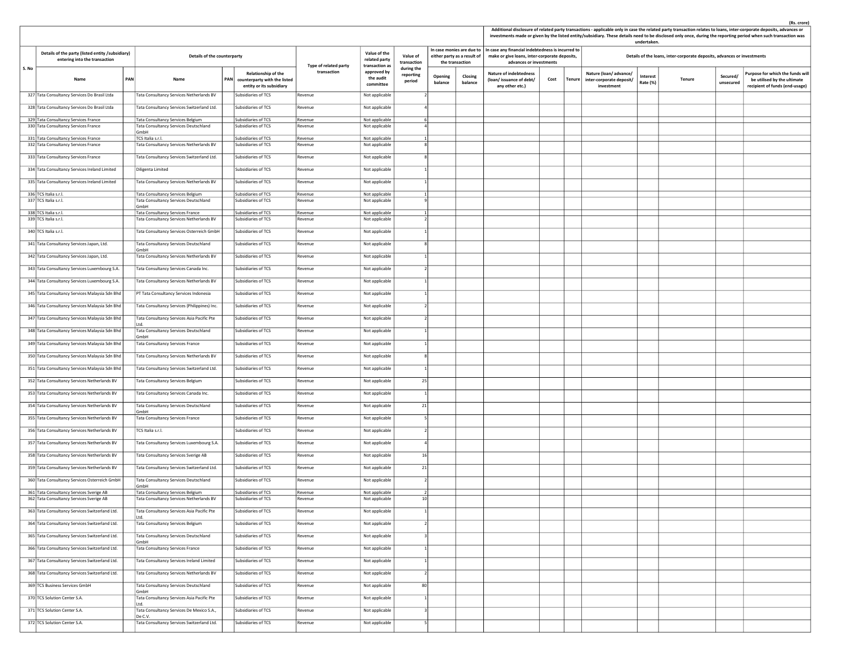|       |                                                                                   |     |                                                                                   |            |                                                                                 |                       |                                                 |                                   |                                                |                           |                                                                                                                               |      |        |                                                                 | undertaken.          |                                                                         |                       | (Rs. crore)<br>Additional disclosure of related party transactions - applicable only in case the related party transaction relates to loans, inter-corporate deposits, advances or<br>investments made or given by the listed entity/subsidiary. These details need to be disclosed only once, during the reporting period when such transaction was |
|-------|-----------------------------------------------------------------------------------|-----|-----------------------------------------------------------------------------------|------------|---------------------------------------------------------------------------------|-----------------------|-------------------------------------------------|-----------------------------------|------------------------------------------------|---------------------------|-------------------------------------------------------------------------------------------------------------------------------|------|--------|-----------------------------------------------------------------|----------------------|-------------------------------------------------------------------------|-----------------------|------------------------------------------------------------------------------------------------------------------------------------------------------------------------------------------------------------------------------------------------------------------------------------------------------------------------------------------------------|
|       | Details of the party (listed entity /subsidiary)<br>entering into the transaction |     | Details of the counterparty                                                       |            |                                                                                 | Type of related party | Value of the<br>related party<br>transaction as | Value of<br>transaction           | either party as a result of<br>the transaction | In case monies are due to | In case any financial indebtedness is incurred to<br>make or give loans, inter-corporate deposits,<br>advances or investments |      |        |                                                                 |                      | Details of the loans, inter-corporate deposits, advances or investments |                       |                                                                                                                                                                                                                                                                                                                                                      |
| S. No | Name                                                                              | PAN | Name                                                                              | <b>PAN</b> | Relationship of the<br>counterparty with the listed<br>entity or its subsidiary | transaction           | approved by<br>the audit<br>committee           | during the<br>reporting<br>period | Opening<br>balance                             | Closing<br>balance        | <b>Nature of indebtedness</b><br>(loan/issuance of debt/<br>any other etc.)                                                   | Cost | Tenure | Nature (loan/advance/<br>inter-corporate deposit/<br>investment | Interest<br>Rate (%) | Tenure                                                                  | Secured/<br>unsecured | urpose for which the funds will<br>be utilised by the ultimate<br>recipient of funds (end-usage)                                                                                                                                                                                                                                                     |
|       | 327 Tata Consultancy Services Do Brasil Ltda                                      |     | Tata Consultancy Services Netherlands BV                                          |            | Subsidiaries of TCS                                                             | Revenue               | Not applicable                                  |                                   |                                                |                           |                                                                                                                               |      |        |                                                                 |                      |                                                                         |                       |                                                                                                                                                                                                                                                                                                                                                      |
|       | 328 Tata Consultancy Services Do Brasil Ltda                                      |     | Tata Consultancy Services Switzerland Ltd.                                        |            | Subsidiaries of TCS                                                             | Revenue               | Not applicable                                  |                                   |                                                |                           |                                                                                                                               |      |        |                                                                 |                      |                                                                         |                       |                                                                                                                                                                                                                                                                                                                                                      |
|       | 329 Tata Consultancy Services France<br>330 Tata Consultancy Services France      |     | Tata Consultancy Services Belgium<br>Tata Consultancy Services Deutschland        |            | Subsidiaries of TCS<br>Subsidiaries of TCS                                      | Revenue<br>Revenue    | Not applicable                                  | -61                               |                                                |                           |                                                                                                                               |      |        |                                                                 |                      |                                                                         |                       |                                                                                                                                                                                                                                                                                                                                                      |
|       | 331 Tata Consultancy Services France                                              |     | 3mbH                                                                              |            |                                                                                 |                       | Not applicable                                  |                                   |                                                |                           |                                                                                                                               |      |        |                                                                 |                      |                                                                         |                       |                                                                                                                                                                                                                                                                                                                                                      |
|       | 332 Tata Consultancy Services France                                              |     | TCS Italia s.r.l.<br>Tata Consultancy Services Netherlands BV                     |            | Subsidiaries of TCS<br>Subsidiaries of TCS                                      | Revenue<br>Revenue    | Not applicable<br>Not applicable                |                                   |                                                |                           |                                                                                                                               |      |        |                                                                 |                      |                                                                         |                       |                                                                                                                                                                                                                                                                                                                                                      |
|       | 333 Tata Consultancy Services France                                              |     | Tata Consultancy Services Switzerland Ltd.                                        |            | Subsidiaries of TCS                                                             | Revenue               | Not applicable                                  |                                   |                                                |                           |                                                                                                                               |      |        |                                                                 |                      |                                                                         |                       |                                                                                                                                                                                                                                                                                                                                                      |
|       | 334 Tata Consultancy Services Ireland Limited                                     |     | Diligenta Limited                                                                 |            | Subsidiaries of TCS                                                             | Revenue               | Not applicable                                  |                                   |                                                |                           |                                                                                                                               |      |        |                                                                 |                      |                                                                         |                       |                                                                                                                                                                                                                                                                                                                                                      |
|       | 335 Tata Consultancy Services Ireland Limited                                     |     | Tata Consultancy Services Netherlands BV                                          |            | Subsidiaries of TCS                                                             | Revenue               | Not applicable                                  |                                   |                                                |                           |                                                                                                                               |      |        |                                                                 |                      |                                                                         |                       |                                                                                                                                                                                                                                                                                                                                                      |
|       | 336 TCS Italia s.r.l.                                                             |     | Tata Consultancy Services Belgium                                                 |            | Subsidiaries of TCS                                                             | Revenue               | Not applicable                                  |                                   |                                                |                           |                                                                                                                               |      |        |                                                                 |                      |                                                                         |                       |                                                                                                                                                                                                                                                                                                                                                      |
|       | 337 TCS Italia s.r.l.                                                             |     | Tata Consultancy Services Deutschland<br>GmbH                                     |            | Subsidiaries of TCS                                                             | Revenue               | Not applicable                                  | $\alpha$                          |                                                |                           |                                                                                                                               |      |        |                                                                 |                      |                                                                         |                       |                                                                                                                                                                                                                                                                                                                                                      |
|       | 338 TCS Italia s.r.l.<br>339 TCS Italia s.r.l.                                    |     | Tata Consultancy Services France<br>Tata Consultancy Services Netherlands BV      |            | Subsidiaries of TCS<br>Subsidiaries of TCS                                      | Revenue<br>Revenue    | Not applicable<br>Not applicable                |                                   |                                                |                           |                                                                                                                               |      |        |                                                                 |                      |                                                                         |                       |                                                                                                                                                                                                                                                                                                                                                      |
|       | 340 TCS Italia s.r.l.                                                             |     | Tata Consultancy Services Osterreich GmbH                                         |            | Subsidiaries of TCS                                                             | Revenue               | Not applicable                                  |                                   |                                                |                           |                                                                                                                               |      |        |                                                                 |                      |                                                                         |                       |                                                                                                                                                                                                                                                                                                                                                      |
|       | 341 Tata Consultancy Services Japan, Ltd.                                         |     | Tata Consultancy Services Deutschland                                             |            | Subsidiaries of TCS                                                             | Revenue               | Not applicable                                  |                                   |                                                |                           |                                                                                                                               |      |        |                                                                 |                      |                                                                         |                       |                                                                                                                                                                                                                                                                                                                                                      |
|       | 342 Tata Consultancy Services Japan, Ltd.                                         |     | GmbH<br>Tata Consultancy Services Netherlands BV                                  |            | Subsidiaries of TCS                                                             | Revenue               | Not applicable                                  |                                   |                                                |                           |                                                                                                                               |      |        |                                                                 |                      |                                                                         |                       |                                                                                                                                                                                                                                                                                                                                                      |
|       | 343 Tata Consultancy Services Luxembourg S.A.                                     |     |                                                                                   |            | Subsidiaries of TCS                                                             | Revenue               | Not applicable                                  |                                   |                                                |                           |                                                                                                                               |      |        |                                                                 |                      |                                                                         |                       |                                                                                                                                                                                                                                                                                                                                                      |
|       |                                                                                   |     | Tata Consultancy Services Canada Inc.<br>Tata Consultancy Services Netherlands BV |            | Subsidiaries of TCS                                                             |                       |                                                 |                                   |                                                |                           |                                                                                                                               |      |        |                                                                 |                      |                                                                         |                       |                                                                                                                                                                                                                                                                                                                                                      |
|       | 344 Tata Consultancy Services Luxembourg S.A.                                     |     |                                                                                   |            |                                                                                 | Revenue               | Not applicable                                  |                                   |                                                |                           |                                                                                                                               |      |        |                                                                 |                      |                                                                         |                       |                                                                                                                                                                                                                                                                                                                                                      |
|       | 345 Tata Consultancy Services Malaysia Sdn Bhd                                    |     | PT Tata Consultancy Services Indonesia                                            |            | Subsidiaries of TCS                                                             | Revenue               | Not applicable                                  |                                   |                                                |                           |                                                                                                                               |      |        |                                                                 |                      |                                                                         |                       |                                                                                                                                                                                                                                                                                                                                                      |
|       | 346 Tata Consultancy Services Malaysia Sdn Bhd                                    |     | Tata Consultancy Services (Philippines) Inc.                                      |            | Subsidiaries of TCS                                                             | Revenue               | Not applicable                                  |                                   |                                                |                           |                                                                                                                               |      |        |                                                                 |                      |                                                                         |                       |                                                                                                                                                                                                                                                                                                                                                      |
|       | 347 Tata Consultancy Services Malaysia Sdn Bhd                                    |     | Tata Consultancy Services Asia Pacific Pte<br>td.                                 |            | Subsidiaries of TCS                                                             | Revenue               | Not applicable                                  |                                   |                                                |                           |                                                                                                                               |      |        |                                                                 |                      |                                                                         |                       |                                                                                                                                                                                                                                                                                                                                                      |
|       | 348 Tata Consultancy Services Malaysia Sdn Bhd                                    |     | Tata Consultancy Services Deutschland<br><b>GmbH</b>                              |            | Subsidiaries of TCS                                                             | Revenue               | Not applicable                                  |                                   |                                                |                           |                                                                                                                               |      |        |                                                                 |                      |                                                                         |                       |                                                                                                                                                                                                                                                                                                                                                      |
|       | 349 Tata Consultancy Services Malaysia Sdn Bhd                                    |     | <b>Tata Consultancy Services France</b>                                           |            | Subsidiaries of TCS                                                             | Revenue               | Not applicable                                  |                                   |                                                |                           |                                                                                                                               |      |        |                                                                 |                      |                                                                         |                       |                                                                                                                                                                                                                                                                                                                                                      |
|       | 350 Tata Consultancy Services Malaysia Sdn Bhd                                    |     | Tata Consultancy Services Netherlands BV                                          |            | Subsidiaries of TCS                                                             | Revenue               | Not applicable                                  |                                   |                                                |                           |                                                                                                                               |      |        |                                                                 |                      |                                                                         |                       |                                                                                                                                                                                                                                                                                                                                                      |
|       | 351 Tata Consultancy Services Malaysia Sdn Bhd                                    |     | Tata Consultancy Services Switzerland Ltd.                                        |            | Subsidiaries of TCS                                                             | Revenue               | Not applicable                                  |                                   |                                                |                           |                                                                                                                               |      |        |                                                                 |                      |                                                                         |                       |                                                                                                                                                                                                                                                                                                                                                      |
|       | 352 Tata Consultancy Services Netherlands BV                                      |     | Tata Consultancy Services Belgium                                                 |            | Subsidiaries of TCS                                                             | Revenue               | Not applicable                                  | 25                                |                                                |                           |                                                                                                                               |      |        |                                                                 |                      |                                                                         |                       |                                                                                                                                                                                                                                                                                                                                                      |
|       | 353 Tata Consultancy Services Netherlands BV                                      |     | Tata Consultancy Services Canada Inc.                                             |            | Subsidiaries of TCS                                                             | Revenue               | Not applicable                                  |                                   |                                                |                           |                                                                                                                               |      |        |                                                                 |                      |                                                                         |                       |                                                                                                                                                                                                                                                                                                                                                      |
|       | 354 Tata Consultancy Services Netherlands BV                                      |     | Tata Consultancy Services Deutschland<br>GmbH                                     |            | Subsidiaries of TCS                                                             | Revenue               | Not applicable                                  | 21                                |                                                |                           |                                                                                                                               |      |        |                                                                 |                      |                                                                         |                       |                                                                                                                                                                                                                                                                                                                                                      |
|       | 355 Tata Consultancy Services Netherlands BV                                      |     | Tata Consultancy Services France                                                  |            | Subsidiaries of TCS                                                             | Revenue               | Not applicable                                  |                                   |                                                |                           |                                                                                                                               |      |        |                                                                 |                      |                                                                         |                       |                                                                                                                                                                                                                                                                                                                                                      |
|       | 356 Tata Consultancy Services Netherlands BV                                      |     | TCS Italia s.r.l.                                                                 |            | Subsidiaries of TCS                                                             | Revenue               | Not applicable                                  |                                   |                                                |                           |                                                                                                                               |      |        |                                                                 |                      |                                                                         |                       |                                                                                                                                                                                                                                                                                                                                                      |
|       | 357 Tata Consultancy Services Netherlands BV                                      |     | Tata Consultancy Services Luxembourg S.A.                                         |            | Subsidiaries of TCS                                                             | Revenue               | Not applicable                                  |                                   |                                                |                           |                                                                                                                               |      |        |                                                                 |                      |                                                                         |                       |                                                                                                                                                                                                                                                                                                                                                      |
|       | 358 Tata Consultancy Services Netherlands BV                                      |     | Tata Consultancy Services Sverige AB                                              |            | Subsidiaries of TCS                                                             | Revenue               | Not applicable                                  | 16                                |                                                |                           |                                                                                                                               |      |        |                                                                 |                      |                                                                         |                       |                                                                                                                                                                                                                                                                                                                                                      |
|       | 359 Tata Consultancy Services Netherlands BV                                      |     | Tata Consultancy Services Switzerland Ltd.                                        |            | Subsidiaries of TCS                                                             | Revenue               | Not applicable                                  | 21                                |                                                |                           |                                                                                                                               |      |        |                                                                 |                      |                                                                         |                       |                                                                                                                                                                                                                                                                                                                                                      |
|       | 360 Tata Consultancy Services Osterreich GmbH                                     |     | Tata Consultancy Services Deutschland                                             |            | Subsidiaries of TCS                                                             | Revenue               | Not applicable                                  |                                   |                                                |                           |                                                                                                                               |      |        |                                                                 |                      |                                                                         |                       |                                                                                                                                                                                                                                                                                                                                                      |
|       | 361 Tata Consultancy Services Sverige AB                                          |     | GmbH<br>Tata Consultancy Services Belgium                                         |            | Subsidiaries of TCS                                                             | Revenue               | Not applicable                                  |                                   |                                                |                           |                                                                                                                               |      |        |                                                                 |                      |                                                                         |                       |                                                                                                                                                                                                                                                                                                                                                      |
|       | 362 Tata Consultancy Services Sverige AB                                          |     | Tata Consultancy Services Netherlands BV                                          |            | Subsidiaries of TCS                                                             | Revenue               | Not applicable                                  | 10                                |                                                |                           |                                                                                                                               |      |        |                                                                 |                      |                                                                         |                       |                                                                                                                                                                                                                                                                                                                                                      |
|       | 363 Tata Consultancy Services Switzerland Ltd.                                    |     | Tata Consultancy Services Asia Pacific Pte<br>td.                                 |            | Subsidiaries of TCS                                                             | Revenue               | Not applicable                                  |                                   |                                                |                           |                                                                                                                               |      |        |                                                                 |                      |                                                                         |                       |                                                                                                                                                                                                                                                                                                                                                      |
|       | 364 Tata Consultancy Services Switzerland Ltd.                                    |     | Tata Consultancy Services Belgium                                                 |            | Subsidiaries of TCS                                                             | Revenue               | Not applicable                                  |                                   |                                                |                           |                                                                                                                               |      |        |                                                                 |                      |                                                                         |                       |                                                                                                                                                                                                                                                                                                                                                      |
|       | 365 Tata Consultancy Services Switzerland Ltd.                                    |     | Tata Consultancy Services Deutschland<br><b>GmbH</b>                              |            | Subsidiaries of TCS                                                             | Revenue               | Not applicable                                  |                                   |                                                |                           |                                                                                                                               |      |        |                                                                 |                      |                                                                         |                       |                                                                                                                                                                                                                                                                                                                                                      |
|       | 366 Tata Consultancy Services Switzerland Ltd.                                    |     | Tata Consultancy Services France                                                  |            | Subsidiaries of TCS                                                             | Revenue               | Not applicable                                  |                                   |                                                |                           |                                                                                                                               |      |        |                                                                 |                      |                                                                         |                       |                                                                                                                                                                                                                                                                                                                                                      |
|       | 367 Tata Consultancy Services Switzerland Ltd.                                    |     | Tata Consultancy Services Ireland Limited                                         |            | Subsidiaries of TCS                                                             | Revenue               | Not applicable                                  |                                   |                                                |                           |                                                                                                                               |      |        |                                                                 |                      |                                                                         |                       |                                                                                                                                                                                                                                                                                                                                                      |
|       | 368 Tata Consultancy Services Switzerland Ltd.                                    |     | Tata Consultancy Services Netherlands BV                                          |            | Subsidiaries of TCS                                                             | Revenue               | Not applicable                                  |                                   |                                                |                           |                                                                                                                               |      |        |                                                                 |                      |                                                                         |                       |                                                                                                                                                                                                                                                                                                                                                      |
|       | 369 TCS Business Services GmbH                                                    |     | Tata Consultancy Services Deutschland                                             |            | Subsidiaries of TCS                                                             | Revenue               | Not applicable                                  | 80                                |                                                |                           |                                                                                                                               |      |        |                                                                 |                      |                                                                         |                       |                                                                                                                                                                                                                                                                                                                                                      |
|       | 370 TCS Solution Center S.A.                                                      |     | GmbH<br>Tata Consultancy Services Asia Pacific Pte                                |            | Subsidiaries of TCS                                                             | Revenue               | Not applicable                                  |                                   |                                                |                           |                                                                                                                               |      |        |                                                                 |                      |                                                                         |                       |                                                                                                                                                                                                                                                                                                                                                      |
|       | 371 TCS Solution Center S.A.                                                      |     | Ltd.<br>Tata Consultancy Services De Mexico S.A.,                                 |            | Subsidiaries of TCS                                                             | Revenue               | Not applicable                                  | -31                               |                                                |                           |                                                                                                                               |      |        |                                                                 |                      |                                                                         |                       |                                                                                                                                                                                                                                                                                                                                                      |
|       | 372 TCS Solution Center S.A.                                                      |     | De C.V.<br>Tata Consultancy Services Switzerland Ltd.                             |            | Subsidiaries of TCS                                                             | Revenue               | Not applicable                                  |                                   |                                                |                           |                                                                                                                               |      |        |                                                                 |                      |                                                                         |                       |                                                                                                                                                                                                                                                                                                                                                      |
|       |                                                                                   |     |                                                                                   |            |                                                                                 |                       |                                                 |                                   |                                                |                           |                                                                                                                               |      |        |                                                                 |                      |                                                                         |                       |                                                                                                                                                                                                                                                                                                                                                      |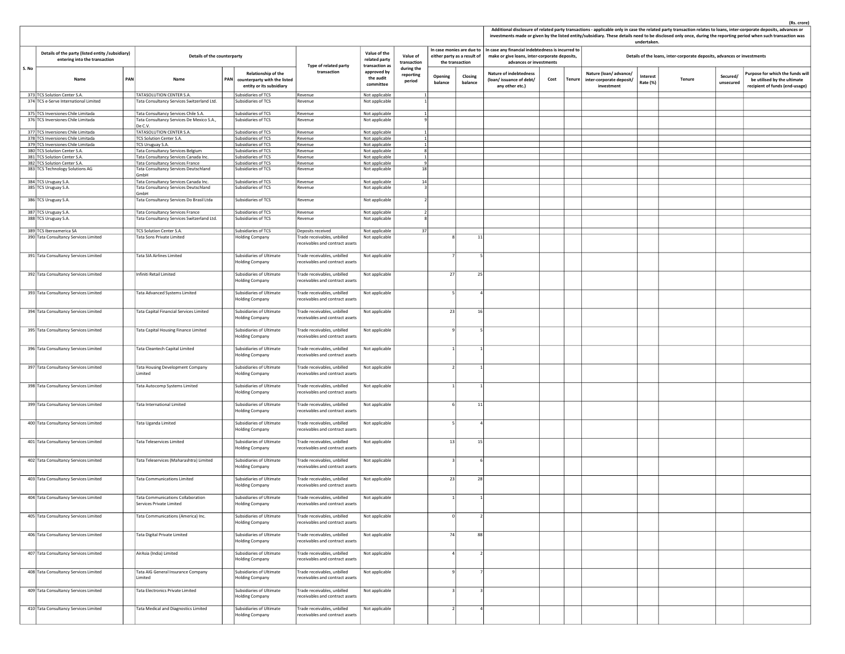|       |                                                                                   |     |                                                                                   |                                                                                        |                                                                |                                                 |                                   |                    |                                                |                                                                                                                                                             |      | ents made or given by the insted entity, subsidiary. These at             | undertaken.          |                                                                         |                       |                                                                                                   |
|-------|-----------------------------------------------------------------------------------|-----|-----------------------------------------------------------------------------------|----------------------------------------------------------------------------------------|----------------------------------------------------------------|-------------------------------------------------|-----------------------------------|--------------------|------------------------------------------------|-------------------------------------------------------------------------------------------------------------------------------------------------------------|------|---------------------------------------------------------------------------|----------------------|-------------------------------------------------------------------------|-----------------------|---------------------------------------------------------------------------------------------------|
|       | Details of the party (listed entity /subsidiary)<br>entering into the transaction |     | Details of the counterparty                                                       |                                                                                        | Type of related party                                          | Value of the<br>related party<br>transaction as | Value of<br>transaction           |                    | either party as a result of<br>the transaction | In case monies are due to $ $ In case any financial indebtedness is incurred to<br>make or give loans, inter-corporate deposits,<br>advances or investments |      |                                                                           |                      | Details of the loans, inter-corporate deposits, advances or investments |                       |                                                                                                   |
| S. No | Name                                                                              | PAN | Name                                                                              | Relationship of the<br>PAN<br>counterparty with the listed<br>entity or its subsidiary | transaction                                                    | approved by<br>the audit<br>committee           | during the<br>reporting<br>period | Opening<br>balance | Closing<br>balance                             | <b>Nature of indebtedness</b><br>(loan/issuance of debt/<br>any other etc.)                                                                                 | Cost | Nature (loan/advance/<br>Tenure<br>inter-corporate deposit/<br>investment | Interest<br>Rate (%) | Tenure                                                                  | Secured/<br>unsecured | Purpose for which the funds will<br>be utilised by the ultimate<br>recipient of funds (end-usage) |
|       | 373 TCS Solution Center S.A.<br>374 TCS e-Serve International Limited             |     | TATASOLUTION CENTER S.A.<br>Tata Consultancy Services Switzerland Ltd.            | ubsidiaries of TCS<br>Subsidiaries of TCS                                              | Revenue<br>Revenue                                             | Not applicable<br>Not applicable                |                                   |                    |                                                |                                                                                                                                                             |      |                                                                           |                      |                                                                         |                       |                                                                                                   |
|       |                                                                                   |     |                                                                                   |                                                                                        |                                                                |                                                 |                                   |                    |                                                |                                                                                                                                                             |      |                                                                           |                      |                                                                         |                       |                                                                                                   |
|       | 375 TCS Inversiones Chile Limitada<br>376 TCS Inversiones Chile Limitada          |     | Tata Consultancy Services Chile S.A.<br>Tata Consultancy Services De Mexico S.A., | Subsidiaries of TCS<br>Subsidiaries of TCS                                             | Revenue<br>Revenue                                             | Not applicable                                  |                                   |                    |                                                |                                                                                                                                                             |      |                                                                           |                      |                                                                         |                       |                                                                                                   |
|       |                                                                                   |     | De C.V.                                                                           |                                                                                        |                                                                | Not applicable                                  |                                   |                    |                                                |                                                                                                                                                             |      |                                                                           |                      |                                                                         |                       |                                                                                                   |
|       | 377 TCS Inversiones Chile Limitada                                                |     | TATASOLUTION CENTER S.A.                                                          | Subsidiaries of TCS                                                                    | Revenue                                                        | Not applicable                                  |                                   |                    |                                                |                                                                                                                                                             |      |                                                                           |                      |                                                                         |                       |                                                                                                   |
|       | 378 TCS Inversiones Chile Limitada<br>379 TCS Inversiones Chile Limitada          |     | TCS Solution Center S.A.<br>TCS Uruguay S.A.                                      | Subsidiaries of TCS<br>Subsidiaries of TCS                                             | Revenue<br>Revenue                                             | Not applicable<br>Not applicable                |                                   |                    |                                                |                                                                                                                                                             |      |                                                                           |                      |                                                                         |                       |                                                                                                   |
|       | 380 TCS Solution Center S.A.                                                      |     | Tata Consultancy Services Belgium                                                 | Subsidiaries of TCS                                                                    | Revenue                                                        | Not applicable                                  | $\mathbf{\mathcal{R}}$            |                    |                                                |                                                                                                                                                             |      |                                                                           |                      |                                                                         |                       |                                                                                                   |
|       | 381 TCS Solution Center S.A.                                                      |     | Tata Consultancy Services Canada Inc.                                             | Subsidiaries of TCS                                                                    | Revenue                                                        | Not applicable                                  |                                   |                    |                                                |                                                                                                                                                             |      |                                                                           |                      |                                                                         |                       |                                                                                                   |
|       | 382 TCS Solution Center S.A.                                                      |     | Tata Consultancy Services France                                                  | Subsidiaries of TCS                                                                    | Revenue                                                        | Not applicable                                  |                                   |                    |                                                |                                                                                                                                                             |      |                                                                           |                      |                                                                         |                       |                                                                                                   |
|       | 383 TCS Technology Solutions AG                                                   |     | Tata Consultancy Services Deutschland<br>GmbH                                     | Subsidiaries of TCS                                                                    | Revenue                                                        | Not applicable                                  | 18                                |                    |                                                |                                                                                                                                                             |      |                                                                           |                      |                                                                         |                       |                                                                                                   |
|       | 384 TCS Uruguay S.A.                                                              |     | Tata Consultancy Services Canada Inc.                                             | Subsidiaries of TCS                                                                    | Revenue                                                        | Not applicable                                  | 14<br>$\mathbf{3}$                |                    |                                                |                                                                                                                                                             |      |                                                                           |                      |                                                                         |                       |                                                                                                   |
|       | 385 TCS Uruguay S.A.                                                              |     | Tata Consultancy Services Deutschland<br>GmbH                                     | Subsidiaries of TCS                                                                    | Revenue                                                        | Not applicable                                  |                                   |                    |                                                |                                                                                                                                                             |      |                                                                           |                      |                                                                         |                       |                                                                                                   |
|       | 386 TCS Uruguay S.A.                                                              |     | Tata Consultancy Services Do Brasil Ltda                                          | Subsidiaries of TCS                                                                    | Revenue                                                        | Not applicable                                  |                                   |                    |                                                |                                                                                                                                                             |      |                                                                           |                      |                                                                         |                       |                                                                                                   |
|       | 387 TCS Uruguay S.A.                                                              |     | Tata Consultancy Services France                                                  | Subsidiaries of TCS                                                                    | Revenue                                                        | Not applicable                                  |                                   |                    |                                                |                                                                                                                                                             |      |                                                                           |                      |                                                                         |                       |                                                                                                   |
|       | 388 TCS Uruguay S.A.                                                              |     | Tata Consultancy Services Switzerland Ltd.                                        | Subsidiaries of TCS                                                                    | Revenue                                                        | Not applicable                                  |                                   |                    |                                                |                                                                                                                                                             |      |                                                                           |                      |                                                                         |                       |                                                                                                   |
|       | 389 TCS Iberoamerica SA                                                           |     | TCS Solution Center S.A.                                                          | Subsidiaries of TCS                                                                    | Deposits received                                              | Not applicable                                  | 37                                |                    |                                                |                                                                                                                                                             |      |                                                                           |                      |                                                                         |                       |                                                                                                   |
|       | 390 Tata Consultancy Services Limited                                             |     | Tata Sons Private Limited                                                         | <b>Holding Company</b>                                                                 | rade receivables, unbilled                                     | Not applicable                                  |                                   |                    | 11                                             |                                                                                                                                                             |      |                                                                           |                      |                                                                         |                       |                                                                                                   |
|       |                                                                                   |     |                                                                                   |                                                                                        | receivables and contract assets                                |                                                 |                                   |                    |                                                |                                                                                                                                                             |      |                                                                           |                      |                                                                         |                       |                                                                                                   |
|       | 391 Tata Consultancy Services Limited                                             |     | <b>Tata SIA Airlines Limited</b>                                                  | Subsidiaries of Ultimate<br><b>Holding Company</b>                                     | rade receivables, unbilled<br>receivables and contract assets  | Not applicable                                  |                                   |                    |                                                |                                                                                                                                                             |      |                                                                           |                      |                                                                         |                       |                                                                                                   |
|       |                                                                                   |     |                                                                                   |                                                                                        |                                                                |                                                 |                                   |                    |                                                |                                                                                                                                                             |      |                                                                           |                      |                                                                         |                       |                                                                                                   |
|       | 392 Tata Consultancy Services Limited                                             |     | Infiniti Retail Limited                                                           | Subsidiaries of Ultimate<br><b>Holding Company</b>                                     | Frade receivables, unbilled<br>receivables and contract assets | Not applicable                                  |                                   | 27                 | 25                                             |                                                                                                                                                             |      |                                                                           |                      |                                                                         |                       |                                                                                                   |
|       | 393 Tata Consultancy Services Limited                                             |     | Tata Advanced Systems Limited                                                     | Subsidiaries of Ultimate<br>Holding Company                                            | Frade receivables, unbilled<br>receivables and contract assets | Not applicable                                  |                                   |                    |                                                |                                                                                                                                                             |      |                                                                           |                      |                                                                         |                       |                                                                                                   |
|       | 394 Tata Consultancy Services Limited                                             |     | <b>Tata Capital Financial Services Limited</b>                                    | Subsidiaries of Ultimate<br><b>Iolding Company</b>                                     | rade receivables, unbilled<br>eceivables and contract assets   | Not applicable                                  |                                   | 23                 | 16                                             |                                                                                                                                                             |      |                                                                           |                      |                                                                         |                       |                                                                                                   |
|       | 395 Tata Consultancy Services Limited                                             |     | Tata Capital Housing Finance Limited                                              | Subsidiaries of Ultimate<br><b>Holding Company</b>                                     | Frade receivables, unbilled<br>receivables and contract assets | Not applicable                                  |                                   |                    |                                                |                                                                                                                                                             |      |                                                                           |                      |                                                                         |                       |                                                                                                   |
|       |                                                                                   |     |                                                                                   |                                                                                        |                                                                |                                                 |                                   |                    |                                                |                                                                                                                                                             |      |                                                                           |                      |                                                                         |                       |                                                                                                   |
|       | 396 Tata Consultancy Services Limited                                             |     | Tata Cleantech Capital Limited                                                    | Subsidiaries of Ultimate<br>Holding Company                                            | Frade receivables, unbilled<br>receivables and contract assets | Not applicable                                  |                                   |                    |                                                |                                                                                                                                                             |      |                                                                           |                      |                                                                         |                       |                                                                                                   |
|       | 397 Tata Consultancy Services Limited                                             |     | <b>Tata Housing Development Company</b><br>Limited                                | Subsidiaries of Ultimate<br><b>Holding Company</b>                                     | Frade receivables, unbilled<br>receivables and contract assets | Not applicable                                  |                                   |                    |                                                |                                                                                                                                                             |      |                                                                           |                      |                                                                         |                       |                                                                                                   |
|       | 398 Tata Consultancy Services Limited                                             |     | Tata Autocomp Systems Limited                                                     | Subsidiaries of Ultimate<br>Holding Company                                            | rade receivables, unbilled<br>receivables and contract assets  | Not applicable                                  |                                   |                    |                                                |                                                                                                                                                             |      |                                                                           |                      |                                                                         |                       |                                                                                                   |
|       | 399 Tata Consultancy Services Limited                                             |     | Tata International Limited                                                        | Subsidiaries of Ultimate<br><b>Holding Company</b>                                     | rade receivables, unbilled<br>eceivables and contract assets   | Not applicable                                  |                                   |                    | 11                                             |                                                                                                                                                             |      |                                                                           |                      |                                                                         |                       |                                                                                                   |
|       | 400 Tata Consultancy Services Limited                                             |     | Tata Uganda Limited                                                               | Subsidiaries of Ultimate                                                               | rade receivables, unbilled                                     | Not applicable                                  |                                   |                    |                                                |                                                                                                                                                             |      |                                                                           |                      |                                                                         |                       |                                                                                                   |
|       |                                                                                   |     |                                                                                   | <b>Holding Company</b>                                                                 | receivables and contract assets                                |                                                 |                                   |                    |                                                |                                                                                                                                                             |      |                                                                           |                      |                                                                         |                       |                                                                                                   |
|       | 401 Tata Consultancy Services Limited                                             |     | <b>Tata Teleservices Limited</b>                                                  | Subsidiaries of Ultimate<br><b>Holding Company</b>                                     | rade receivables, unbilled<br>receivables and contract assets  | Not applicable                                  |                                   | 13                 | 15                                             |                                                                                                                                                             |      |                                                                           |                      |                                                                         |                       |                                                                                                   |
|       | 402 Tata Consultancy Services Limited                                             |     |                                                                                   |                                                                                        |                                                                |                                                 |                                   |                    |                                                |                                                                                                                                                             |      |                                                                           |                      |                                                                         |                       |                                                                                                   |
|       |                                                                                   |     | Tata Teleservices (Maharashtra) Limited                                           | Subsidiaries of Ultimate<br><b>Holding Company</b>                                     | Frade receivables, unbilled<br>receivables and contract assets | Not applicable                                  |                                   |                    |                                                |                                                                                                                                                             |      |                                                                           |                      |                                                                         |                       |                                                                                                   |
|       | 403 Tata Consultancy Services Limited                                             |     | <b>Tata Communications Limited</b>                                                | Subsidiaries of Ultimate<br>Holding Company                                            | Frade receivables, unbilled<br>receivables and contract assets | Not applicable                                  |                                   | 23                 | 28                                             |                                                                                                                                                             |      |                                                                           |                      |                                                                         |                       |                                                                                                   |
|       | 404 Tata Consultancy Services Limited                                             |     | Tata Communications Collaboration<br>Services Private Limited                     | Subsidiaries of Ultimate<br><b>Holding Company</b>                                     | rade receivables, unbilled<br>receivables and contract assets  | Not applicable                                  |                                   |                    |                                                |                                                                                                                                                             |      |                                                                           |                      |                                                                         |                       |                                                                                                   |
|       | 405 Tata Consultancy Services Limited                                             |     | Tata Communications (America) Inc.                                                | Subsidiaries of Ultimate<br><b>Holding Company</b>                                     | Trade receivables, unbilled<br>receivables and contract assets | Not applicable                                  |                                   |                    |                                                |                                                                                                                                                             |      |                                                                           |                      |                                                                         |                       |                                                                                                   |
|       | 406 Tata Consultancy Services Limited                                             |     | <b>Tata Digital Private Limited</b>                                               | Subsidiaries of Ultimate<br><b>Holding Company</b>                                     | Trade receivables, unbilled<br>receivables and contract assets | Not applicable                                  |                                   | 74                 | 88                                             |                                                                                                                                                             |      |                                                                           |                      |                                                                         |                       |                                                                                                   |
|       | 407 Tata Consultancy Services Limited                                             |     | AirAsia (India) Limited                                                           | Subsidiaries of Ultimate<br><b>Holding Company</b>                                     | Trade receivables, unbilled<br>receivables and contract assets | Not applicable                                  |                                   |                    |                                                |                                                                                                                                                             |      |                                                                           |                      |                                                                         |                       |                                                                                                   |
|       | 408 Tata Consultancy Services Limited                                             |     | Tata AIG General Insurance Company<br>Limited                                     | Subsidiaries of Ultimate<br><b>Holding Company</b>                                     | Frade receivables, unbilled<br>receivables and contract assets | Not applicable                                  |                                   |                    |                                                |                                                                                                                                                             |      |                                                                           |                      |                                                                         |                       |                                                                                                   |
|       | 409 Tata Consultancy Services Limited                                             |     | Tata Electronics Private Limited                                                  | Subsidiaries of Ultimate<br><b>Holding Company</b>                                     | rade receivables, unbilled<br>receivables and contract assets  | Not applicable                                  |                                   |                    |                                                |                                                                                                                                                             |      |                                                                           |                      |                                                                         |                       |                                                                                                   |
|       | 410 Tata Consultancy Services Limited                                             |     | Tata Medical and Diagnostics Limited                                              | Subsidiaries of Ultimate<br><b>Holding Company</b>                                     | Trade receivables, unbilled<br>receivables and contract assets | Not applicable                                  |                                   |                    |                                                |                                                                                                                                                             |      |                                                                           |                      |                                                                         |                       |                                                                                                   |

Additional disclosure of related party transactions - applicable only in case the related party transaction relates to loans, inter-corporate deposits, advances or<br>investments made or eiven by the listed entity/subsidiary. invade or given by the listed entity/subsidiary. These details need to be disclosed only once, during the reporting period when such the reporting period when such that the reporting period when such that the reporting per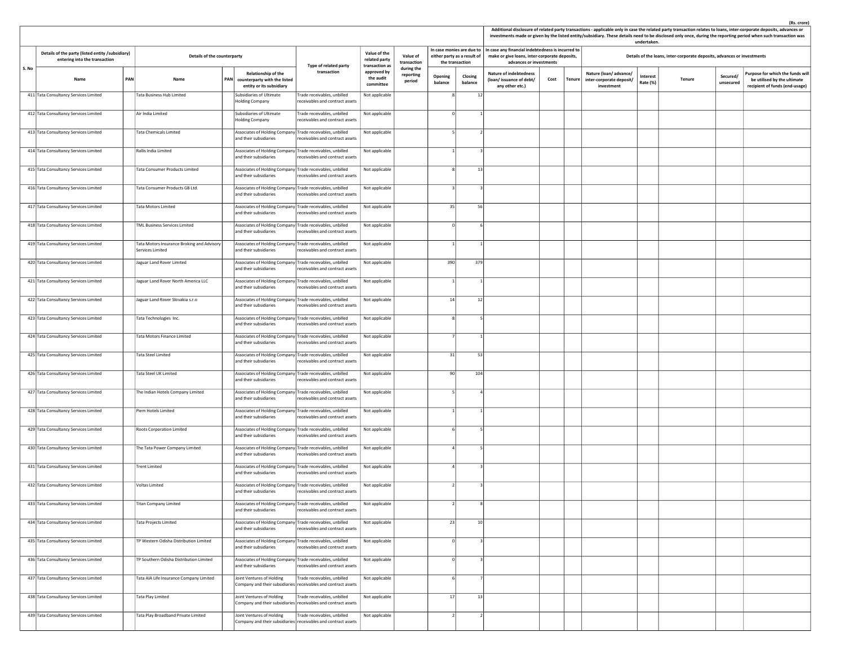|       |                                                                                   |            |                                                                |     |                                                                                     |                                                                                               |                                       |                                   |                    |                             |                                                                             |      |        |                                                                 |                      |                                                                         |                       | (Rs. crore)<br>Additional disclosure of related party transactions - applicable only in case the related party transaction relates to loans, inter-corporate deposits, advances or<br>investments made or given by the listed entity/subsidiary. These details need to be disclosed only once, during the reporting period when such transaction was |
|-------|-----------------------------------------------------------------------------------|------------|----------------------------------------------------------------|-----|-------------------------------------------------------------------------------------|-----------------------------------------------------------------------------------------------|---------------------------------------|-----------------------------------|--------------------|-----------------------------|-----------------------------------------------------------------------------|------|--------|-----------------------------------------------------------------|----------------------|-------------------------------------------------------------------------|-----------------------|------------------------------------------------------------------------------------------------------------------------------------------------------------------------------------------------------------------------------------------------------------------------------------------------------------------------------------------------------|
|       |                                                                                   |            |                                                                |     |                                                                                     |                                                                                               | Value of the                          |                                   |                    | In case monies are due to   | In case any financial indebtedness is incurred to                           |      |        |                                                                 | undertaken.          |                                                                         |                       |                                                                                                                                                                                                                                                                                                                                                      |
|       | Details of the party (listed entity /subsidiary)<br>entering into the transaction |            | Details of the counterparty                                    |     |                                                                                     | Type of related party                                                                         | related party<br>transaction as       | Value of<br>transaction           | the transaction    | either party as a result of | make or give loans, inter-corporate deposits,<br>advances or investments    |      |        |                                                                 |                      | Details of the loans, inter-corporate deposits, advances or investments |                       |                                                                                                                                                                                                                                                                                                                                                      |
| S. No | Name                                                                              | <b>PAN</b> | Name                                                           | PAN | Relationship of the<br>counterparty with the listed<br>entity or its subsidiary     | transaction                                                                                   | approved by<br>the audit<br>committee | during the<br>reporting<br>period | Opening<br>balance | Closing<br>balance          | <b>Nature of indebtedness</b><br>(loan/issuance of debt/<br>any other etc.) | Cost | Tenure | Nature (loan/advance/<br>inter-corporate deposit/<br>investment | Interest<br>Rate (%) | Tenure                                                                  | Secured/<br>unsecured | Purpose for which the funds wil<br>be utilised by the ultimate<br>recipient of funds (end-usage)                                                                                                                                                                                                                                                     |
|       | 411 Tata Consultancy Services Limited                                             |            | Tata Business Hub Limited                                      |     | <b>Subsidiaries of Ultimate</b><br><b>Holding Company</b>                           | Trade receivables, unbilled<br>receivables and contract assets                                | Not applicable                        |                                   |                    | 12                          |                                                                             |      |        |                                                                 |                      |                                                                         |                       |                                                                                                                                                                                                                                                                                                                                                      |
|       | 412 Tata Consultancy Services Limited                                             |            | Air India Limited                                              |     | Subsidiaries of Ultimate<br><b>Holding Company</b>                                  | Trade receivables, unbilled<br>receivables and contract assets                                | Not applicable                        |                                   |                    |                             |                                                                             |      |        |                                                                 |                      |                                                                         |                       |                                                                                                                                                                                                                                                                                                                                                      |
|       | 413 Tata Consultancy Services Limited                                             |            | <b>Tata Chemicals Limited</b>                                  |     | Associates of Holding Company Trade receivables, unbilled<br>and their subsidiaries | receivables and contract assets                                                               | Not applicable                        |                                   |                    |                             |                                                                             |      |        |                                                                 |                      |                                                                         |                       |                                                                                                                                                                                                                                                                                                                                                      |
|       | 414 Tata Consultancy Services Limited                                             |            | Rallis India Limited                                           |     | Associates of Holding Company Trade receivables, unbilled<br>and their subsidiaries | receivables and contract assets                                                               | Not applicable                        |                                   |                    |                             |                                                                             |      |        |                                                                 |                      |                                                                         |                       |                                                                                                                                                                                                                                                                                                                                                      |
|       | 415 Tata Consultancy Services Limited                                             |            | Tata Consumer Products Limited                                 |     | Associates of Holding Company Trade receivables, unbilled<br>and their subsidiaries | eceivables and contract assets                                                                | Not applicable                        |                                   |                    | 13                          |                                                                             |      |        |                                                                 |                      |                                                                         |                       |                                                                                                                                                                                                                                                                                                                                                      |
|       | 416 Tata Consultancy Services Limited                                             |            | Tata Consumer Products GB Ltd.                                 |     | Associates of Holding Company Trade receivables, unbilled<br>and their subsidiaries | receivables and contract assets                                                               | Not applicable                        |                                   |                    |                             |                                                                             |      |        |                                                                 |                      |                                                                         |                       |                                                                                                                                                                                                                                                                                                                                                      |
|       | 417 Tata Consultancy Services Limited                                             |            | <b>Tata Motors Limited</b>                                     |     | Associates of Holding Company Trade receivables, unbilled<br>and their subsidiaries | receivables and contract assets                                                               | Not applicable                        |                                   | 35                 | 56                          |                                                                             |      |        |                                                                 |                      |                                                                         |                       |                                                                                                                                                                                                                                                                                                                                                      |
|       | 418 Tata Consultancy Services Limited                                             |            | <b>TML Business Services Limited</b>                           |     | Associates of Holding Company Trade receivables, unbilled<br>and their subsidiaries | receivables and contract assets                                                               | Not applicable                        |                                   |                    |                             |                                                                             |      |        |                                                                 |                      |                                                                         |                       |                                                                                                                                                                                                                                                                                                                                                      |
|       | 419 Tata Consultancy Services Limited                                             |            | Tata Motors Insurance Broking and Advisory<br>Services Limited |     | Associates of Holding Company Trade receivables, unbilled<br>and their subsidiaries | eceivables and contract assets                                                                | Not applicable                        |                                   |                    |                             |                                                                             |      |        |                                                                 |                      |                                                                         |                       |                                                                                                                                                                                                                                                                                                                                                      |
|       | 420 Tata Consultancy Services Limited                                             |            | Jaguar Land Rover Limited                                      |     | Associates of Holding Company Trade receivables, unbilled<br>and their subsidiaries | eceivables and contract assets                                                                | Not applicable                        |                                   | 390                | 379                         |                                                                             |      |        |                                                                 |                      |                                                                         |                       |                                                                                                                                                                                                                                                                                                                                                      |
|       | 421 Tata Consultancy Services Limited                                             |            | Jaguar Land Rover North America LLC                            |     | Associates of Holding Company Trade receivables, unbilled<br>and their subsidiaries | receivables and contract assets                                                               | Not applicable                        |                                   |                    |                             |                                                                             |      |        |                                                                 |                      |                                                                         |                       |                                                                                                                                                                                                                                                                                                                                                      |
|       | 422 Tata Consultancy Services Limited                                             |            | Jaguar Land Rover Slovakia s.r.o                               |     | Associates of Holding Company Trade receivables, unbilled<br>and their subsidiaries | receivables and contract assets                                                               | Not applicable                        |                                   | 14                 | 12                          |                                                                             |      |        |                                                                 |                      |                                                                         |                       |                                                                                                                                                                                                                                                                                                                                                      |
|       | 423 Tata Consultancy Services Limited                                             |            | Tata Technologies Inc.                                         |     | Associates of Holding Company Trade receivables, unbilled<br>and their subsidiaries | receivables and contract assets                                                               | Not applicable                        |                                   |                    |                             |                                                                             |      |        |                                                                 |                      |                                                                         |                       |                                                                                                                                                                                                                                                                                                                                                      |
|       | 424 Tata Consultancy Services Limited                                             |            | Tata Motors Finance Limited                                    |     | Associates of Holding Company Trade receivables, unbilled<br>and their subsidiaries | receivables and contract assets                                                               | Not applicable                        |                                   |                    |                             |                                                                             |      |        |                                                                 |                      |                                                                         |                       |                                                                                                                                                                                                                                                                                                                                                      |
|       | 425 Tata Consultancy Services Limited                                             |            | <b>Tata Steel Limited</b>                                      |     | Associates of Holding Company Trade receivables, unbilled<br>and their subsidiaries | receivables and contract assets                                                               | Not applicable                        |                                   | 31                 | 53                          |                                                                             |      |        |                                                                 |                      |                                                                         |                       |                                                                                                                                                                                                                                                                                                                                                      |
|       | 426 Tata Consultancy Services Limited                                             |            | Tata Steel UK Limited                                          |     | Associates of Holding Company Trade receivables, unbilled<br>and their subsidiaries | receivables and contract assets                                                               | Not applicable                        |                                   | 90                 | 104                         |                                                                             |      |        |                                                                 |                      |                                                                         |                       |                                                                                                                                                                                                                                                                                                                                                      |
|       | 427 Tata Consultancy Services Limited                                             |            | The Indian Hotels Company Limited                              |     | Associates of Holding Company Trade receivables, unbilled<br>and their subsidiaries | receivables and contract assets                                                               | Not applicable                        |                                   |                    |                             |                                                                             |      |        |                                                                 |                      |                                                                         |                       |                                                                                                                                                                                                                                                                                                                                                      |
|       | 428 Tata Consultancy Services Limited                                             |            | Piem Hotels Limited                                            |     | Associates of Holding Company Trade receivables, unbilled<br>and their subsidiaries | receivables and contract assets                                                               | Not applicable                        |                                   |                    |                             |                                                                             |      |        |                                                                 |                      |                                                                         |                       |                                                                                                                                                                                                                                                                                                                                                      |
|       | 429 Tata Consultancy Services Limited                                             |            | Roots Corporation Limited                                      |     | Associates of Holding Company Trade receivables, unbilled<br>and their subsidiaries | receivables and contract assets                                                               | Not applicable                        |                                   |                    |                             |                                                                             |      |        |                                                                 |                      |                                                                         |                       |                                                                                                                                                                                                                                                                                                                                                      |
|       | 430 Tata Consultancy Services Limited                                             |            | The Tata Power Company Limited                                 |     | Associates of Holding Company Trade receivables, unbilled<br>and their subsidiaries | eceivables and contract assets                                                                | Not applicable                        |                                   |                    |                             |                                                                             |      |        |                                                                 |                      |                                                                         |                       |                                                                                                                                                                                                                                                                                                                                                      |
|       | 431 Tata Consultancy Services Limited                                             |            | <b>Trent Limited</b>                                           |     | Associates of Holding Company Trade receivables, unbilled<br>and their subsidiaries | receivables and contract assets                                                               | Not applicable                        |                                   |                    |                             |                                                                             |      |        |                                                                 |                      |                                                                         |                       |                                                                                                                                                                                                                                                                                                                                                      |
|       | 432 Tata Consultancy Services Limited                                             |            | Voltas Limited                                                 |     | Associates of Holding Company Trade receivables, unbilled<br>and their subsidiaries | receivables and contract assets                                                               | Not applicable                        |                                   |                    |                             |                                                                             |      |        |                                                                 |                      |                                                                         |                       |                                                                                                                                                                                                                                                                                                                                                      |
|       | 433 Tata Consultancy Services Limited                                             |            | Titan Company Limited                                          |     | Associates of Holding Company Trade receivables, unbilled<br>and their subsidiaries | receivables and contract assets                                                               | Not applicable                        |                                   |                    |                             |                                                                             |      |        |                                                                 |                      |                                                                         |                       |                                                                                                                                                                                                                                                                                                                                                      |
|       | 434 Tata Consultancy Services Limited                                             |            | <b>Tata Projects Limited</b>                                   |     | Associates of Holding Company Trade receivables, unbilled<br>and their subsidiaries | receivables and contract assets                                                               | Not applicable                        |                                   | 23                 | 10 <sup>1</sup>             |                                                                             |      |        |                                                                 |                      |                                                                         |                       |                                                                                                                                                                                                                                                                                                                                                      |
|       | 435 Tata Consultancy Services Limited                                             |            | TP Western Odisha Distribution Limited                         |     | Associates of Holding Company Trade receivables, unbilled<br>and their subsidiaries | receivables and contract assets                                                               | Not applicable                        |                                   |                    |                             |                                                                             |      |        |                                                                 |                      |                                                                         |                       |                                                                                                                                                                                                                                                                                                                                                      |
|       | 436 Tata Consultancy Services Limited                                             |            | TP Southern Odisha Distribution Limited                        |     | Associates of Holding Company Trade receivables, unbilled<br>and their subsidiaries | receivables and contract assets                                                               | Not applicable                        |                                   |                    |                             |                                                                             |      |        |                                                                 |                      |                                                                         |                       |                                                                                                                                                                                                                                                                                                                                                      |
|       | 437 Tata Consultancy Services Limited                                             |            | Tata AIA Life Insurance Company Limited                        |     | Joint Ventures of Holding                                                           | Trade receivables, unbilled<br>Company and their subsidiaries receivables and contract assets | Not applicable                        |                                   |                    |                             |                                                                             |      |        |                                                                 |                      |                                                                         |                       |                                                                                                                                                                                                                                                                                                                                                      |
|       | 438 Tata Consultancy Services Limited                                             |            | Tata Play Limited                                              |     | Joint Ventures of Holding                                                           | Trade receivables, unbilled<br>Company and their subsidiaries receivables and contract assets | Not applicable                        |                                   | 17                 | 13                          |                                                                             |      |        |                                                                 |                      |                                                                         |                       |                                                                                                                                                                                                                                                                                                                                                      |
|       | 439 Tata Consultancy Services Limited                                             |            | Tata Play Broadband Private Limited                            |     | Joint Ventures of Holding                                                           | Trade receivables, unbilled<br>Company and their subsidiaries receivables and contract assets | Not applicable                        |                                   |                    |                             |                                                                             |      |        |                                                                 |                      |                                                                         |                       |                                                                                                                                                                                                                                                                                                                                                      |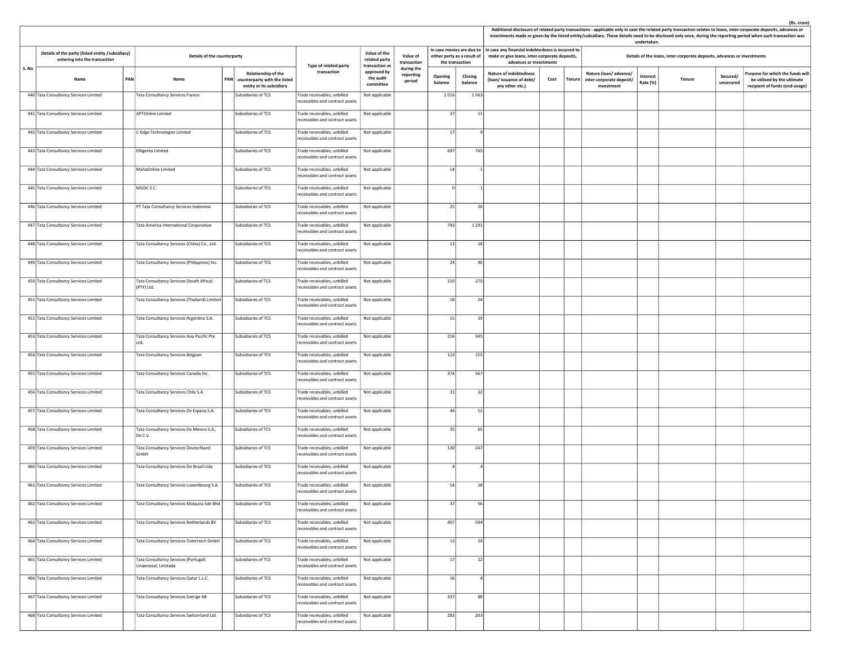|       |                                                                                   |     |                                                              |            |                                                                                 |                                                                 |                                                 |                                   |                    |                                                          |                                                                                                                               |      |        |                                                                 | undertaken.          |                                                                         |                       | (Rs. crore)<br>Additional disclosure of related party transactions - applicable only in case the related party transaction relates to loans, inter-corporate deposits, advances or<br>investments made or given by the listed entity/subsidiary. These details need to be disclosed only once, during the reporting period when such transaction was |
|-------|-----------------------------------------------------------------------------------|-----|--------------------------------------------------------------|------------|---------------------------------------------------------------------------------|-----------------------------------------------------------------|-------------------------------------------------|-----------------------------------|--------------------|----------------------------------------------------------|-------------------------------------------------------------------------------------------------------------------------------|------|--------|-----------------------------------------------------------------|----------------------|-------------------------------------------------------------------------|-----------------------|------------------------------------------------------------------------------------------------------------------------------------------------------------------------------------------------------------------------------------------------------------------------------------------------------------------------------------------------------|
|       | Details of the party (listed entity /subsidiary)<br>entering into the transaction |     | Details of the counterparty                                  |            |                                                                                 | Type of related party                                           | Value of the<br>related party<br>transaction as | Value of<br>transaction           | the transaction    | In case monies are due to<br>either party as a result of | In case any financial indebtedness is incurred to<br>make or give loans, inter-corporate deposits,<br>advances or investments |      |        |                                                                 |                      | Details of the loans, inter-corporate deposits, advances or investments |                       |                                                                                                                                                                                                                                                                                                                                                      |
| S. No | Name                                                                              | PAN | Name                                                         | <b>PAN</b> | Relationship of the<br>counterparty with the listed<br>entity or its subsidiary | transaction                                                     | approved by<br>the audit<br>committee           | during the<br>reporting<br>period | Opening<br>balance | Closing<br>balance                                       | <b>Nature of indebtedness</b><br>(loan/issuance of debt/<br>any other etc.)                                                   | Cost | Tenure | Nature (loan/advance/<br>inter-corporate deposit/<br>investment | Interest<br>Rate (%) | Tenure                                                                  | Secured/<br>unsecured | urpose for which the funds will<br>be utilised by the ultimate<br>recipient of funds (end-usage)                                                                                                                                                                                                                                                     |
|       | 440 Tata Consultancy Services Limited                                             |     | Tata Consultancy Services France                             |            | Subsidiaries of TCS                                                             | Trade receivables, unbilled<br>receivables and contract assets  | Not applicable                                  |                                   | 1016               | 1063                                                     |                                                                                                                               |      |        |                                                                 |                      |                                                                         |                       |                                                                                                                                                                                                                                                                                                                                                      |
|       | 441 Tata Consultancy Services Limited                                             |     | APTOnline Limited                                            |            | Subsidiaries of TCS                                                             | Trade receivables, unbilled<br>receivables and contract assets  | Not applicable                                  |                                   | 37                 | 11                                                       |                                                                                                                               |      |        |                                                                 |                      |                                                                         |                       |                                                                                                                                                                                                                                                                                                                                                      |
|       | 442 Tata Consultancy Services Limited                                             |     | C-Edge Technologies Limited                                  |            | Subsidiaries of TCS                                                             | Trade receivables, unbilled<br>receivables and contract assets  | Not applicable                                  |                                   | 17                 | ٠q                                                       |                                                                                                                               |      |        |                                                                 |                      |                                                                         |                       |                                                                                                                                                                                                                                                                                                                                                      |
|       | 443 Tata Consultancy Services Limited                                             |     | Diligenta Limited                                            |            | Subsidiaries of TCS                                                             | Trade receivables, unbilled<br>receivables and contract assets  | Not applicable                                  |                                   | 697                | 745                                                      |                                                                                                                               |      |        |                                                                 |                      |                                                                         |                       |                                                                                                                                                                                                                                                                                                                                                      |
|       | 444 Tata Consultancy Services Limited                                             |     | MahaOnline Limited                                           |            | Subsidiaries of TCS                                                             | Trade receivables, unbilled<br>receivables and contract assets  | Not applicable                                  |                                   | 14                 |                                                          |                                                                                                                               |      |        |                                                                 |                      |                                                                         |                       |                                                                                                                                                                                                                                                                                                                                                      |
|       | 445 Tata Consultancy Services Limited                                             |     | MGDC S.C.                                                    |            | Subsidiaries of TCS                                                             | Trade receivables, unbilled<br>receivables and contract assets  | Not applicable                                  |                                   | $\Omega$           |                                                          |                                                                                                                               |      |        |                                                                 |                      |                                                                         |                       |                                                                                                                                                                                                                                                                                                                                                      |
|       | 446 Tata Consultancy Services Limited                                             |     | PT Tata Consultancy Services Indonesia                       |            | Subsidiaries of TCS                                                             | Trade receivables, unbilled<br>receivables and contract assets  | Not applicable                                  |                                   | 25                 | 26                                                       |                                                                                                                               |      |        |                                                                 |                      |                                                                         |                       |                                                                                                                                                                                                                                                                                                                                                      |
|       | 447 Tata Consultancy Services Limited                                             |     | Tata America International Corporation                       |            | Subsidiaries of TCS                                                             | Trade receivables, unbilled<br>receivables and contract assets  | Not applicable                                  |                                   | 793                | 1291                                                     |                                                                                                                               |      |        |                                                                 |                      |                                                                         |                       |                                                                                                                                                                                                                                                                                                                                                      |
|       | 448 Tata Consultancy Services Limited                                             |     | Tata Consultancy Services (China) Co., Ltd.                  |            | Subsidiaries of TCS                                                             | Trade receivables, unbilled<br>receivables and contract assets  | Not applicable                                  |                                   | 13                 | 18                                                       |                                                                                                                               |      |        |                                                                 |                      |                                                                         |                       |                                                                                                                                                                                                                                                                                                                                                      |
|       | 449 Tata Consultancy Services Limited                                             |     | Tata Consultancy Services (Philippines) Inc.                 |            | Subsidiaries of TCS                                                             | Trade receivables, unbilled<br>receivables and contract assets  | Not applicable                                  |                                   | 24                 | 46                                                       |                                                                                                                               |      |        |                                                                 |                      |                                                                         |                       |                                                                                                                                                                                                                                                                                                                                                      |
|       | 450 Tata Consultancy Services Limited                                             |     | Tata Consultancy Services (South Africa)<br>(PTY) Ltd.       |            | Subsidiaries of TCS                                                             | Trade receivables, unbilled<br>receivables and contract assets. | Not applicable                                  |                                   | 210                | 270                                                      |                                                                                                                               |      |        |                                                                 |                      |                                                                         |                       |                                                                                                                                                                                                                                                                                                                                                      |
|       | 451 Tata Consultancy Services Limited                                             |     | Tata Consultancy Services (Thailand) Limited                 |            | Subsidiaries of TCS                                                             | Trade receivables, unbilled<br>receivables and contract assets  | Not applicable                                  |                                   | 18                 | 24                                                       |                                                                                                                               |      |        |                                                                 |                      |                                                                         |                       |                                                                                                                                                                                                                                                                                                                                                      |
|       | 452 Tata Consultancy Services Limited                                             |     | Tata Consultancy Services Argentina S.A.                     |            | Subsidiaries of TCS                                                             | Trade receivables, unbilled<br>receivables and contract assets  | Not applicable                                  |                                   | 15                 | 19                                                       |                                                                                                                               |      |        |                                                                 |                      |                                                                         |                       |                                                                                                                                                                                                                                                                                                                                                      |
|       | 453 Tata Consultancy Services Limited                                             |     | Tata Consultancy Services Asia Pacific Pte<br>Ltd.           |            | Subsidiaries of TCS                                                             | Trade receivables, unbilled<br>receivables and contract assets  | Not applicable                                  |                                   | 216                | 345                                                      |                                                                                                                               |      |        |                                                                 |                      |                                                                         |                       |                                                                                                                                                                                                                                                                                                                                                      |
|       | 454 Tata Consultancy Services Limited                                             |     | Tata Consultancy Services Belgium                            |            | Subsidiaries of TCS                                                             | Trade receivables, unbilled<br>receivables and contract assets  | Not applicable                                  |                                   | 123                | 155                                                      |                                                                                                                               |      |        |                                                                 |                      |                                                                         |                       |                                                                                                                                                                                                                                                                                                                                                      |
|       | 455 Tata Consultancy Services Limited                                             |     | Tata Consultancy Services Canada Inc.                        |            | Subsidiaries of TCS                                                             | Trade receivables, unbilled<br>receivables and contract assets  | Not applicable                                  |                                   | 374                | 567                                                      |                                                                                                                               |      |        |                                                                 |                      |                                                                         |                       |                                                                                                                                                                                                                                                                                                                                                      |
|       | 456 Tata Consultancy Services Limited                                             |     | Tata Consultancy Services Chile S.A.                         |            | Subsidiaries of TCS                                                             | Frade receivables, unbilled<br>receivables and contract assets  | Not applicable                                  |                                   | 31                 | 32                                                       |                                                                                                                               |      |        |                                                                 |                      |                                                                         |                       |                                                                                                                                                                                                                                                                                                                                                      |
|       | 457 Tata Consultancy Services Limited                                             |     | Tata Consultancy Services De Espana S.A.                     |            | Subsidiaries of TCS                                                             | Trade receivables, unbilled<br>receivables and contract assets  | Not applicable                                  |                                   | 44                 | 51                                                       |                                                                                                                               |      |        |                                                                 |                      |                                                                         |                       |                                                                                                                                                                                                                                                                                                                                                      |
|       | 458 Tata Consultancy Services Limited                                             |     | Tata Consultancy Services De Mexico S.A.,<br>De C.V.         |            | Subsidiaries of TCS                                                             | Trade receivables, unbilled<br>receivables and contract assets  | Not applicable                                  |                                   | 35                 | 65                                                       |                                                                                                                               |      |        |                                                                 |                      |                                                                         |                       |                                                                                                                                                                                                                                                                                                                                                      |
|       | 459 Tata Consultancy Services Limited                                             |     | Tata Consultancy Services Deutschland<br>GmbH                |            | Subsidiaries of TCS                                                             | Trade receivables, unbilled<br>receivables and contract assets  | Not applicable                                  |                                   | 130                | 247                                                      |                                                                                                                               |      |        |                                                                 |                      |                                                                         |                       |                                                                                                                                                                                                                                                                                                                                                      |
|       | 460 Tata Consultancy Services Limited                                             |     | Tata Consultancy Services Do Brasil Ltda                     |            | Subsidiaries of TCS                                                             | Trade receivables, unbilled<br>receivables and contract assets  | Not applicable                                  |                                   |                    |                                                          |                                                                                                                               |      |        |                                                                 |                      |                                                                         |                       |                                                                                                                                                                                                                                                                                                                                                      |
|       | 461 Tata Consultancy Services Limited                                             |     | Tata Consultancy Services Luxembourg S.A.                    |            | Subsidiaries of TCS                                                             | Trade receivables, unbilled<br>receivables and contract assets  | Not applicable                                  |                                   | 54                 | 18                                                       |                                                                                                                               |      |        |                                                                 |                      |                                                                         |                       |                                                                                                                                                                                                                                                                                                                                                      |
|       | 462 Tata Consultancy Services Limited                                             |     | lata Consultancy Services Malaysia Sdn Bhd                   |            | Subsidiaries of TCS                                                             | Frade receivables, unbilled<br>receivables and contract assets  | Not applicable                                  |                                   | 37                 | 56                                                       |                                                                                                                               |      |        |                                                                 |                      |                                                                         |                       |                                                                                                                                                                                                                                                                                                                                                      |
|       | 463 Tata Consultancy Services Limited                                             |     | Tata Consultancy Services Netherlands BV                     |            | Subsidiaries of TCS                                                             | Trade receivables, unbilled<br>receivables and contract assets  | Not applicable                                  |                                   | 407                | 594                                                      |                                                                                                                               |      |        |                                                                 |                      |                                                                         |                       |                                                                                                                                                                                                                                                                                                                                                      |
|       | 464 Tata Consultancy Services Limited                                             |     | Tata Consultancy Services Osterreich GmbH                    |            | Subsidiaries of TCS                                                             | Trade receivables, unbilled<br>receivables and contract assets  | Not applicable                                  |                                   | 13                 | 24                                                       |                                                                                                                               |      |        |                                                                 |                      |                                                                         |                       |                                                                                                                                                                                                                                                                                                                                                      |
|       | 465 Tata Consultancy Services Limited                                             |     | Tata Consultancy Services (Portugal)<br>Unipessoal, Limitada |            | Subsidiaries of TCS                                                             | Trade receivables, unbilled<br>receivables and contract assets  | Not applicable                                  |                                   | 17                 | 12                                                       |                                                                                                                               |      |        |                                                                 |                      |                                                                         |                       |                                                                                                                                                                                                                                                                                                                                                      |
|       | 466 Tata Consultancy Services Limited                                             |     | Tata Consultancy Services Qatar L.L.C.                       |            | Subsidiaries of TCS                                                             | Trade receivables, unbilled<br>receivables and contract assets  | Not applicable                                  |                                   | 16                 |                                                          |                                                                                                                               |      |        |                                                                 |                      |                                                                         |                       |                                                                                                                                                                                                                                                                                                                                                      |
|       | 467 Tata Consultancy Services Limited                                             |     | Tata Consultancy Services Sverige AB                         |            | Subsidiaries of TCS                                                             | Trade receivables, unbilled<br>receivables and contract assets  | Not applicable                                  |                                   | 337                | 88                                                       |                                                                                                                               |      |        |                                                                 |                      |                                                                         |                       |                                                                                                                                                                                                                                                                                                                                                      |
|       | 468 Tata Consultancy Services Limited                                             |     | Tata Consultancy Services Switzerland Ltd.                   |            | Subsidiaries of TCS                                                             | Frade receivables, unbilled<br>receivables and contract assets  | Not applicable                                  |                                   | 283                | 203                                                      |                                                                                                                               |      |        |                                                                 |                      |                                                                         |                       |                                                                                                                                                                                                                                                                                                                                                      |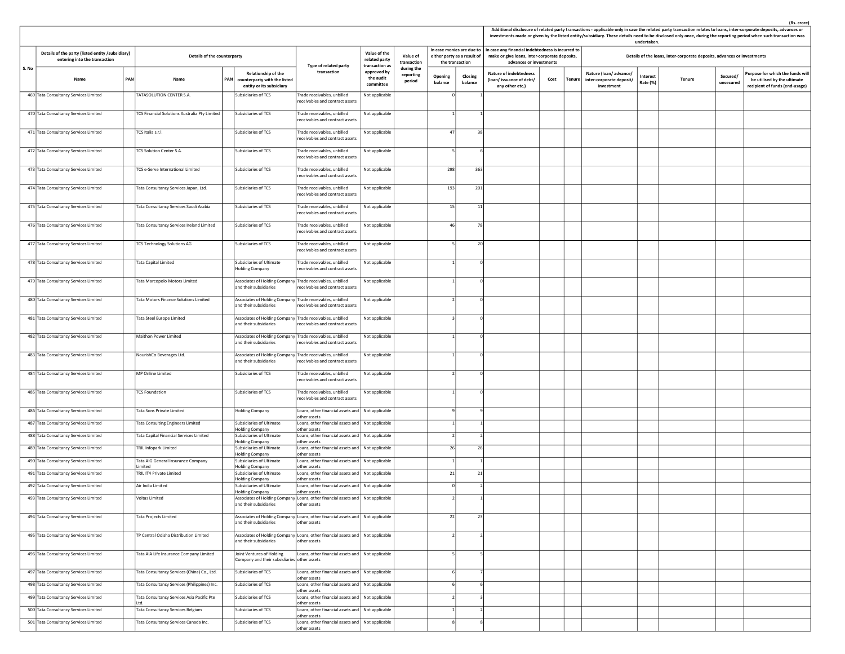|       |                                                                                   |     |                                               |     |                                                                                     |                                                                                                  |                                                 |                                   |                    |                                                                             |                                                                                                                               |      |        |                                                                 | undertaken.          |                                                                         |                       | Additional disclosure of related party transactions - applicable only in case the related party transaction relates to loans, inter-corporate deposits, advances or<br>investments made or given by the listed entity/subsidiary. These details need to be disclosed only once, during the reporting period when such transaction was |
|-------|-----------------------------------------------------------------------------------|-----|-----------------------------------------------|-----|-------------------------------------------------------------------------------------|--------------------------------------------------------------------------------------------------|-------------------------------------------------|-----------------------------------|--------------------|-----------------------------------------------------------------------------|-------------------------------------------------------------------------------------------------------------------------------|------|--------|-----------------------------------------------------------------|----------------------|-------------------------------------------------------------------------|-----------------------|---------------------------------------------------------------------------------------------------------------------------------------------------------------------------------------------------------------------------------------------------------------------------------------------------------------------------------------|
|       | Details of the party (listed entity /subsidiary)<br>entering into the transaction |     | Details of the counterparty                   |     |                                                                                     | Type of related party                                                                            | Value of the<br>related party<br>transaction as | Value of<br>transaction           |                    | In case monies are due to<br>either party as a result of<br>the transaction | In case any financial indebtedness is incurred to<br>make or give loans, inter-corporate deposits,<br>advances or investments |      |        |                                                                 |                      | Details of the loans, inter-corporate deposits, advances or investments |                       |                                                                                                                                                                                                                                                                                                                                       |
| S. No | Name                                                                              | PAN | Name                                          | PAN | Relationship of the<br>counterparty with the listed<br>entity or its subsidiary     | transaction                                                                                      | approved by<br>the audit<br>committee           | during the<br>reporting<br>period | Opening<br>balance | Closing<br>balance                                                          | <b>Nature of indebtedness</b><br>(loan/issuance of debt/<br>any other etc.)                                                   | Cost | Tenure | Nature (loan/advance/<br>inter-corporate deposit/<br>investment | Interest<br>Rate (%) | Tenure                                                                  | Secured/<br>unsecured | Purpose for which the funds will<br>be utilised by the ultimate<br>recipient of funds (end-usage)                                                                                                                                                                                                                                     |
|       | 469 Tata Consultancy Services Limited                                             |     | TATASOLUTION CENTER S.A.                      |     | Subsidiaries of TCS                                                                 | Trade receivables, unbilled<br>receivables and contract assets                                   | Not applicable                                  |                                   | $\Omega$           |                                                                             |                                                                                                                               |      |        |                                                                 |                      |                                                                         |                       |                                                                                                                                                                                                                                                                                                                                       |
|       | 470 Tata Consultancy Services Limited                                             |     | TCS Financial Solutions Australia Pty Limited |     | Subsidiaries of TCS                                                                 | Trade receivables, unbilled<br>eceivables and contract assets                                    | Not applicable                                  |                                   |                    |                                                                             |                                                                                                                               |      |        |                                                                 |                      |                                                                         |                       |                                                                                                                                                                                                                                                                                                                                       |
|       | 471 Tata Consultancy Services Limited                                             |     | TCS Italia s.r.l.                             |     | Subsidiaries of TCS                                                                 | Trade receivables, unbilled<br>receivables and contract assets                                   | Not applicable                                  |                                   | 47                 | 38                                                                          |                                                                                                                               |      |        |                                                                 |                      |                                                                         |                       |                                                                                                                                                                                                                                                                                                                                       |
|       | 472 Tata Consultancy Services Limited                                             |     | TCS Solution Center S.A.                      |     | Subsidiaries of TCS                                                                 | Trade receivables, unbilled<br>receivables and contract assets                                   | Not applicable                                  |                                   |                    |                                                                             |                                                                                                                               |      |        |                                                                 |                      |                                                                         |                       |                                                                                                                                                                                                                                                                                                                                       |
|       | 473 Tata Consultancy Services Limited                                             |     | TCS e-Serve International Limited             |     | Subsidiaries of TCS                                                                 | rade receivables, unbilled<br>receivables and contract assets                                    | Not applicable                                  |                                   | 298                | 363                                                                         |                                                                                                                               |      |        |                                                                 |                      |                                                                         |                       |                                                                                                                                                                                                                                                                                                                                       |
|       | 474 Tata Consultancy Services Limited                                             |     | Tata Consultancy Services Japan, Ltd.         |     | Subsidiaries of TCS                                                                 | Trade receivables, unbilled<br>receivables and contract assets                                   | Not applicable                                  |                                   | 193                | 201                                                                         |                                                                                                                               |      |        |                                                                 |                      |                                                                         |                       |                                                                                                                                                                                                                                                                                                                                       |
|       | 475 Tata Consultancy Services Limited                                             |     | Tata Consultancy Services Saudi Arabia        |     | Subsidiaries of TCS                                                                 | Trade receivables, unbilled<br>eceivables and contract assets                                    | Not applicable                                  |                                   | 15                 | 11                                                                          |                                                                                                                               |      |        |                                                                 |                      |                                                                         |                       |                                                                                                                                                                                                                                                                                                                                       |
|       | 476 Tata Consultancy Services Limited                                             |     | Tata Consultancy Services Ireland Limited     |     | Subsidiaries of TCS                                                                 | Trade receivables, unbilled<br>receivables and contract assets                                   | Not applicable                                  |                                   | 46                 | 78                                                                          |                                                                                                                               |      |        |                                                                 |                      |                                                                         |                       |                                                                                                                                                                                                                                                                                                                                       |
|       | 477 Tata Consultancy Services Limited                                             |     | <b>TCS Technology Solutions AG</b>            |     | Subsidiaries of TCS                                                                 | Trade receivables, unbilled<br>receivables and contract assets                                   | Not applicable                                  |                                   |                    | 20                                                                          |                                                                                                                               |      |        |                                                                 |                      |                                                                         |                       |                                                                                                                                                                                                                                                                                                                                       |
|       | 478 Tata Consultancy Services Limited                                             |     | Tata Capital Limited                          |     | Subsidiaries of Ultimate<br><b>Holding Company</b>                                  | Trade receivables, unbilled<br>receivables and contract assets                                   | Not applicable                                  |                                   |                    |                                                                             |                                                                                                                               |      |        |                                                                 |                      |                                                                         |                       |                                                                                                                                                                                                                                                                                                                                       |
|       | 479 Tata Consultancy Services Limited                                             |     | Tata Marcopolo Motors Limited                 |     | Associates of Holding Company<br>and their subsidiaries                             | Trade receivables, unbilled<br>receivables and contract assets                                   | Not applicable                                  |                                   |                    |                                                                             |                                                                                                                               |      |        |                                                                 |                      |                                                                         |                       |                                                                                                                                                                                                                                                                                                                                       |
|       | 480 Tata Consultancy Services Limited                                             |     | Tata Motors Finance Solutions Limited         |     | Associates of Holding Company<br>and their subsidiaries                             | Trade receivables, unbilled<br>receivables and contract assets                                   | Not applicable                                  |                                   |                    |                                                                             |                                                                                                                               |      |        |                                                                 |                      |                                                                         |                       |                                                                                                                                                                                                                                                                                                                                       |
|       | 481 Tata Consultancy Services Limited                                             |     | Tata Steel Europe Limited                     |     | Associates of Holding Company Trade receivables, unbilled<br>and their subsidiaries | eceivables and contract assets                                                                   | Not applicable                                  |                                   |                    |                                                                             |                                                                                                                               |      |        |                                                                 |                      |                                                                         |                       |                                                                                                                                                                                                                                                                                                                                       |
|       | 482 Tata Consultancy Services Limited                                             |     | Maithon Power Limited                         |     | Associates of Holding Company Trade receivables, unbilled<br>and their subsidiaries | receivables and contract assets                                                                  | Not applicable                                  |                                   |                    |                                                                             |                                                                                                                               |      |        |                                                                 |                      |                                                                         |                       |                                                                                                                                                                                                                                                                                                                                       |
|       | 483 Tata Consultancy Services Limited                                             |     | NourishCo Beverages Ltd.                      |     | Associates of Holding Company Trade receivables, unbilled<br>and their subsidiaries | receivables and contract assets                                                                  | Not applicable                                  |                                   |                    |                                                                             |                                                                                                                               |      |        |                                                                 |                      |                                                                         |                       |                                                                                                                                                                                                                                                                                                                                       |
|       | 484 Tata Consultancy Services Limited                                             |     | MP Online Limited                             |     | Subsidiaries of TCS                                                                 | Trade receivables, unbilled<br>receivables and contract assets                                   | Not applicable                                  |                                   | $\mathcal{L}$      | $\Omega$                                                                    |                                                                                                                               |      |        |                                                                 |                      |                                                                         |                       |                                                                                                                                                                                                                                                                                                                                       |
|       | 485 Tata Consultancy Services Limited                                             |     | <b>TCS Foundation</b>                         |     | Subsidiaries of TCS                                                                 | Trade receivables, unbilled<br>eceivables and contract assets                                    | Not applicable                                  |                                   |                    |                                                                             |                                                                                                                               |      |        |                                                                 |                      |                                                                         |                       |                                                                                                                                                                                                                                                                                                                                       |
|       | 486 Tata Consultancy Services Limited                                             |     | Tata Sons Private Limited                     |     | <b>Holding Company</b>                                                              | Loans, other financial assets and                                                                | Not applicable                                  |                                   |                    |                                                                             |                                                                                                                               |      |        |                                                                 |                      |                                                                         |                       |                                                                                                                                                                                                                                                                                                                                       |
|       | 487 Tata Consultancy Services Limited                                             |     | Tata Consulting Engineers Limited             |     | Subsidiaries of Ultimate                                                            | other assets<br>Loans, other financial assets and   Not applicable                               |                                                 |                                   |                    |                                                                             |                                                                                                                               |      |        |                                                                 |                      |                                                                         |                       |                                                                                                                                                                                                                                                                                                                                       |
|       | 488 Tata Consultancy Services Limited                                             |     | Tata Capital Financial Services Limited       |     | <b>Holding Company</b><br>Subsidiaries of Ultimate                                  | other assets<br>Loans, other financial assets and   Not applicable                               |                                                 |                                   |                    |                                                                             |                                                                                                                               |      |        |                                                                 |                      |                                                                         |                       |                                                                                                                                                                                                                                                                                                                                       |
|       | 489 Tata Consultancy Services Limited                                             |     | <b>TRIL Infopark Limited</b>                  |     | <b>Holding Company</b><br>Subsidiaries of Ultimate                                  | other assets<br>Loans, other financial assets and   Not applicable                               |                                                 |                                   | 26                 | 26                                                                          |                                                                                                                               |      |        |                                                                 |                      |                                                                         |                       |                                                                                                                                                                                                                                                                                                                                       |
|       | 490 Tata Consultancy Services Limited                                             |     | Tata AIG General Insurance Company            |     | <b>Holding Company</b><br>Subsidiaries of Ultimate                                  | other assets<br>Loans, other financial assets and                                                | Not applicable                                  |                                   |                    |                                                                             |                                                                                                                               |      |        |                                                                 |                      |                                                                         |                       |                                                                                                                                                                                                                                                                                                                                       |
|       | 491 Tata Consultancy Services Limited                                             |     | Limited<br>TRIL IT4 Private Limited           |     | <b>Holding Company</b><br><b>Subsidiaries of Ultimate</b>                           | other assets<br>Loans, other financial assets and   Not applicable                               |                                                 |                                   | 21                 | 21                                                                          |                                                                                                                               |      |        |                                                                 |                      |                                                                         |                       |                                                                                                                                                                                                                                                                                                                                       |
|       | 492 Tata Consultancy Services Limited                                             |     | Air India Limited                             |     | <b>Holding Company</b><br>Subsidiaries of Ultimate                                  | other assets<br>Loans, other financial assets and   Not applicable                               |                                                 |                                   |                    |                                                                             |                                                                                                                               |      |        |                                                                 |                      |                                                                         |                       |                                                                                                                                                                                                                                                                                                                                       |
|       |                                                                                   |     |                                               |     | <b>Holding Company</b>                                                              | other assets                                                                                     |                                                 |                                   |                    |                                                                             |                                                                                                                               |      |        |                                                                 |                      |                                                                         |                       |                                                                                                                                                                                                                                                                                                                                       |
|       | 493 Tata Consultancy Services Limited                                             |     | Voltas Limited                                |     | and their subsidiaries                                                              | Associates of Holding Company Loans, other financial assets and   Not applicable<br>other assets |                                                 |                                   |                    |                                                                             |                                                                                                                               |      |        |                                                                 |                      |                                                                         |                       |                                                                                                                                                                                                                                                                                                                                       |
|       | 494 Tata Consultancy Services Limited                                             |     | <b>Tata Projects Limited</b>                  |     | and their subsidiaries                                                              | Associates of Holding Company Loans, other financial assets and   Not applicable<br>other assets |                                                 |                                   | 22                 | 23                                                                          |                                                                                                                               |      |        |                                                                 |                      |                                                                         |                       |                                                                                                                                                                                                                                                                                                                                       |
|       | 495 Tata Consultancy Services Limited                                             |     | TP Central Odisha Distribution Limited        |     | and their subsidiaries                                                              | Associates of Holding Company Loans, other financial assets and   Not applicable<br>other assets |                                                 |                                   |                    |                                                                             |                                                                                                                               |      |        |                                                                 |                      |                                                                         |                       |                                                                                                                                                                                                                                                                                                                                       |
|       | 496 Tata Consultancy Services Limited                                             |     | Tata AIA Life Insurance Company Limited       |     | Joint Ventures of Holding<br>Company and their subsidiaries other assets            | Loans, other financial assets and   Not applicable                                               |                                                 |                                   |                    |                                                                             |                                                                                                                               |      |        |                                                                 |                      |                                                                         |                       |                                                                                                                                                                                                                                                                                                                                       |
|       | 497 Tata Consultancy Services Limited                                             |     | Tata Consultancy Services (China) Co., Ltd.   |     | Subsidiaries of TCS                                                                 | Loans, other financial assets and   Not applicable<br>other assets                               |                                                 |                                   |                    |                                                                             |                                                                                                                               |      |        |                                                                 |                      |                                                                         |                       |                                                                                                                                                                                                                                                                                                                                       |
|       | 498 Tata Consultancy Services Limited                                             |     | Tata Consultancy Services (Philippines) Inc.  |     | Subsidiaries of TCS                                                                 | Loans, other financial assets and   Not applicable<br>other assets                               |                                                 |                                   |                    |                                                                             |                                                                                                                               |      |        |                                                                 |                      |                                                                         |                       |                                                                                                                                                                                                                                                                                                                                       |
|       | 499 Tata Consultancy Services Limited                                             |     | Tata Consultancy Services Asia Pacific Pte    |     | Subsidiaries of TCS                                                                 | Loans, other financial assets and   Not applicable<br>other assets                               |                                                 |                                   |                    |                                                                             |                                                                                                                               |      |        |                                                                 |                      |                                                                         |                       |                                                                                                                                                                                                                                                                                                                                       |
|       | 500 Tata Consultancy Services Limited                                             |     | Tata Consultancy Services Belgium             |     | Subsidiaries of TCS                                                                 | Loans, other financial assets and                                                                | Not applicable                                  |                                   |                    |                                                                             |                                                                                                                               |      |        |                                                                 |                      |                                                                         |                       |                                                                                                                                                                                                                                                                                                                                       |
|       | 501 Tata Consultancy Services Limited                                             |     | Tata Consultancy Services Canada Inc.         |     | Subsidiaries of TCS                                                                 | other assets<br>Loans, other financial assets and   Not applicable                               |                                                 |                                   |                    |                                                                             |                                                                                                                               |      |        |                                                                 |                      |                                                                         |                       |                                                                                                                                                                                                                                                                                                                                       |
|       |                                                                                   |     |                                               |     |                                                                                     | other assets                                                                                     |                                                 |                                   |                    |                                                                             |                                                                                                                               |      |        |                                                                 |                      |                                                                         |                       |                                                                                                                                                                                                                                                                                                                                       |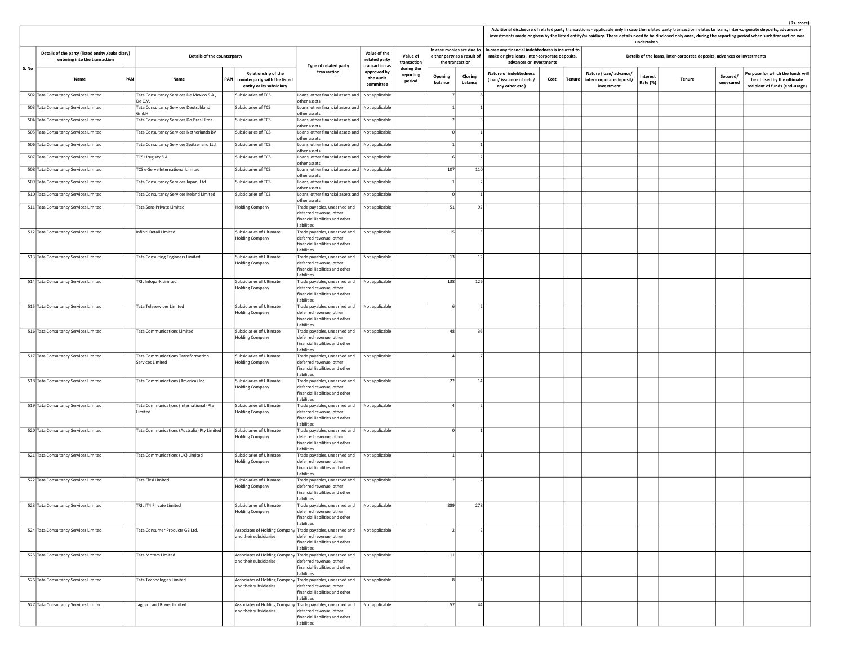|       |                                                                                   |     |                                                        |                                                                                        |                                                                                                                                                        |                                                 |                                   |                    |                                                                             |                                                                                                                               |      |        |                                                                 | undertaken.          |                                                                         |                       | Additional disclosure of related party transactions - applicable only in case the related party transaction relates to loans, inter-corporate deposits, advances or<br>investments made or given by the listed entity/subsidiary. These details need to be disclosed only once, during the reporting period when such transaction was |
|-------|-----------------------------------------------------------------------------------|-----|--------------------------------------------------------|----------------------------------------------------------------------------------------|--------------------------------------------------------------------------------------------------------------------------------------------------------|-------------------------------------------------|-----------------------------------|--------------------|-----------------------------------------------------------------------------|-------------------------------------------------------------------------------------------------------------------------------|------|--------|-----------------------------------------------------------------|----------------------|-------------------------------------------------------------------------|-----------------------|---------------------------------------------------------------------------------------------------------------------------------------------------------------------------------------------------------------------------------------------------------------------------------------------------------------------------------------|
|       | Details of the party (listed entity /subsidiary)<br>entering into the transaction |     | Details of the counterparty                            |                                                                                        | Type of related party                                                                                                                                  | Value of the<br>related party<br>transaction as | Value of<br>transaction           |                    | In case monies are due to<br>either party as a result of<br>the transaction | In case any financial indebtedness is incurred to<br>make or give loans, inter-corporate deposits,<br>advances or investments |      |        |                                                                 |                      | Details of the loans, inter-corporate deposits, advances or investments |                       |                                                                                                                                                                                                                                                                                                                                       |
| S. No | Name                                                                              | PAN | Name                                                   | Relationship of the<br>PAN<br>counterparty with the listed<br>entity or its subsidiary | transaction                                                                                                                                            | approved by<br>the audit<br>committee           | during the<br>reporting<br>period | Opening<br>balance | Closing<br>balance                                                          | <b>Nature of indebtedness</b><br>(loan/issuance of debt/<br>any other etc.)                                                   | Cost | Tenure | Nature (loan/advance/<br>inter-corporate deposit/<br>investment | Interest<br>Rate (%) | Tenure                                                                  | Secured/<br>unsecured | Purpose for which the funds will<br>be utilised by the ultimate<br>recipient of funds (end-usage)                                                                                                                                                                                                                                     |
|       | 502 Tata Consultancy Services Limited                                             |     | Tata Consultancy Services De Mexico S.A.,<br>De C.V.   | Subsidiaries of TCS                                                                    | Loans, other financial assets and  <br>other assets                                                                                                    | Not applicable                                  |                                   |                    |                                                                             |                                                                                                                               |      |        |                                                                 |                      |                                                                         |                       |                                                                                                                                                                                                                                                                                                                                       |
|       | 503 Tata Consultancy Services Limited                                             |     | Tata Consultancy Services Deutschland<br>GmbH          | Subsidiaries of TCS                                                                    | Loans, other financial assets and   Not applicable<br>other assets                                                                                     |                                                 |                                   |                    |                                                                             |                                                                                                                               |      |        |                                                                 |                      |                                                                         |                       |                                                                                                                                                                                                                                                                                                                                       |
|       | 504 Tata Consultancy Services Limited                                             |     | Tata Consultancy Services Do Brasil Ltda               | Subsidiaries of TCS                                                                    | Loans, other financial assets and   Not applicable<br>other assets                                                                                     |                                                 |                                   | $\mathcal{L}$      |                                                                             |                                                                                                                               |      |        |                                                                 |                      |                                                                         |                       |                                                                                                                                                                                                                                                                                                                                       |
|       | 505 Tata Consultancy Services Limited                                             |     | Tata Consultancy Services Netherlands BV               | Subsidiaries of TCS                                                                    | Loans, other financial assets and   Not applicable<br>other assets                                                                                     |                                                 |                                   | $\Omega$           |                                                                             |                                                                                                                               |      |        |                                                                 |                      |                                                                         |                       |                                                                                                                                                                                                                                                                                                                                       |
|       | 506 Tata Consultancy Services Limited                                             |     | Tata Consultancy Services Switzerland Ltd.             | Subsidiaries of TCS                                                                    | Loans, other financial assets and   Not applicable<br>other assets                                                                                     |                                                 |                                   |                    |                                                                             |                                                                                                                               |      |        |                                                                 |                      |                                                                         |                       |                                                                                                                                                                                                                                                                                                                                       |
|       | 507 Tata Consultancy Services Limited                                             |     | TCS Uruguay S.A.                                       | Subsidiaries of TCS                                                                    | Loans, other financial assets and   Not applicable<br>other assets                                                                                     |                                                 |                                   |                    |                                                                             |                                                                                                                               |      |        |                                                                 |                      |                                                                         |                       |                                                                                                                                                                                                                                                                                                                                       |
|       | 508 Tata Consultancy Services Limited                                             |     | TCS e-Serve International Limited                      | Subsidiaries of TCS                                                                    | Loans, other financial assets and   Not applicable<br>other assets                                                                                     |                                                 |                                   | 107                | 110                                                                         |                                                                                                                               |      |        |                                                                 |                      |                                                                         |                       |                                                                                                                                                                                                                                                                                                                                       |
|       | 509 Tata Consultancy Services Limited                                             |     | Tata Consultancy Services Japan, Ltd.                  | Subsidiaries of TCS                                                                    | Loans, other financial assets and   Not applicable<br>other assets                                                                                     |                                                 |                                   |                    |                                                                             |                                                                                                                               |      |        |                                                                 |                      |                                                                         |                       |                                                                                                                                                                                                                                                                                                                                       |
|       | 510 Tata Consultancy Services Limited                                             |     | Tata Consultancy Services Ireland Limited              | Subsidiaries of TCS                                                                    | Loans, other financial assets and   Not applicable<br>other assets                                                                                     |                                                 |                                   |                    |                                                                             |                                                                                                                               |      |        |                                                                 |                      |                                                                         |                       |                                                                                                                                                                                                                                                                                                                                       |
|       | 511 Tata Consultancy Services Limited                                             |     | Tata Sons Private Limited                              | <b>Holding Company</b>                                                                 | Frade payables, unearned and<br>deferred revenue, other<br>financial liabilities and other                                                             | Not applicable                                  |                                   | 51                 | 92                                                                          |                                                                                                                               |      |        |                                                                 |                      |                                                                         |                       |                                                                                                                                                                                                                                                                                                                                       |
|       | 512 Tata Consultancy Services Limited                                             |     | Infiniti Retail Limited                                | Subsidiaries of Ultimate<br><b>Holding Company</b>                                     | liabilities<br>Trade payables, unearned and<br>deferred revenue, other<br>financial liabilities and other                                              | Not applicable                                  |                                   | 15                 | 13                                                                          |                                                                                                                               |      |        |                                                                 |                      |                                                                         |                       |                                                                                                                                                                                                                                                                                                                                       |
|       | 513 Tata Consultancy Services Limited                                             |     | <b>Tata Consulting Engineers Limited</b>               | Subsidiaries of Ultimate<br><b>Holding Company</b>                                     | liabilities<br>Trade payables, unearned and<br>deferred revenue, other<br>financial liabilities and other                                              | Not applicable                                  |                                   | 13                 | 12                                                                          |                                                                                                                               |      |        |                                                                 |                      |                                                                         |                       |                                                                                                                                                                                                                                                                                                                                       |
|       | 514 Tata Consultancy Services Limited                                             |     | <b>TRIL Infopark Limited</b>                           | Subsidiaries of Ultimate<br><b>Holding Company</b>                                     | liabilities<br>Trade payables, unearned and<br>deferred revenue, other<br>financial liabilities and other<br>liabilities                               | Not applicable                                  |                                   | 138                | 126                                                                         |                                                                                                                               |      |        |                                                                 |                      |                                                                         |                       |                                                                                                                                                                                                                                                                                                                                       |
|       | 515 Tata Consultancy Services Limited                                             |     | Tata Teleservices Limited                              | Subsidiaries of Ultimate<br><b>Holding Company</b>                                     | Frade payables, unearned and<br>deferred revenue, other<br>financial liabilities and other<br>liabilities                                              | Not applicable                                  |                                   |                    |                                                                             |                                                                                                                               |      |        |                                                                 |                      |                                                                         |                       |                                                                                                                                                                                                                                                                                                                                       |
|       | 516 Tata Consultancy Services Limited                                             |     | <b>Tata Communications Limited</b>                     | Subsidiaries of Ultimate<br><b>Holding Company</b>                                     | Trade payables, unearned and<br>deferred revenue, other<br>financial liabilities and other<br>liabilities                                              | Not applicable                                  |                                   | 48                 | 36                                                                          |                                                                                                                               |      |        |                                                                 |                      |                                                                         |                       |                                                                                                                                                                                                                                                                                                                                       |
|       | 517 Tata Consultancy Services Limited                                             |     | Tata Communications Transformation<br>Services Limited | Subsidiaries of Ultimate<br><b>Holding Company</b>                                     | Trade payables, unearned and<br>deferred revenue, other<br>financial liabilities and other<br>liabilities                                              | Not applicable                                  |                                   |                    |                                                                             |                                                                                                                               |      |        |                                                                 |                      |                                                                         |                       |                                                                                                                                                                                                                                                                                                                                       |
|       | 518 Tata Consultancy Services Limited                                             |     | Tata Communications (America) Inc.                     | Subsidiaries of Ultimate<br><b>Holding Company</b>                                     | Trade payables, unearned and<br>deferred revenue, other<br>financial liabilities and other<br>iabilities                                               | Not applicable                                  |                                   | 22                 | 14                                                                          |                                                                                                                               |      |        |                                                                 |                      |                                                                         |                       |                                                                                                                                                                                                                                                                                                                                       |
|       | 519 Tata Consultancy Services Limited                                             |     | Tata Communications (International) Pte<br>Limited     | Subsidiaries of Ultimate<br><b>Holding Company</b>                                     | Trade payables, unearned and<br>deferred revenue, other<br>financial liabilities and other<br>liabilities                                              | Not applicable                                  |                                   |                    |                                                                             |                                                                                                                               |      |        |                                                                 |                      |                                                                         |                       |                                                                                                                                                                                                                                                                                                                                       |
|       | 520 Tata Consultancy Services Limited                                             |     | Tata Communications (Australia) Pty Limited            | Subsidiaries of Ultimate<br><b>Holding Company</b>                                     | Trade payables, unearned and<br>deferred revenue, other<br>financial liabilities and other<br>liabilities                                              | Not applicable                                  |                                   |                    |                                                                             |                                                                                                                               |      |        |                                                                 |                      |                                                                         |                       |                                                                                                                                                                                                                                                                                                                                       |
|       | 521 Tata Consultancy Services Limited                                             |     | Tata Communications (UK) Limited                       | Subsidiaries of Ultimate<br><b>Holding Company</b>                                     | Trade payables, unearned and<br>deferred revenue, other<br>financial liabilities and other<br>liabilities                                              | Not applicable                                  |                                   |                    |                                                                             |                                                                                                                               |      |        |                                                                 |                      |                                                                         |                       |                                                                                                                                                                                                                                                                                                                                       |
|       | 522 Tata Consultancy Services Limited                                             |     | Tata Elxsi Limited                                     | Subsidiaries of Ultimate<br><b>Holding Company</b>                                     | Trade payables, unearned and<br>deferred revenue, other<br>financial liabilities and other<br>liabilities                                              | Not applicable                                  |                                   |                    |                                                                             |                                                                                                                               |      |        |                                                                 |                      |                                                                         |                       |                                                                                                                                                                                                                                                                                                                                       |
|       | 523 Tata Consultancy Services Limited                                             |     | TRIL IT4 Private Limited                               | Subsidiaries of Ultimate<br><b>Holding Company</b>                                     | Trade payables, unearned and   Not applicable<br>deferred revenue, other<br>financial liabilities and other<br>liabilities                             |                                                 |                                   | 289                | 278                                                                         |                                                                                                                               |      |        |                                                                 |                      |                                                                         |                       |                                                                                                                                                                                                                                                                                                                                       |
|       | 524 Tata Consultancy Services Limited                                             |     | Tata Consumer Products GB Ltd.                         | and their subsidiaries                                                                 | Associates of Holding Company Trade payables, unearned and Not applicable<br>deferred revenue, other<br>financial liabilities and other<br>liabilities |                                                 |                                   | $\mathcal{L}$      | $\mathcal{D}$                                                               |                                                                                                                               |      |        |                                                                 |                      |                                                                         |                       |                                                                                                                                                                                                                                                                                                                                       |
|       | 525 Tata Consultancy Services Limited                                             |     | <b>Tata Motors Limited</b>                             | and their subsidiaries                                                                 | Associates of Holding Company Trade payables, unearned and<br>deferred revenue, other<br>financial liabilities and other<br>liabilities                | Not applicable                                  |                                   | 11                 |                                                                             |                                                                                                                               |      |        |                                                                 |                      |                                                                         |                       |                                                                                                                                                                                                                                                                                                                                       |
|       | 526 Tata Consultancy Services Limited                                             |     | Tata Technologies Limited                              | and their subsidiaries                                                                 | Associates of Holding Company Trade payables, unearned and<br>deferred revenue, other<br>financial liabilities and other<br>liabilities                | Not applicable                                  |                                   |                    |                                                                             |                                                                                                                               |      |        |                                                                 |                      |                                                                         |                       |                                                                                                                                                                                                                                                                                                                                       |
|       | 527 Tata Consultancy Services Limited                                             |     | Jaguar Land Rover Limited                              | and their subsidiaries                                                                 | Associates of Holding Company Trade payables, unearned and<br>deferred revenue, other<br>financial liabilities and other<br>liabilities                | Not applicable                                  |                                   | 57                 | 44                                                                          |                                                                                                                               |      |        |                                                                 |                      |                                                                         |                       |                                                                                                                                                                                                                                                                                                                                       |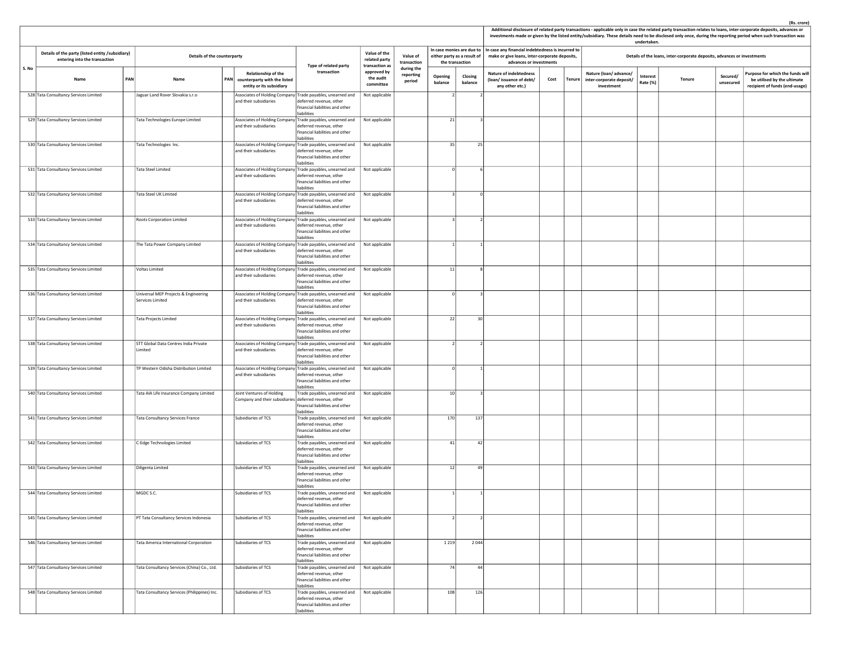|       |                                                                                   |                                                                                       |                                                                                     |                                                                                                                                                            |                                                         |                                   |                    |                                                          |                                                                                                                               |      |               |                                                                 | undertaken.          |                                                                         |                       | Additional disclosure of related party transactions - applicable only in case the related party transaction relates to loans, inter-corporate deposits, advances or<br>investments made or given by the listed entity/subsidiary. These details need to be disclosed only once, during the reporting period when such transaction was |
|-------|-----------------------------------------------------------------------------------|---------------------------------------------------------------------------------------|-------------------------------------------------------------------------------------|------------------------------------------------------------------------------------------------------------------------------------------------------------|---------------------------------------------------------|-----------------------------------|--------------------|----------------------------------------------------------|-------------------------------------------------------------------------------------------------------------------------------|------|---------------|-----------------------------------------------------------------|----------------------|-------------------------------------------------------------------------|-----------------------|---------------------------------------------------------------------------------------------------------------------------------------------------------------------------------------------------------------------------------------------------------------------------------------------------------------------------------------|
|       | Details of the party (listed entity /subsidiary)<br>entering into the transaction | Details of the counterparty                                                           |                                                                                     |                                                                                                                                                            | Value of the<br>related party                           | Value of<br>transaction           | the transaction    | In case monies are due to<br>either party as a result of | In case any financial indebtedness is incurred to<br>make or give loans, inter-corporate deposits,<br>advances or investments |      |               |                                                                 |                      | Details of the loans, inter-corporate deposits, advances or investments |                       |                                                                                                                                                                                                                                                                                                                                       |
| S. No | PAN<br>Name                                                                       | Name                                                                                  | Relationship of the<br>PAN counterparty with the listed<br>entity or its subsidiary | Type of related party<br>transaction                                                                                                                       | transaction as<br>approved by<br>the audit<br>committee | during the<br>reporting<br>period | Opening<br>balance | Closing<br>balance                                       | <b>Nature of indebtedness</b><br>(loan/issuance of debt/<br>any other etc.)                                                   | Cost | <b>Tenure</b> | Nature (loan/advance/<br>inter-corporate deposit/<br>investment | Interest<br>Rate (%) | <b>Tenure</b>                                                           | Secured/<br>unsecured | Purpose for which the funds will<br>be utilised by the ultimate<br>recipient of funds (end-usage)                                                                                                                                                                                                                                     |
|       | 528 Tata Consultancy Services Limited                                             | Jaguar Land Rover Slovakia s.r.o                                                      | and their subsidiaries                                                              | Associates of Holding Company Trade payables, unearned and<br>deferred revenue, other<br>financial liabilities and other<br>liabilities                    | Not applicable                                          |                                   |                    |                                                          |                                                                                                                               |      |               |                                                                 |                      |                                                                         |                       |                                                                                                                                                                                                                                                                                                                                       |
|       | 529 Tata Consultancy Services Limited                                             | Tata Technologies Europe Limited                                                      | and their subsidiaries                                                              | Associates of Holding Company Trade payables, unearned and<br>deferred revenue, other<br>financial liabilities and other<br>liabilities                    | Not applicable                                          |                                   | 21                 |                                                          |                                                                                                                               |      |               |                                                                 |                      |                                                                         |                       |                                                                                                                                                                                                                                                                                                                                       |
|       | 530 Tata Consultancy Services Limited                                             | Tata Technologies Inc.                                                                | and their subsidiaries                                                              | Associates of Holding Company Trade payables, unearned and<br>deferred revenue, other<br>financial liabilities and other<br>liabilities                    | Not applicable                                          |                                   | 35                 | 25                                                       |                                                                                                                               |      |               |                                                                 |                      |                                                                         |                       |                                                                                                                                                                                                                                                                                                                                       |
|       | 531 Tata Consultancy Services Limited                                             | <b>Tata Steel Limited</b>                                                             | and their subsidiaries                                                              | Associates of Holding Company Trade payables, unearned and<br>deferred revenue, other<br>financial liabilities and other<br>iabilities                     | Not applicable                                          |                                   |                    |                                                          |                                                                                                                               |      |               |                                                                 |                      |                                                                         |                       |                                                                                                                                                                                                                                                                                                                                       |
|       | 532 Tata Consultancy Services Limited                                             | Tata Steel UK Limited                                                                 | and their subsidiaries                                                              | Associates of Holding Company Trade payables, unearned and<br>leferred revenue, other<br>inancial liabilities and other<br>liabilities                     | Not applicable                                          |                                   |                    |                                                          |                                                                                                                               |      |               |                                                                 |                      |                                                                         |                       |                                                                                                                                                                                                                                                                                                                                       |
|       | 533 Tata Consultancy Services Limited                                             | Roots Corporation Limited                                                             | and their subsidiaries                                                              | Associates of Holding Company Trade payables, unearned and<br>deferred revenue, other<br>financial liabilities and other<br>liabilities                    | Not applicable                                          |                                   | $\mathbf{a}$       |                                                          |                                                                                                                               |      |               |                                                                 |                      |                                                                         |                       |                                                                                                                                                                                                                                                                                                                                       |
|       | 534 Tata Consultancy Services Limited                                             | The Tata Power Company Limited                                                        | and their subsidiaries                                                              | Associates of Holding Company Trade payables, unearned and<br>deferred revenue, other<br>financial liabilities and other<br>liabilities                    | Not applicable                                          |                                   |                    |                                                          |                                                                                                                               |      |               |                                                                 |                      |                                                                         |                       |                                                                                                                                                                                                                                                                                                                                       |
|       | 535 Tata Consultancy Services Limited                                             | Voltas Limited                                                                        | and their subsidiaries                                                              | Associates of Holding Company Trade payables, unearned and<br>deferred revenue, other<br>financial liabilities and other<br>liabilities                    | Not applicable                                          |                                   | 11                 | я                                                        |                                                                                                                               |      |               |                                                                 |                      |                                                                         |                       |                                                                                                                                                                                                                                                                                                                                       |
|       | 536 Tata Consultancy Services Limited                                             | Universal MEP Projects & Engineering<br>Services Limited                              | and their subsidiaries                                                              | Associates of Holding Company Trade payables, unearned and<br>deferred revenue, other<br>inancial liabilities and other<br>liabilities                     | Not applicable                                          |                                   |                    |                                                          |                                                                                                                               |      |               |                                                                 |                      |                                                                         |                       |                                                                                                                                                                                                                                                                                                                                       |
|       | 537 Tata Consultancy Services Limited                                             | Tata Projects Limited                                                                 | and their subsidiaries                                                              | Associates of Holding Company Trade payables, unearned and Not applicable<br>deferred revenue, other<br>financial liabilities and other<br>liabilities     |                                                         |                                   | 22                 | 30                                                       |                                                                                                                               |      |               |                                                                 |                      |                                                                         |                       |                                                                                                                                                                                                                                                                                                                                       |
|       | 538 Tata Consultancy Services Limited                                             | STT Global Data Centres India Private<br>Limited                                      | and their subsidiaries                                                              | Associates of Holding Company Trade payables, unearned and<br>deferred revenue, other<br>financial liabilities and other<br>liabilities                    | Not applicable                                          |                                   |                    |                                                          |                                                                                                                               |      |               |                                                                 |                      |                                                                         |                       |                                                                                                                                                                                                                                                                                                                                       |
|       | 539 Tata Consultancy Services Limited                                             | TP Western Odisha Distribution Limited                                                | and their subsidiaries                                                              | Associates of Holding Company Trade payables, unearned and<br>deferred revenue, other<br>financial liabilities and other<br><b>liabilities</b>             | Not applicable                                          |                                   |                    |                                                          |                                                                                                                               |      |               |                                                                 |                      |                                                                         |                       |                                                                                                                                                                                                                                                                                                                                       |
|       | 540 Tata Consultancy Services Limited                                             | Tata AIA Life Insurance Company Limited                                               | Joint Ventures of Holding<br>Company and their subsidiaries deferred revenue, other | Trade payables, unearned and<br>inancial liabilities and other<br>liabilities                                                                              | Not applicable                                          |                                   | 10                 |                                                          |                                                                                                                               |      |               |                                                                 |                      |                                                                         |                       |                                                                                                                                                                                                                                                                                                                                       |
|       | 541 Tata Consultancy Services Limited                                             | Tata Consultancy Services France                                                      | Subsidiaries of TCS                                                                 | Frade payables, unearned and<br>deferred revenue, other<br>financial liabilities and other<br>liabilities                                                  | Not applicable                                          |                                   | 170                | 137                                                      |                                                                                                                               |      |               |                                                                 |                      |                                                                         |                       |                                                                                                                                                                                                                                                                                                                                       |
|       | 542 Tata Consultancy Services Limited<br>543 Tata Consultancy Services Limited    | C-Edge Technologies Limited                                                           | Subsidiaries of TCS                                                                 | Trade payables, unearned and<br>deferred revenue, other<br>financial liabilities and other<br>liabilities                                                  | Not applicable                                          |                                   | 41                 | 42                                                       |                                                                                                                               |      |               |                                                                 |                      |                                                                         |                       |                                                                                                                                                                                                                                                                                                                                       |
|       |                                                                                   | Diligenta Limited                                                                     | Subsidiaries of TCS                                                                 | Trade payables, unearned and<br>deferred revenue, other<br>financial liabilities and other<br>liabilities                                                  | Not applicable                                          |                                   | 12                 | 49                                                       |                                                                                                                               |      |               |                                                                 |                      |                                                                         |                       |                                                                                                                                                                                                                                                                                                                                       |
|       | 544 Tata Consultancy Services Limited                                             | MGDC S.C.<br>PT Tata Consultancy Services Indonesia                                   | Subsidiaries of TCS<br>Subsidiaries of TCS                                          | Trade payables, unearned and<br>deferred revenue, other<br>financial liabilities and other<br>liabilities<br>Frade payables, unearned and   Not applicable | Not applicable                                          |                                   |                    |                                                          |                                                                                                                               |      |               |                                                                 |                      |                                                                         |                       |                                                                                                                                                                                                                                                                                                                                       |
|       | 545 Tata Consultancy Services Limited                                             |                                                                                       |                                                                                     | deferred revenue, other<br>financial liabilities and other<br>liabilities                                                                                  |                                                         |                                   |                    |                                                          |                                                                                                                               |      |               |                                                                 |                      |                                                                         |                       |                                                                                                                                                                                                                                                                                                                                       |
|       | 546 Tata Consultancy Services Limited                                             | Tata America International Corporation<br>Tata Consultancy Services (China) Co., Ltd. | Subsidiaries of TCS<br>Subsidiaries of TCS                                          | Trade payables, unearned and   Not applicable<br>deferred revenue, other<br>financial liabilities and other<br>liabilities<br>Trade payables, unearned and |                                                         |                                   | 1 2 1 9<br>74      | 2044                                                     |                                                                                                                               |      |               |                                                                 |                      |                                                                         |                       |                                                                                                                                                                                                                                                                                                                                       |
|       | 547 Tata Consultancy Services Limited                                             |                                                                                       | Subsidiaries of TCS                                                                 | deferred revenue, other<br>financial liabilities and other<br>liabilities                                                                                  | Not applicable                                          |                                   |                    | 44                                                       |                                                                                                                               |      |               |                                                                 |                      |                                                                         |                       |                                                                                                                                                                                                                                                                                                                                       |
|       | 548 Tata Consultancy Services Limited                                             | Tata Consultancy Services (Philippines) Inc.                                          |                                                                                     | Trade payables, unearned and<br>deferred revenue, other<br>financial liabilities and other<br>liabilities                                                  | Not applicable                                          |                                   | 108                | 126                                                      |                                                                                                                               |      |               |                                                                 |                      |                                                                         |                       |                                                                                                                                                                                                                                                                                                                                       |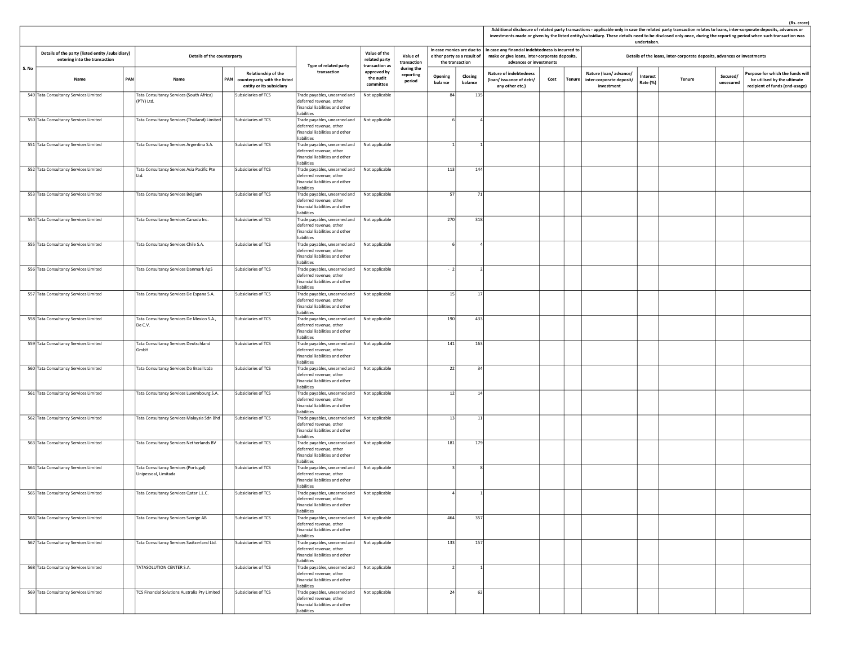|       |                                                                                   |                             |                                                                        |     |                                                                                 |                                                                                                                            |                                       |                                   |                                                                                                                                                             |                    |                                                                             |      |        |                                                                         | undertaken.                 |        |                       | investments made or given by the listed entity/subsidiary. These details need to be disclosed only once, during the reporting period when such transaction was |
|-------|-----------------------------------------------------------------------------------|-----------------------------|------------------------------------------------------------------------|-----|---------------------------------------------------------------------------------|----------------------------------------------------------------------------------------------------------------------------|---------------------------------------|-----------------------------------|-------------------------------------------------------------------------------------------------------------------------------------------------------------|--------------------|-----------------------------------------------------------------------------|------|--------|-------------------------------------------------------------------------|-----------------------------|--------|-----------------------|----------------------------------------------------------------------------------------------------------------------------------------------------------------|
|       | Details of the party (listed entity /subsidiary)<br>entering into the transaction | Details of the counterparty |                                                                        |     | Value of the<br>related party<br>transaction as                                 | Value of<br>transaction                                                                                                    | the transaction                       | either party as a result of       | In case monies are due to $ $ In case any financial indebtedness is incurred to<br>make or give loans, inter-corporate deposits,<br>advances or investments |                    |                                                                             |      |        | Details of the loans, inter-corporate deposits, advances or investments |                             |        |                       |                                                                                                                                                                |
| S. No | Name                                                                              | PAN                         | Name                                                                   | PAN | Relationship of the<br>counterparty with the listed<br>entity or its subsidiary | Type of related party<br>transaction                                                                                       | approved by<br>the audit<br>committee | during the<br>reporting<br>period | Opening<br>balance                                                                                                                                          | Closing<br>balance | <b>Nature of indebtedness</b><br>(loan/issuance of debt/<br>any other etc.) | Cost | Tenure | Nature (loan/advance/<br>inter-corporate deposit/<br>investment         | <b>Interest</b><br>Rate (%) | Tenure | Secured/<br>unsecured | Purpose for which the funds will<br>be utilised by the ultimate<br>recipient of funds (end-usage)                                                              |
|       | 549 Tata Consultancy Services Limited                                             |                             | Tata Consultancy Services (South Africa)<br>(PTY) Ltd.                 |     | Subsidiaries of TCS                                                             | Frade payables, unearned and<br>deferred revenue, other<br>financial liabilities and other<br>liabilities                  | Not applicable                        |                                   | 84                                                                                                                                                          | 135                |                                                                             |      |        |                                                                         |                             |        |                       |                                                                                                                                                                |
|       | 550 Tata Consultancy Services Limited                                             |                             | Tata Consultancy Services (Thailand) Limited                           |     | Subsidiaries of TCS                                                             | Trade payables, unearned and<br>deferred revenue, other<br>financial liabilities and other<br>liabilities                  | Not applicable                        |                                   |                                                                                                                                                             |                    |                                                                             |      |        |                                                                         |                             |        |                       |                                                                                                                                                                |
|       | 551 Tata Consultancy Services Limited                                             |                             | Tata Consultancy Services Argentina S.A.                               |     | Subsidiaries of TCS                                                             | Trade payables, unearned and<br>deferred revenue, other<br>financial liabilities and other<br>liabilities                  | Not applicable                        |                                   |                                                                                                                                                             |                    |                                                                             |      |        |                                                                         |                             |        |                       |                                                                                                                                                                |
|       | 552 Tata Consultancy Services Limited                                             |                             | Tata Consultancy Services Asia Pacific Pte<br>Ltd.                     |     | Subsidiaries of TCS                                                             | Trade payables, unearned and<br>deferred revenue, other<br>financial liabilities and other<br>liabilities                  | Not applicable                        |                                   | 113                                                                                                                                                         | 144                |                                                                             |      |        |                                                                         |                             |        |                       |                                                                                                                                                                |
|       | 553 Tata Consultancy Services Limited                                             |                             | Tata Consultancy Services Belgium                                      |     | Subsidiaries of TCS                                                             | Trade payables, unearned and<br>deferred revenue, other<br>financial liabilities and other<br>liabilities                  | Not applicable                        |                                   | 57                                                                                                                                                          | 71                 |                                                                             |      |        |                                                                         |                             |        |                       |                                                                                                                                                                |
|       | 554 Tata Consultancy Services Limited                                             |                             | Tata Consultancy Services Canada Inc.                                  |     | Subsidiaries of TCS                                                             | Trade payables, unearned and<br>deferred revenue, other<br>financial liabilities and other<br>liabilities                  | Not applicable                        |                                   | 270                                                                                                                                                         | 318                |                                                                             |      |        |                                                                         |                             |        |                       |                                                                                                                                                                |
|       | 555 Tata Consultancy Services Limited                                             |                             | Tata Consultancy Services Chile S.A.                                   |     | Subsidiaries of TCS                                                             | Trade payables, unearned and<br>deferred revenue, other<br>financial liabilities and other<br>liabilities                  | Not applicable                        |                                   |                                                                                                                                                             |                    |                                                                             |      |        |                                                                         |                             |        |                       |                                                                                                                                                                |
|       | 556 Tata Consultancy Services Limited                                             |                             | Tata Consultancy Services Danmark ApS                                  |     | Subsidiaries of TCS                                                             | Trade payables, unearned and<br>deferred revenue, other<br>financial liabilities and other<br>iabilities                   | Not applicable                        |                                   | $-2$                                                                                                                                                        |                    |                                                                             |      |        |                                                                         |                             |        |                       |                                                                                                                                                                |
|       | 557 Tata Consultancy Services Limited                                             |                             | Tata Consultancy Services De Espana S.A.                               |     | Subsidiaries of TCS                                                             | Frade payables, unearned and<br>deferred revenue, other<br>financial liabilities and other<br>liabilities                  | Not applicable                        |                                   | 15                                                                                                                                                          | 17                 |                                                                             |      |        |                                                                         |                             |        |                       |                                                                                                                                                                |
|       | 558 Tata Consultancy Services Limited                                             |                             | Tata Consultancy Services De Mexico S.A.,<br>De C.V.                   |     | Subsidiaries of TCS                                                             | Trade payables, unearned and<br>deferred revenue, other<br>financial liabilities and other<br>liabilities                  | Not applicable                        |                                   | 190                                                                                                                                                         | 433                |                                                                             |      |        |                                                                         |                             |        |                       |                                                                                                                                                                |
|       | 559 Tata Consultancy Services Limited                                             |                             | Tata Consultancy Services Deutschland<br>GmbH                          |     | Subsidiaries of TCS                                                             | Trade payables, unearned and<br>deferred revenue, other<br>financial liabilities and other<br>liabilities                  | Not applicable                        |                                   | 141                                                                                                                                                         | 163                |                                                                             |      |        |                                                                         |                             |        |                       |                                                                                                                                                                |
|       | 560 Tata Consultancy Services Limited                                             |                             | Tata Consultancy Services Do Brasil Ltda                               |     | Subsidiaries of TCS                                                             | Trade payables, unearned and<br>deferred revenue, other<br>financial liabilities and other<br>liabilities                  | Not applicable                        |                                   | 22                                                                                                                                                          | 34                 |                                                                             |      |        |                                                                         |                             |        |                       |                                                                                                                                                                |
|       | 561 Tata Consultancy Services Limited                                             |                             | Tata Consultancy Services Luxembourg S.A.                              |     | Subsidiaries of TCS                                                             | Trade payables, unearned and<br>deferred revenue, other<br>financial liabilities and other<br>liabilities                  | Not applicable                        |                                   | 12                                                                                                                                                          | 14                 |                                                                             |      |        |                                                                         |                             |        |                       |                                                                                                                                                                |
|       | 562 Tata Consultancy Services Limited                                             |                             | Tata Consultancy Services Malaysia Sdn Bhd                             |     | Subsidiaries of TCS                                                             | Trade payables, unearned and<br>deferred revenue, other<br>financial liabilities and other<br>liabilities                  | Not applicable                        |                                   | 13                                                                                                                                                          | 11                 |                                                                             |      |        |                                                                         |                             |        |                       |                                                                                                                                                                |
|       | 563 Tata Consultancy Services Limited                                             |                             | Tata Consultancy Services Netherlands BV                               |     | Subsidiaries of TCS                                                             | Trade payables, unearned and<br>deferred revenue, other<br>financial liabilities and other<br>liabilities                  | Not applicable                        |                                   | 181                                                                                                                                                         | 179                |                                                                             |      |        |                                                                         |                             |        |                       |                                                                                                                                                                |
|       | 564 Tata Consultancy Services Limited                                             |                             | Tata Consultancy Services (Portugal)<br>Unipessoal, Limitada           |     | Subsidiaries of TCS                                                             | Trade payables, unearned and<br>deferred revenue, other<br>financial liabilities and other<br>iabilities                   | Not applicable                        |                                   |                                                                                                                                                             |                    |                                                                             |      |        |                                                                         |                             |        |                       |                                                                                                                                                                |
|       | 565 Tata Consultancy Services Limited                                             |                             | Tata Consultancy Services Qatar L.L.C.                                 |     | Subsidiaries of TCS                                                             | Frade payables, unearned and<br>deferred revenue, other<br>financial liabilities and other                                 | Not applicable                        |                                   |                                                                                                                                                             |                    |                                                                             |      |        |                                                                         |                             |        |                       |                                                                                                                                                                |
|       | 566 Tata Consultancy Services Limited                                             |                             | Tata Consultancy Services Sverige AB                                   |     | Subsidiaries of TCS                                                             | Trade payables, unearned and<br>deferred revenue, other<br>financial liabilities and other<br>liabilities                  | Not applicable                        |                                   | 464                                                                                                                                                         | 357                |                                                                             |      |        |                                                                         |                             |        |                       |                                                                                                                                                                |
|       | 567 Tata Consultancy Services Limited                                             |                             | Tata Consultancy Services Switzerland Ltd.<br>TATASOLUTION CENTER S.A. |     | Subsidiaries of TCS<br>Subsidiaries of TCS                                      | Trade payables, unearned and<br>deferred revenue, other<br>financial liabilities and other<br>liabilities                  | Not applicable                        |                                   | 133                                                                                                                                                         | 157                |                                                                             |      |        |                                                                         |                             |        |                       |                                                                                                                                                                |
|       | 568 Tata Consultancy Services Limited<br>569 Tata Consultancy Services Limited    |                             | TCS Financial Solutions Australia Pty Limited                          |     | Subsidiaries of TCS                                                             | Trade payables, unearned and   Not applicable<br>deferred revenue, other<br>financial liabilities and other<br>liabilities | Not applicable                        |                                   | 24                                                                                                                                                          | 62                 |                                                                             |      |        |                                                                         |                             |        |                       |                                                                                                                                                                |
|       |                                                                                   |                             |                                                                        |     |                                                                                 | Trade payables, unearned and<br>deferred revenue, other<br>financial liabilities and other<br>liabilities                  |                                       |                                   |                                                                                                                                                             |                    |                                                                             |      |        |                                                                         |                             |        |                       |                                                                                                                                                                |

Additional disclosure of related party transactions - applicable only in case the related party transaction relates to loans, inter-corporation relates to loans, inter-corporation relates to loans, inter-corporation relate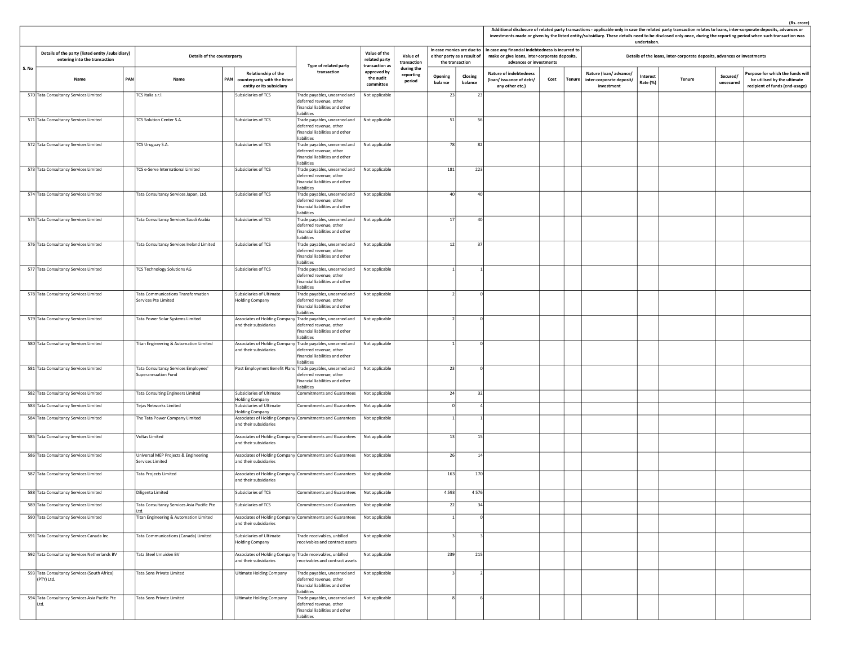|       |                                                                                   |     |                                                             |                                                                                        |                                                                                                                                         |                                                         |                                   |                    |                                                |                                                                                                                                                           |      |        |                                                                 | undertaken.                                                                                                                               |  |  | Additional disclosure of related party transactions - applicable only in case the related party transaction relates to loans, inter-corporate deposits, advances or<br>investments made or given by the listed entity/subsidiary. These details need to be disclosed only once, during the reporting period when such transaction was |  |  |  |
|-------|-----------------------------------------------------------------------------------|-----|-------------------------------------------------------------|----------------------------------------------------------------------------------------|-----------------------------------------------------------------------------------------------------------------------------------------|---------------------------------------------------------|-----------------------------------|--------------------|------------------------------------------------|-----------------------------------------------------------------------------------------------------------------------------------------------------------|------|--------|-----------------------------------------------------------------|-------------------------------------------------------------------------------------------------------------------------------------------|--|--|---------------------------------------------------------------------------------------------------------------------------------------------------------------------------------------------------------------------------------------------------------------------------------------------------------------------------------------|--|--|--|
|       | Details of the party (listed entity /subsidiary)<br>entering into the transaction |     | Details of the counterparty                                 |                                                                                        |                                                                                                                                         | Value of the<br>related party                           | Value of<br>transaction           |                    | either party as a result of<br>the transaction | In case monies are due to   In case any financial indebtedness is incurred to<br>make or give loans, inter-corporate deposits,<br>advances or investments |      |        |                                                                 | Details of the loans, inter-corporate deposits, advances or investments<br>Interest<br>Secured/<br><b>Tenure</b><br>Rate (%)<br>unsecured |  |  |                                                                                                                                                                                                                                                                                                                                       |  |  |  |
| S. No | Name                                                                              | PAN | Name                                                        | Relationship of the<br>PAN<br>counterparty with the listed<br>entity or its subsidiary | Type of related party<br>transaction                                                                                                    | transaction as<br>approved by<br>the audit<br>committee | during the<br>reporting<br>period | Opening<br>balance | Closing<br>balance                             | <b>Nature of indebtedness</b><br>(loan/issuance of debt/<br>any other etc.)                                                                               | Cost | Tenure | Nature (loan/advance/<br>inter-corporate deposit/<br>investment |                                                                                                                                           |  |  | Purpose for which the funds will<br>be utilised by the ultimate<br>recipient of funds (end-usage)                                                                                                                                                                                                                                     |  |  |  |
|       | 570 Tata Consultancy Services Limited                                             |     | TCS Italia s.r.l.                                           | Subsidiaries of TCS                                                                    | Frade payables, unearned and<br>deferred revenue, other<br>financial liabilities and other<br>iabilities                                | Not applicable                                          |                                   | 23                 | 23                                             |                                                                                                                                                           |      |        |                                                                 |                                                                                                                                           |  |  |                                                                                                                                                                                                                                                                                                                                       |  |  |  |
|       | 571 Tata Consultancy Services Limited                                             |     | TCS Solution Center S.A.                                    | Subsidiaries of TCS                                                                    | Frade payables, unearned and<br>deferred revenue, other<br>financial liabilities and other<br>liabilities                               | Not applicable                                          |                                   | 51                 | 56                                             |                                                                                                                                                           |      |        |                                                                 |                                                                                                                                           |  |  |                                                                                                                                                                                                                                                                                                                                       |  |  |  |
|       | 572 Tata Consultancy Services Limited                                             |     | TCS Uruguay S.A.                                            | Subsidiaries of TCS                                                                    | Trade payables, unearned and<br>deferred revenue, other<br>financial liabilities and other<br>liabilities                               | Not applicable                                          |                                   | 78                 | 82                                             |                                                                                                                                                           |      |        |                                                                 |                                                                                                                                           |  |  |                                                                                                                                                                                                                                                                                                                                       |  |  |  |
|       | 573 Tata Consultancy Services Limited                                             |     | TCS e-Serve International Limited                           | Subsidiaries of TCS                                                                    | Trade payables, unearned and<br>deferred revenue, other<br>financial liabilities and other<br>liabilities                               | Not applicable                                          |                                   | 181                | 223                                            |                                                                                                                                                           |      |        |                                                                 |                                                                                                                                           |  |  |                                                                                                                                                                                                                                                                                                                                       |  |  |  |
|       | 574 Tata Consultancy Services Limited                                             |     | Tata Consultancy Services Japan, Ltd.                       | Subsidiaries of TCS                                                                    | Trade payables, unearned and<br>deferred revenue, other<br>financial liabilities and other<br>liabilities                               | Not applicable                                          |                                   | 40                 | 40                                             |                                                                                                                                                           |      |        |                                                                 |                                                                                                                                           |  |  |                                                                                                                                                                                                                                                                                                                                       |  |  |  |
|       | 575 Tata Consultancy Services Limited                                             |     | Tata Consultancy Services Saudi Arabia                      | Subsidiaries of TCS                                                                    | Trade payables, unearned and<br>deferred revenue, other<br>financial liabilities and other<br>liabilities                               | Not applicable                                          |                                   | 17                 | 40                                             |                                                                                                                                                           |      |        |                                                                 |                                                                                                                                           |  |  |                                                                                                                                                                                                                                                                                                                                       |  |  |  |
|       | 576 Tata Consultancy Services Limited                                             |     | Tata Consultancy Services Ireland Limited                   | Subsidiaries of TCS                                                                    | Trade payables, unearned and<br>deferred revenue, other<br>financial liabilities and other<br>liabilities                               | Not applicable                                          |                                   | 12                 | 37                                             |                                                                                                                                                           |      |        |                                                                 |                                                                                                                                           |  |  |                                                                                                                                                                                                                                                                                                                                       |  |  |  |
|       | 577 Tata Consultancy Services Limited                                             |     | <b>TCS Technology Solutions AG</b>                          | Subsidiaries of TCS                                                                    | Trade payables, unearned and<br>deferred revenue, other<br>financial liabilities and other<br>liabilities                               | Not applicable                                          |                                   |                    |                                                |                                                                                                                                                           |      |        |                                                                 |                                                                                                                                           |  |  |                                                                                                                                                                                                                                                                                                                                       |  |  |  |
|       | 578 Tata Consultancy Services Limited                                             |     | Tata Communications Transformation<br>Services Pte Limited  | Subsidiaries of Ultimate<br><b>Holding Company</b>                                     | Trade payables, unearned and<br>deferred revenue, other<br>financial liabilities and other<br>iabilities                                | Not applicable                                          |                                   |                    | $\Omega$                                       |                                                                                                                                                           |      |        |                                                                 |                                                                                                                                           |  |  |                                                                                                                                                                                                                                                                                                                                       |  |  |  |
|       | 579 Tata Consultancy Services Limited                                             |     | Tata Power Solar Systems Limited                            | Associates of Holding Company<br>and their subsidiaries                                | Frade payables, unearned and<br>leferred revenue, other<br>financial liabilities and other<br>liabilities                               | Not applicable                                          |                                   |                    |                                                |                                                                                                                                                           |      |        |                                                                 |                                                                                                                                           |  |  |                                                                                                                                                                                                                                                                                                                                       |  |  |  |
|       | 580 Tata Consultancy Services Limited                                             |     | Titan Engineering & Automation Limited                      | and their subsidiaries                                                                 | Associates of Holding Company Trade payables, unearned and<br>deferred revenue, other<br>financial liabilities and other<br>liabilities | Not applicable                                          |                                   |                    | $\Omega$                                       |                                                                                                                                                           |      |        |                                                                 |                                                                                                                                           |  |  |                                                                                                                                                                                                                                                                                                                                       |  |  |  |
|       | 581 Tata Consultancy Services Limited                                             |     | Tata Consultancy Services Employees'<br>Superannuation Fund |                                                                                        | Post Employment Benefit Plans Trade payables, unearned and<br>deferred revenue, other<br>financial liabilities and other<br>liabilities | Not applicable                                          |                                   | 23                 | $\overline{0}$                                 |                                                                                                                                                           |      |        |                                                                 |                                                                                                                                           |  |  |                                                                                                                                                                                                                                                                                                                                       |  |  |  |
|       | 582 Tata Consultancy Services Limited                                             |     | Tata Consulting Engineers Limited                           | Subsidiaries of Ultimate<br><b>Holding Company</b>                                     | <b>Commitments and Guarantees</b>                                                                                                       | Not applicable                                          |                                   | 24                 | 32                                             |                                                                                                                                                           |      |        |                                                                 |                                                                                                                                           |  |  |                                                                                                                                                                                                                                                                                                                                       |  |  |  |
|       | 583 Tata Consultancy Services Limited                                             |     | Tejas Networks Limited                                      | Subsidiaries of Ultimate<br><b>Holding Company</b>                                     | <b>Commitments and Guarantees</b>                                                                                                       | Not applicable                                          |                                   |                    |                                                |                                                                                                                                                           |      |        |                                                                 |                                                                                                                                           |  |  |                                                                                                                                                                                                                                                                                                                                       |  |  |  |
|       | 584 Tata Consultancy Services Limited                                             |     | The Tata Power Company Limited                              | and their subsidiaries                                                                 | Associates of Holding Company Commitments and Guarantees                                                                                | Not applicable                                          |                                   |                    |                                                |                                                                                                                                                           |      |        |                                                                 |                                                                                                                                           |  |  |                                                                                                                                                                                                                                                                                                                                       |  |  |  |
|       | 585 Tata Consultancy Services Limited                                             |     | Voltas Limited                                              | and their subsidiaries                                                                 | Associates of Holding Company Commitments and Guarantees                                                                                | Not applicable                                          |                                   | 13                 | 15                                             |                                                                                                                                                           |      |        |                                                                 |                                                                                                                                           |  |  |                                                                                                                                                                                                                                                                                                                                       |  |  |  |
|       | 586 Tata Consultancy Services Limited                                             |     | Universal MEP Projects & Engineering<br>Services Limited    | and their subsidiaries                                                                 | Associates of Holding Company Commitments and Guarantees                                                                                | Not applicable                                          |                                   | 26                 | 14                                             |                                                                                                                                                           |      |        |                                                                 |                                                                                                                                           |  |  |                                                                                                                                                                                                                                                                                                                                       |  |  |  |
|       | 587 Tata Consultancy Services Limited                                             |     | <b>Tata Projects Limited</b>                                | and their subsidiaries                                                                 | Associates of Holding Company Commitments and Guarantees                                                                                | Not applicable                                          |                                   | 163                | 170                                            |                                                                                                                                                           |      |        |                                                                 |                                                                                                                                           |  |  |                                                                                                                                                                                                                                                                                                                                       |  |  |  |
|       | 588 Tata Consultancy Services Limited                                             |     | Diligenta Limited                                           | Subsidiaries of TCS                                                                    | <b>Commitments and Guarantees</b>                                                                                                       | Not applicable                                          |                                   | 4593               | 4576                                           |                                                                                                                                                           |      |        |                                                                 |                                                                                                                                           |  |  |                                                                                                                                                                                                                                                                                                                                       |  |  |  |
|       | 589 Tata Consultancy Services Limited                                             |     | Fata Consultancy Services Asia Pacific Pte<br>Ltd.          | Subsidiaries of TCS                                                                    | Commitments and Guarantees                                                                                                              | Not applicable                                          |                                   |                    |                                                |                                                                                                                                                           |      |        |                                                                 |                                                                                                                                           |  |  |                                                                                                                                                                                                                                                                                                                                       |  |  |  |
|       | 590 Tata Consultancy Services Limited                                             |     | Titan Engineering & Automation Limited                      | and their subsidiaries                                                                 | Associates of Holding Company Commitments and Guarantees                                                                                | Not applicable                                          |                                   |                    |                                                |                                                                                                                                                           |      |        |                                                                 |                                                                                                                                           |  |  |                                                                                                                                                                                                                                                                                                                                       |  |  |  |
|       | 591 Tata Consultancy Services Canada Inc.                                         |     | Tata Communications (Canada) Limited                        | Subsidiaries of Ultimate<br>Holding Company                                            | Trade receivables, unbilled<br>receivables and contract assets                                                                          | Not applicable                                          |                                   |                    |                                                |                                                                                                                                                           |      |        |                                                                 |                                                                                                                                           |  |  |                                                                                                                                                                                                                                                                                                                                       |  |  |  |
|       | 592 Tata Consultancy Services Netherlands BV                                      |     | Tata Steel IJmuiden BV                                      | Associates of Holding Company Trade receivables, unbilled<br>and their subsidiaries    | receivables and contract assets                                                                                                         | Not applicable                                          |                                   | 239                | 215                                            |                                                                                                                                                           |      |        |                                                                 |                                                                                                                                           |  |  |                                                                                                                                                                                                                                                                                                                                       |  |  |  |
|       | 593 Tata Consultancy Services (South Africa)<br>(PTY) Ltd.                        |     | Tata Sons Private Limited                                   | <b>Ultimate Holding Company</b>                                                        | Trade payables, unearned and<br>deferred revenue, other<br>financial liabilities and other<br>liabilities                               | Not applicable                                          |                                   |                    |                                                |                                                                                                                                                           |      |        |                                                                 |                                                                                                                                           |  |  |                                                                                                                                                                                                                                                                                                                                       |  |  |  |
|       | 594 Tata Consultancy Services Asia Pacific Pte<br>Ltd.                            |     | Tata Sons Private Limited                                   | <b>Ultimate Holding Company</b>                                                        | Frade payables, unearned and<br>deferred revenue, other<br>financial liabilities and other<br>liabilities                               | Not applicable                                          |                                   |                    |                                                |                                                                                                                                                           |      |        |                                                                 |                                                                                                                                           |  |  |                                                                                                                                                                                                                                                                                                                                       |  |  |  |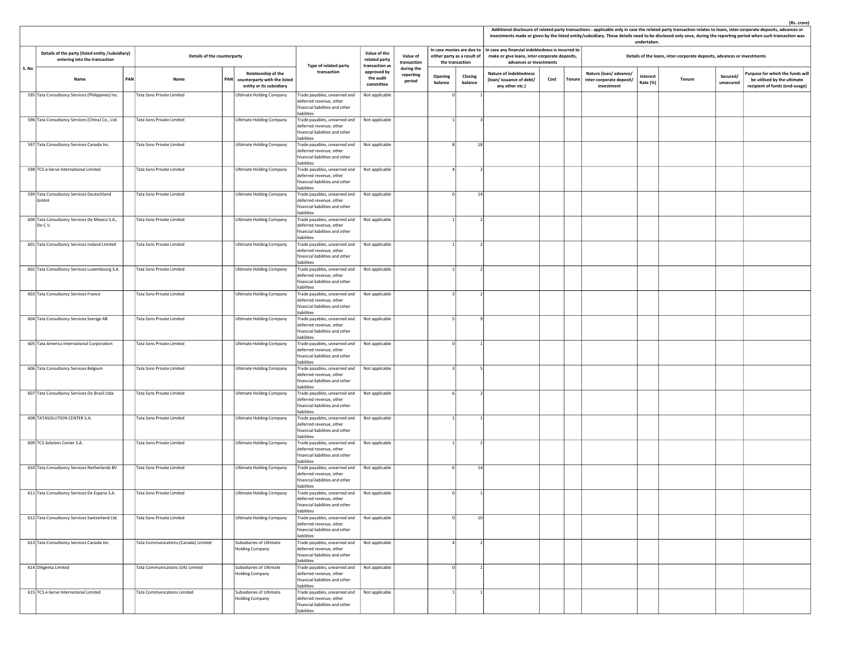|       |                                                                                                                                         |  |                                                        |                                                                                            |                                                                                                                                           |                                                         |                                   |                    |                             |                                                                                                                                                           |      |               |                                                                 | undertaken.          |                                                                         |                       | Additional disclosure of related party transactions - applicable only in case the related party transaction relates to loans, inter-corporate deposits, advances or<br>investments made or given by the listed entity/subsidiary. These details need to be disclosed only once, during the reporting period when such transaction was |
|-------|-----------------------------------------------------------------------------------------------------------------------------------------|--|--------------------------------------------------------|--------------------------------------------------------------------------------------------|-------------------------------------------------------------------------------------------------------------------------------------------|---------------------------------------------------------|-----------------------------------|--------------------|-----------------------------|-----------------------------------------------------------------------------------------------------------------------------------------------------------|------|---------------|-----------------------------------------------------------------|----------------------|-------------------------------------------------------------------------|-----------------------|---------------------------------------------------------------------------------------------------------------------------------------------------------------------------------------------------------------------------------------------------------------------------------------------------------------------------------------|
|       | Details of the party (listed entity /subsidiary)<br>Details of the counterparty<br>entering into the transaction<br>PAN<br>Name<br>Name |  |                                                        |                                                                                            |                                                                                                                                           | Value of the<br>related party                           | Value of<br>transaction           | the transaction    | either party as a result of | In case monies are due to   In case any financial indebtedness is incurred to<br>make or give loans, inter-corporate deposits,<br>advances or investments |      |               |                                                                 |                      | Details of the loans, inter-corporate deposits, advances or investments |                       |                                                                                                                                                                                                                                                                                                                                       |
| S. No |                                                                                                                                         |  |                                                        | <b>Relationship of the</b><br>PAN counterparty with the listed<br>entity or its subsidiary | Type of related party<br>transaction                                                                                                      | transaction as<br>approved by<br>the audit<br>committee | during the<br>reporting<br>period | Opening<br>balance | Closing<br>balance          | <b>Nature of indebtedness</b><br>(loan/issuance of debt/<br>any other etc.)                                                                               | Cost | <b>Tenure</b> | Nature (loan/advance/<br>inter-corporate deposit/<br>investment | Interest<br>Rate (%) | <b>Tenure</b>                                                           | Secured/<br>unsecured | Purpose for which the funds will<br>be utilised by the ultimate<br>recipient of funds (end-usage)                                                                                                                                                                                                                                     |
|       | 595 Tata Consultancy Services (Philippines) Inc.                                                                                        |  | Tata Sons Private Limited                              | <b>Ultimate Holding Company</b>                                                            | Trade payables, unearned and<br>deferred revenue, other<br>financial liabilities and other<br>liabilities                                 | Not applicable                                          |                                   |                    |                             |                                                                                                                                                           |      |               |                                                                 |                      |                                                                         |                       |                                                                                                                                                                                                                                                                                                                                       |
|       | 596 Tata Consultancy Services (China) Co., Ltd.                                                                                         |  | Tata Sons Private Limited                              | <b>Ultimate Holding Company</b>                                                            | Trade payables, unearned and<br>deferred revenue, other<br>financial liabilities and other<br>liabilities                                 | Not applicable                                          |                                   |                    |                             |                                                                                                                                                           |      |               |                                                                 |                      |                                                                         |                       |                                                                                                                                                                                                                                                                                                                                       |
|       | 597 Tata Consultancy Services Canada Inc.                                                                                               |  | <b>Tata Sons Private Limited</b>                       | <b>Ultimate Holding Company</b>                                                            | Trade payables, unearned and<br>deferred revenue, other<br>financial liabilities and other<br>liabilities                                 | Not applicable                                          |                                   |                    | 18                          |                                                                                                                                                           |      |               |                                                                 |                      |                                                                         |                       |                                                                                                                                                                                                                                                                                                                                       |
|       | 598 TCS e-Serve International Limited                                                                                                   |  | Tata Sons Private Limited                              | <b>Ultimate Holding Company</b>                                                            | Trade payables, unearned and<br>deferred revenue, other<br>financial liabilities and other<br>liabilities                                 | Not applicable                                          |                                   |                    |                             |                                                                                                                                                           |      |               |                                                                 |                      |                                                                         |                       |                                                                                                                                                                                                                                                                                                                                       |
|       | 599 Tata Consultancy Services Deutschland<br>GmbH                                                                                       |  | Tata Sons Private Limited                              | <b>Ultimate Holding Company</b>                                                            | Trade payables, unearned and<br>deferred revenue, other<br>financial liabilities and other<br>liabilities                                 | Not applicable                                          |                                   |                    | 14                          |                                                                                                                                                           |      |               |                                                                 |                      |                                                                         |                       |                                                                                                                                                                                                                                                                                                                                       |
|       | 600 Tata Consultancy Services De Mexico S.A.,<br>De C.V.                                                                                |  | Tata Sons Private Limited                              | <b>Ultimate Holding Company</b>                                                            | Trade payables, unearned and<br>deferred revenue, other<br>financial liabilities and other<br>liabilities                                 | Not applicable                                          |                                   |                    |                             |                                                                                                                                                           |      |               |                                                                 |                      |                                                                         |                       |                                                                                                                                                                                                                                                                                                                                       |
|       | 601 Tata Consultancy Services Ireland Limited                                                                                           |  | Tata Sons Private Limited                              | <b>Ultimate Holding Company</b>                                                            | Trade payables, unearned and<br>deferred revenue, other<br>financial liabilities and other<br>liabilities<br>Trade payables, unearned and | Not applicable                                          |                                   |                    |                             |                                                                                                                                                           |      |               |                                                                 |                      |                                                                         |                       |                                                                                                                                                                                                                                                                                                                                       |
|       | 602 Tata Consultancy Services Luxembourg S.A.<br>603 Tata Consultancy Services France                                                   |  | Tata Sons Private Limited<br>Tata Sons Private Limited | <b>Ultimate Holding Company</b><br><b>Ultimate Holding Company</b>                         | deferred revenue, other<br>financial liabilities and other<br>liabilities                                                                 | Not applicable<br>Not applicable                        |                                   |                    |                             |                                                                                                                                                           |      |               |                                                                 |                      |                                                                         |                       |                                                                                                                                                                                                                                                                                                                                       |
|       | 604 Tata Consultancy Services Sverige AB                                                                                                |  | Tata Sons Private Limited                              | <b>Ultimate Holding Company</b>                                                            | Trade payables, unearned and<br>deferred revenue, other<br>financial liabilities and other<br>liabilities<br>Trade payables, unearned and | Not applicable                                          |                                   |                    |                             |                                                                                                                                                           |      |               |                                                                 |                      |                                                                         |                       |                                                                                                                                                                                                                                                                                                                                       |
|       | 605 Tata America International Corporation                                                                                              |  | Tata Sons Private Limited                              | <b>Ultimate Holding Company</b>                                                            | deferred revenue, other<br>financial liabilities and other<br>liabilities<br>Trade payables, unearned and                                 | Not applicable                                          |                                   |                    |                             |                                                                                                                                                           |      |               |                                                                 |                      |                                                                         |                       |                                                                                                                                                                                                                                                                                                                                       |
|       | 606 Tata Consultancy Services Belgium                                                                                                   |  | Tata Sons Private Limited                              | <b>Ultimate Holding Company</b>                                                            | deferred revenue, other<br>financial liabilities and other<br>liabilities<br>Trade payables, unearned and                                 | Not applicable                                          |                                   |                    |                             |                                                                                                                                                           |      |               |                                                                 |                      |                                                                         |                       |                                                                                                                                                                                                                                                                                                                                       |
|       | 607 Tata Consultancy Services Do Brasil Ltda                                                                                            |  | Tata Sons Private Limited                              | Ultimate Holding Company                                                                   | deferred revenue, other<br>financial liabilities and other<br>liabilities<br>Trade payables, unearned and                                 | Not applicable                                          |                                   |                    |                             |                                                                                                                                                           |      |               |                                                                 |                      |                                                                         |                       |                                                                                                                                                                                                                                                                                                                                       |
|       | 608 TATASOLUTION CENTER S.A.                                                                                                            |  | Tata Sons Private Limited                              | <b>Ultimate Holding Company</b>                                                            | deferred revenue, other<br>financial liabilities and other<br>liabilities<br>Trade payables, unearned and                                 | Not applicable                                          |                                   |                    |                             |                                                                                                                                                           |      |               |                                                                 |                      |                                                                         |                       |                                                                                                                                                                                                                                                                                                                                       |
|       | 609 TCS Solution Center S.A.                                                                                                            |  | Tata Sons Private Limited                              | Ultimate Holding Company                                                                   | deferred revenue, other<br>financial liabilities and other<br>liabilities<br>Trade payables, unearned and                                 | Not applicable                                          |                                   |                    |                             |                                                                                                                                                           |      |               |                                                                 |                      |                                                                         |                       |                                                                                                                                                                                                                                                                                                                                       |
|       | 610 Tata Consultancy Services Netherlands BV                                                                                            |  | Tata Sons Private Limited                              | <b>Ultimate Holding Company</b>                                                            | deferred revenue, other<br>financial liabilities and other<br>liabilities<br>Trade payables, unearned and                                 | Not applicable                                          |                                   |                    | 14                          |                                                                                                                                                           |      |               |                                                                 |                      |                                                                         |                       |                                                                                                                                                                                                                                                                                                                                       |
|       | 611 Tata Consultancy Services De Espana S.A.                                                                                            |  | Tata Sons Private Limited                              | <b>Ultimate Holding Company</b>                                                            | deferred revenue, other<br>financial liabilities and other<br>liabilities<br>Trade payables, unearned and                                 | Not applicable                                          |                                   |                    |                             |                                                                                                                                                           |      |               |                                                                 |                      |                                                                         |                       |                                                                                                                                                                                                                                                                                                                                       |
|       | 612 Tata Consultancy Services Switzerland Ltd.                                                                                          |  | Tata Sons Private Limited                              | <b>Ultimate Holding Company</b>                                                            | deferred revenue, other<br>financial liabilities and other<br>liabilities<br>Trade payables, unearned and                                 | Not applicable                                          |                                   |                    | 10 <sup>1</sup>             |                                                                                                                                                           |      |               |                                                                 |                      |                                                                         |                       |                                                                                                                                                                                                                                                                                                                                       |
|       | 613 Tata Consultancy Services Canada Inc.                                                                                               |  | Tata Communications (Canada) Limited                   | Subsidiaries of Ultimate                                                                   | deferred revenue, other<br>financial liabilities and other<br>liabilities<br>Trade payables, unearned and                                 | Not applicable                                          |                                   |                    |                             |                                                                                                                                                           |      |               |                                                                 |                      |                                                                         |                       |                                                                                                                                                                                                                                                                                                                                       |
|       | 614 Diligenta Limited                                                                                                                   |  | Tata Communications (UK) Limited                       | <b>Holding Company</b><br>Subsidiaries of Ultimate                                         | deferred revenue, other<br>financial liabilities and other<br>liabilities<br>Trade payables, unearned and                                 | Not applicable                                          |                                   |                    |                             |                                                                                                                                                           |      |               |                                                                 |                      |                                                                         |                       |                                                                                                                                                                                                                                                                                                                                       |
|       | 615 TCS e-Serve International Limited                                                                                                   |  | <b>Tata Communications Limited</b>                     | <b>Holding Company</b><br>Subsidiaries of Ultimate                                         | deferred revenue, other<br>financial liabilities and other<br>liabilities<br>Trade payables, unearned and                                 | Not applicable                                          |                                   |                    |                             |                                                                                                                                                           |      |               |                                                                 |                      |                                                                         |                       |                                                                                                                                                                                                                                                                                                                                       |
|       |                                                                                                                                         |  |                                                        | Holding Company                                                                            | deferred revenue, other<br>financial liabilities and other<br>liabilities                                                                 |                                                         |                                   |                    |                             |                                                                                                                                                           |      |               |                                                                 |                      |                                                                         |                       |                                                                                                                                                                                                                                                                                                                                       |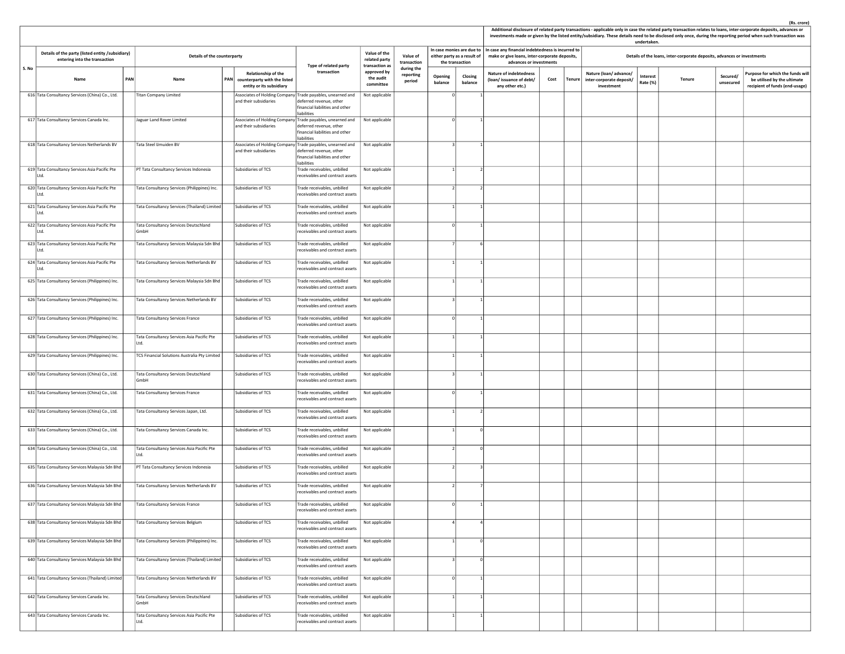|                                                                                                                                                                                                      |                                                                                                            |  |                                                                                        |            |                                                                                 |                                                                                                                                         |                                                         |                                   |                    |                                                                             |                                                                                                                               |      |                                                                        | undertaken.          | Additional disclosure of related party transactions - applicable only in case the related party transaction relates to loans, inter-corporate deposits, advances or<br>investments made or given by the listed entity/subsidiary. These details need to be disclosed only once, during the reporting period when such transaction was |                                                                                                  |
|------------------------------------------------------------------------------------------------------------------------------------------------------------------------------------------------------|------------------------------------------------------------------------------------------------------------|--|----------------------------------------------------------------------------------------|------------|---------------------------------------------------------------------------------|-----------------------------------------------------------------------------------------------------------------------------------------|---------------------------------------------------------|-----------------------------------|--------------------|-----------------------------------------------------------------------------|-------------------------------------------------------------------------------------------------------------------------------|------|------------------------------------------------------------------------|----------------------|---------------------------------------------------------------------------------------------------------------------------------------------------------------------------------------------------------------------------------------------------------------------------------------------------------------------------------------|--------------------------------------------------------------------------------------------------|
| Details of the party (listed entity /subsidiary)<br>entering into the transaction<br>S. No<br>PAN<br>Name<br>Name<br>616 Tata Consultancy Services (China) Co., Ltd.<br><b>Titan Company Limited</b> |                                                                                                            |  | Details of the counterparty                                                            |            |                                                                                 |                                                                                                                                         | Value of the<br>related party                           | Value of<br>transaction           |                    | In case monies are due to<br>either party as a result of<br>the transaction | In case any financial indebtedness is incurred to<br>make or give loans, inter-corporate deposits,<br>advances or investments |      |                                                                        |                      | Details of the loans, inter-corporate deposits, advances or investments                                                                                                                                                                                                                                                               |                                                                                                  |
|                                                                                                                                                                                                      |                                                                                                            |  |                                                                                        | <b>PAN</b> | Relationship of the<br>counterparty with the listed<br>entity or its subsidiary | Type of related party<br>transaction                                                                                                    | transaction as<br>approved by<br>the audit<br>committee | during the<br>reporting<br>period | Opening<br>balance | Closing<br>balance                                                          | <b>Nature of indebtedness</b><br>(loan/issuance of debt/<br>any other etc.)                                                   | Cost | Nature (loan/advance/<br>Tenure inter-corporate deposit/<br>investment | Interest<br>Rate (%) | Secured/<br><b>Tenure</b><br>unsecured                                                                                                                                                                                                                                                                                                | urpose for which the funds will<br>be utilised by the ultimate<br>recipient of funds (end-usage) |
|                                                                                                                                                                                                      |                                                                                                            |  |                                                                                        |            | and their subsidiaries                                                          | Associates of Holding Company Trade payables, unearned and<br>leferred revenue, other<br>financial liabilities and other<br>liabilities | Not applicable                                          |                                   |                    |                                                                             |                                                                                                                               |      |                                                                        |                      |                                                                                                                                                                                                                                                                                                                                       |                                                                                                  |
|                                                                                                                                                                                                      | 617 Tata Consultancy Services Canada Inc.                                                                  |  | Jaguar Land Rover Limited                                                              |            | and their subsidiaries                                                          | Associates of Holding Company Trade payables, unearned and<br>deferred revenue, other<br>financial liabilities and other<br>liabilities | Not applicable                                          |                                   |                    |                                                                             |                                                                                                                               |      |                                                                        |                      |                                                                                                                                                                                                                                                                                                                                       |                                                                                                  |
|                                                                                                                                                                                                      | 618 Tata Consultancy Services Netherlands BV                                                               |  | Tata Steel IJmuiden BV                                                                 |            | and their subsidiaries                                                          | Associates of Holding Company Trade payables, unearned and<br>deferred revenue, other<br>financial liabilities and other<br>liabilities | Not applicable                                          |                                   |                    |                                                                             |                                                                                                                               |      |                                                                        |                      |                                                                                                                                                                                                                                                                                                                                       |                                                                                                  |
|                                                                                                                                                                                                      | 619 Tata Consultancy Services Asia Pacific Pte<br>Ltd.                                                     |  | PT Tata Consultancy Services Indonesia                                                 |            | Subsidiaries of TCS                                                             | Trade receivables, unbilled<br>receivables and contract assets                                                                          | Not applicable                                          |                                   |                    |                                                                             |                                                                                                                               |      |                                                                        |                      |                                                                                                                                                                                                                                                                                                                                       |                                                                                                  |
|                                                                                                                                                                                                      | 620 Tata Consultancy Services Asia Pacific Pte<br>Ltd.                                                     |  | Tata Consultancy Services (Philippines) Inc.                                           |            | Subsidiaries of TCS                                                             | Frade receivables, unbilled<br>receivables and contract assets                                                                          | Not applicable                                          |                                   |                    |                                                                             |                                                                                                                               |      |                                                                        |                      |                                                                                                                                                                                                                                                                                                                                       |                                                                                                  |
|                                                                                                                                                                                                      | 621 Tata Consultancy Services Asia Pacific Pte<br>Ltd.                                                     |  | Tata Consultancy Services (Thailand) Limited                                           |            | Subsidiaries of TCS                                                             | Trade receivables, unbilled<br>receivables and contract assets                                                                          | Not applicable                                          |                                   |                    |                                                                             |                                                                                                                               |      |                                                                        |                      |                                                                                                                                                                                                                                                                                                                                       |                                                                                                  |
|                                                                                                                                                                                                      | 622 Tata Consultancy Services Asia Pacific Pte<br>Ltd.                                                     |  | Tata Consultancy Services Deutschland<br>GmbH                                          |            | Subsidiaries of TCS                                                             | Trade receivables, unbilled<br>receivables and contract assets                                                                          | Not applicable                                          |                                   |                    |                                                                             |                                                                                                                               |      |                                                                        |                      |                                                                                                                                                                                                                                                                                                                                       |                                                                                                  |
|                                                                                                                                                                                                      | 623 Tata Consultancy Services Asia Pacific Pte<br>Ltd.                                                     |  | Tata Consultancy Services Malaysia Sdn Bhd                                             |            | Subsidiaries of TCS                                                             | Trade receivables, unbilled<br>receivables and contract assets                                                                          | Not applicable                                          |                                   |                    |                                                                             |                                                                                                                               |      |                                                                        |                      |                                                                                                                                                                                                                                                                                                                                       |                                                                                                  |
|                                                                                                                                                                                                      | 624 Tata Consultancy Services Asia Pacific Pte<br>Ltd.<br>625 Tata Consultancy Services (Philippines) Inc. |  | Tata Consultancy Services Netherlands BV<br>Tata Consultancy Services Malaysia Sdn Bhd |            | Subsidiaries of TCS<br>Subsidiaries of TCS                                      | Trade receivables, unbilled<br>receivables and contract assets<br>Trade receivables, unbilled                                           | Not applicable<br>Not applicable                        |                                   |                    |                                                                             |                                                                                                                               |      |                                                                        |                      |                                                                                                                                                                                                                                                                                                                                       |                                                                                                  |
|                                                                                                                                                                                                      | 626 Tata Consultancy Services (Philippines) Inc.                                                           |  | Tata Consultancy Services Netherlands BV                                               |            | Subsidiaries of TCS                                                             | receivables and contract assets<br>Frade receivables, unbilled                                                                          | Not applicable                                          |                                   |                    |                                                                             |                                                                                                                               |      |                                                                        |                      |                                                                                                                                                                                                                                                                                                                                       |                                                                                                  |
|                                                                                                                                                                                                      | 627 Tata Consultancy Services (Philippines) Inc.                                                           |  | <b>Tata Consultancy Services France</b>                                                |            | Subsidiaries of TCS                                                             | receivables and contract assets<br>Trade receivables, unbilled                                                                          | Not applicable                                          |                                   |                    |                                                                             |                                                                                                                               |      |                                                                        |                      |                                                                                                                                                                                                                                                                                                                                       |                                                                                                  |
|                                                                                                                                                                                                      | 628 Tata Consultancy Services (Philippines) Inc.                                                           |  | Tata Consultancy Services Asia Pacific Pte                                             |            | Subsidiaries of TCS                                                             | receivables and contract assets<br>Frade receivables, unbilled                                                                          | Not applicable                                          |                                   |                    |                                                                             |                                                                                                                               |      |                                                                        |                      |                                                                                                                                                                                                                                                                                                                                       |                                                                                                  |
|                                                                                                                                                                                                      | 629 Tata Consultancy Services (Philippines) Inc.                                                           |  | Ltd.<br>TCS Financial Solutions Australia Pty Limited                                  |            | Subsidiaries of TCS                                                             | receivables and contract assets<br>Trade receivables, unbilled                                                                          | Not applicable                                          |                                   |                    |                                                                             |                                                                                                                               |      |                                                                        |                      |                                                                                                                                                                                                                                                                                                                                       |                                                                                                  |
|                                                                                                                                                                                                      | 630 Tata Consultancy Services (China) Co., Ltd.                                                            |  | Tata Consultancy Services Deutschland                                                  |            | Subsidiaries of TCS                                                             | receivables and contract assets<br>Frade receivables, unbilled                                                                          | Not applicable                                          |                                   |                    |                                                                             |                                                                                                                               |      |                                                                        |                      |                                                                                                                                                                                                                                                                                                                                       |                                                                                                  |
|                                                                                                                                                                                                      | 631 Tata Consultancy Services (China) Co., Ltd.                                                            |  | GmbH<br>Tata Consultancy Services France                                               |            | Subsidiaries of TCS                                                             | receivables and contract assets<br>Trade receivables, unbilled                                                                          | Not applicable                                          |                                   |                    |                                                                             |                                                                                                                               |      |                                                                        |                      |                                                                                                                                                                                                                                                                                                                                       |                                                                                                  |
|                                                                                                                                                                                                      | 632 Tata Consultancy Services (China) Co., Ltd.                                                            |  | Tata Consultancy Services Japan, Ltd.                                                  |            | Subsidiaries of TCS                                                             | receivables and contract assets<br>Trade receivables, unbilled                                                                          | Not applicable                                          |                                   |                    |                                                                             |                                                                                                                               |      |                                                                        |                      |                                                                                                                                                                                                                                                                                                                                       |                                                                                                  |
|                                                                                                                                                                                                      | 633 Tata Consultancy Services (China) Co., Ltd.                                                            |  | Tata Consultancy Services Canada Inc.                                                  |            | Subsidiaries of TCS                                                             | receivables and contract assets<br>Trade receivables, unbilled                                                                          | Not applicable                                          |                                   |                    |                                                                             |                                                                                                                               |      |                                                                        |                      |                                                                                                                                                                                                                                                                                                                                       |                                                                                                  |
|                                                                                                                                                                                                      | 634 Tata Consultancy Services (China) Co., Ltd.                                                            |  | Tata Consultancy Services Asia Pacific Pte<br>Ltd.                                     |            | Subsidiaries of TCS                                                             | receivables and contract assets<br>Trade receivables, unbilled                                                                          | Not applicable                                          |                                   |                    |                                                                             |                                                                                                                               |      |                                                                        |                      |                                                                                                                                                                                                                                                                                                                                       |                                                                                                  |
|                                                                                                                                                                                                      | 635 Tata Consultancy Services Malaysia Sdn Bhd                                                             |  | PT Tata Consultancy Services Indonesia                                                 |            | Subsidiaries of TCS                                                             | receivables and contract assets<br>Frade receivables, unbilled<br>receivables and contract assets                                       | Not applicable                                          |                                   |                    |                                                                             |                                                                                                                               |      |                                                                        |                      |                                                                                                                                                                                                                                                                                                                                       |                                                                                                  |
|                                                                                                                                                                                                      | 636 Tata Consultancy Services Malaysia Sdn Bhd                                                             |  | Tata Consultancy Services Netherlands BV                                               |            | Subsidiaries of TCS                                                             | Trade receivables, unbilled<br>receivables and contract assets                                                                          | Not applicable                                          |                                   |                    |                                                                             |                                                                                                                               |      |                                                                        |                      |                                                                                                                                                                                                                                                                                                                                       |                                                                                                  |
|                                                                                                                                                                                                      | 637 Tata Consultancy Services Malaysia Sdn Bhd                                                             |  | <b>Tata Consultancy Services France</b>                                                |            | Subsidiaries of TCS                                                             | Trade receivables, unbilled<br>receivables and contract assets                                                                          | Not applicable                                          |                                   |                    |                                                                             |                                                                                                                               |      |                                                                        |                      |                                                                                                                                                                                                                                                                                                                                       |                                                                                                  |
|                                                                                                                                                                                                      | 638 Tata Consultancy Services Malaysia Sdn Bhd                                                             |  | Tata Consultancy Services Belgium                                                      |            | Subsidiaries of TCS                                                             | Frade receivables, unbilled<br>receivables and contract assets                                                                          | Not applicable                                          |                                   |                    |                                                                             |                                                                                                                               |      |                                                                        |                      |                                                                                                                                                                                                                                                                                                                                       |                                                                                                  |
|                                                                                                                                                                                                      | 639 Tata Consultancy Services Malaysia Sdn Bhd                                                             |  | Tata Consultancy Services (Philippines) Inc.                                           |            | Subsidiaries of TCS                                                             | Frade receivables, unbilled<br>receivables and contract assets                                                                          | Not applicable                                          |                                   |                    |                                                                             |                                                                                                                               |      |                                                                        |                      |                                                                                                                                                                                                                                                                                                                                       |                                                                                                  |
|                                                                                                                                                                                                      | 640 Tata Consultancy Services Malaysia Sdn Bhd                                                             |  | Tata Consultancy Services (Thailand) Limited                                           |            | Subsidiaries of TCS                                                             | Frade receivables, unbilled<br>receivables and contract assets                                                                          | Not applicable                                          |                                   |                    |                                                                             |                                                                                                                               |      |                                                                        |                      |                                                                                                                                                                                                                                                                                                                                       |                                                                                                  |
|                                                                                                                                                                                                      | 641 Tata Consultancy Services (Thailand) Limited                                                           |  | Tata Consultancy Services Netherlands BV                                               |            | Subsidiaries of TCS                                                             | Trade receivables, unbilled<br>receivables and contract assets                                                                          | Not applicable                                          |                                   |                    |                                                                             |                                                                                                                               |      |                                                                        |                      |                                                                                                                                                                                                                                                                                                                                       |                                                                                                  |
|                                                                                                                                                                                                      | 642 Tata Consultancy Services Canada Inc.                                                                  |  | Tata Consultancy Services Deutschland<br>GmbH                                          |            | Subsidiaries of TCS                                                             | Trade receivables, unbilled<br>receivables and contract assets                                                                          | Not applicable                                          |                                   |                    |                                                                             |                                                                                                                               |      |                                                                        |                      |                                                                                                                                                                                                                                                                                                                                       |                                                                                                  |
|                                                                                                                                                                                                      | 643 Tata Consultancy Services Canada Inc.                                                                  |  | Tata Consultancy Services Asia Pacific Pte<br>Ltd                                      |            | Subsidiaries of TCS                                                             | Trade receivables, unbilled<br>receivables and contract assets                                                                          | Not applicable                                          |                                   |                    |                                                                             |                                                                                                                               |      |                                                                        |                      |                                                                                                                                                                                                                                                                                                                                       |                                                                                                  |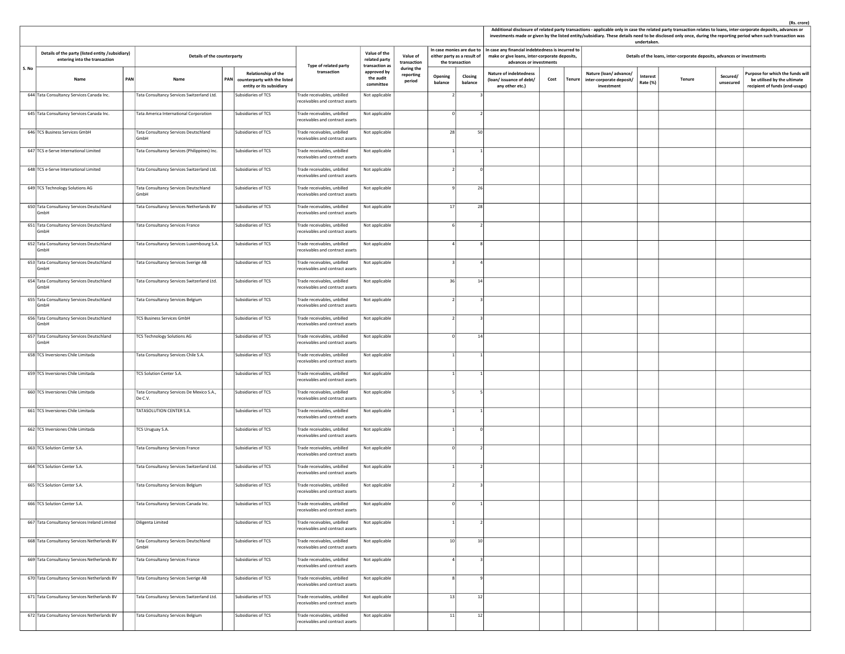|       |                                                                                   |     |                                                      |                                                                                     |                                                                |                                                         |                                   |                    |                                                                             |                                                                                                                               |      |               |                                                                 | undertaken.          |                                                                         |                       | Additional disclosure of related party transactions - applicable only in case the related party transaction relates to loans, inter-corporate deposits, advances or<br>investments made or given by the listed entity/subsidiary. These details need to be disclosed only once, during the reporting period when such transaction was |
|-------|-----------------------------------------------------------------------------------|-----|------------------------------------------------------|-------------------------------------------------------------------------------------|----------------------------------------------------------------|---------------------------------------------------------|-----------------------------------|--------------------|-----------------------------------------------------------------------------|-------------------------------------------------------------------------------------------------------------------------------|------|---------------|-----------------------------------------------------------------|----------------------|-------------------------------------------------------------------------|-----------------------|---------------------------------------------------------------------------------------------------------------------------------------------------------------------------------------------------------------------------------------------------------------------------------------------------------------------------------------|
|       | Details of the party (listed entity /subsidiary)<br>entering into the transaction |     | Details of the counterparty                          |                                                                                     |                                                                | Value of the<br>related party                           | Value of<br>transaction           |                    | In case monies are due to<br>either party as a result of<br>the transaction | In case any financial indebtedness is incurred to<br>make or give loans, inter-corporate deposits,<br>advances or investments |      |               |                                                                 |                      | Details of the loans, inter-corporate deposits, advances or investments |                       |                                                                                                                                                                                                                                                                                                                                       |
| S. No | Name                                                                              | PAN | Name                                                 | Relationship of the<br>PAN counterparty with the listed<br>entity or its subsidiary | Type of related party<br>transaction                           | transaction as<br>approved by<br>the audit<br>committee | during the<br>reporting<br>period | Opening<br>balance | Closing<br>balance                                                          | <b>Nature of indebtedness</b><br>(loan/issuance of debt/<br>any other etc.)                                                   | Cost | <b>Tenure</b> | Nature (loan/advance/<br>inter-corporate deposit/<br>investment | Interest<br>Rate (%) | Tenure                                                                  | Secured/<br>unsecured | Purpose for which the funds will<br>be utilised by the ultimate<br>recipient of funds (end-usage)                                                                                                                                                                                                                                     |
|       | 644 Tata Consultancy Services Canada Inc.                                         |     | Tata Consultancy Services Switzerland Ltd.           | Subsidiaries of TCS                                                                 | Trade receivables, unbilled<br>receivables and contract assets | Not applicable                                          |                                   |                    |                                                                             |                                                                                                                               |      |               |                                                                 |                      |                                                                         |                       |                                                                                                                                                                                                                                                                                                                                       |
|       | 645 Tata Consultancy Services Canada Inc.                                         |     | Tata America International Corporation               | Subsidiaries of TCS                                                                 | Trade receivables, unbilled<br>receivables and contract assets | Not applicable                                          |                                   |                    |                                                                             |                                                                                                                               |      |               |                                                                 |                      |                                                                         |                       |                                                                                                                                                                                                                                                                                                                                       |
|       | 646 TCS Business Services GmbH                                                    |     | Tata Consultancy Services Deutschland<br>GmbH        | Subsidiaries of TCS                                                                 | Trade receivables, unbilled<br>receivables and contract assets | Not applicable                                          |                                   | 28                 | 50                                                                          |                                                                                                                               |      |               |                                                                 |                      |                                                                         |                       |                                                                                                                                                                                                                                                                                                                                       |
|       | 647 TCS e-Serve International Limited                                             |     | Tata Consultancy Services (Philippines) Inc.         | Subsidiaries of TCS                                                                 | Trade receivables, unbilled<br>receivables and contract assets | Not applicable                                          |                                   |                    |                                                                             |                                                                                                                               |      |               |                                                                 |                      |                                                                         |                       |                                                                                                                                                                                                                                                                                                                                       |
|       | 648 TCS e-Serve International Limited                                             |     | Tata Consultancy Services Switzerland Ltd.           | Subsidiaries of TCS                                                                 | Trade receivables, unbilled<br>receivables and contract assets | Not applicable                                          |                                   |                    |                                                                             |                                                                                                                               |      |               |                                                                 |                      |                                                                         |                       |                                                                                                                                                                                                                                                                                                                                       |
|       | 649 TCS Technology Solutions AG                                                   |     | Tata Consultancy Services Deutschland<br>GmbH        | Subsidiaries of TCS                                                                 | Trade receivables, unbilled<br>receivables and contract assets | Not applicable                                          |                                   |                    | 26                                                                          |                                                                                                                               |      |               |                                                                 |                      |                                                                         |                       |                                                                                                                                                                                                                                                                                                                                       |
|       | 650 Tata Consultancy Services Deutschland<br>GmbH                                 |     | Tata Consultancy Services Netherlands BV             | Subsidiaries of TCS                                                                 | Trade receivables, unbilled<br>receivables and contract assets | Not applicable                                          |                                   | 17                 | 28                                                                          |                                                                                                                               |      |               |                                                                 |                      |                                                                         |                       |                                                                                                                                                                                                                                                                                                                                       |
|       | 651 Tata Consultancy Services Deutschland<br>GmbH                                 |     | Tata Consultancy Services France                     | Subsidiaries of TCS                                                                 | rade receivables, unbilled<br>eceivables and contract assets   | Not applicable                                          |                                   |                    |                                                                             |                                                                                                                               |      |               |                                                                 |                      |                                                                         |                       |                                                                                                                                                                                                                                                                                                                                       |
|       | 652 Tata Consultancy Services Deutschland<br>GmbH                                 |     | Tata Consultancy Services Luxembourg S.A.            | Subsidiaries of TCS                                                                 | Trade receivables, unbilled<br>receivables and contract assets | Not applicable                                          |                                   |                    |                                                                             |                                                                                                                               |      |               |                                                                 |                      |                                                                         |                       |                                                                                                                                                                                                                                                                                                                                       |
|       | 653 Tata Consultancy Services Deutschland<br>GmbH                                 |     | Tata Consultancy Services Sverige AB                 | Subsidiaries of TCS                                                                 | Trade receivables, unbilled<br>receivables and contract assets | Not applicable                                          |                                   |                    |                                                                             |                                                                                                                               |      |               |                                                                 |                      |                                                                         |                       |                                                                                                                                                                                                                                                                                                                                       |
|       | 654 Tata Consultancy Services Deutschland<br>GmbH                                 |     | Tata Consultancy Services Switzerland Ltd.           | Subsidiaries of TCS                                                                 | Trade receivables, unbilled<br>receivables and contract assets | Not applicable                                          |                                   | 36                 | 14                                                                          |                                                                                                                               |      |               |                                                                 |                      |                                                                         |                       |                                                                                                                                                                                                                                                                                                                                       |
|       | 655 Tata Consultancy Services Deutschland<br>GmbH                                 |     | Tata Consultancy Services Belgium                    | Subsidiaries of TCS                                                                 | rade receivables, unbilled<br>receivables and contract assets  | Not applicable                                          |                                   |                    |                                                                             |                                                                                                                               |      |               |                                                                 |                      |                                                                         |                       |                                                                                                                                                                                                                                                                                                                                       |
|       | 656 Tata Consultancy Services Deutschland<br>GmbH                                 |     | <b>TCS Business Services GmbH</b>                    | Subsidiaries of TCS                                                                 | Trade receivables, unbilled<br>receivables and contract assets | Not applicable                                          |                                   |                    |                                                                             |                                                                                                                               |      |               |                                                                 |                      |                                                                         |                       |                                                                                                                                                                                                                                                                                                                                       |
|       | 657 Tata Consultancy Services Deutschland<br>GmbH                                 |     | <b>TCS Technology Solutions AG</b>                   | Subsidiaries of TCS                                                                 | Trade receivables, unbilled<br>receivables and contract assets | Not applicable                                          |                                   |                    | 14                                                                          |                                                                                                                               |      |               |                                                                 |                      |                                                                         |                       |                                                                                                                                                                                                                                                                                                                                       |
|       | 658 TCS Inversiones Chile Limitada                                                |     | Tata Consultancy Services Chile S.A.                 | Subsidiaries of TCS                                                                 | Trade receivables, unbilled<br>receivables and contract assets | Not applicable                                          |                                   |                    |                                                                             |                                                                                                                               |      |               |                                                                 |                      |                                                                         |                       |                                                                                                                                                                                                                                                                                                                                       |
|       | 659 TCS Inversiones Chile Limitada                                                |     | TCS Solution Center S.A.                             | Subsidiaries of TCS                                                                 | Trade receivables, unbilled<br>receivables and contract assets | Not applicable                                          |                                   |                    |                                                                             |                                                                                                                               |      |               |                                                                 |                      |                                                                         |                       |                                                                                                                                                                                                                                                                                                                                       |
|       | 660 TCS Inversiones Chile Limitada                                                |     | Tata Consultancy Services De Mexico S.A.,<br>De C.V. | Subsidiaries of TCS                                                                 | Trade receivables, unbilled<br>receivables and contract assets | Not applicable                                          |                                   |                    |                                                                             |                                                                                                                               |      |               |                                                                 |                      |                                                                         |                       |                                                                                                                                                                                                                                                                                                                                       |
|       | 661 TCS Inversiones Chile Limitada                                                |     | TATASOLUTION CENTER S.A.                             | Subsidiaries of TCS                                                                 | Trade receivables, unbilled<br>eceivables and contract assets  | Not applicable                                          |                                   |                    |                                                                             |                                                                                                                               |      |               |                                                                 |                      |                                                                         |                       |                                                                                                                                                                                                                                                                                                                                       |
|       | 662 TCS Inversiones Chile Limitada                                                |     | TCS Uruguay S.A.                                     | Subsidiaries of TCS                                                                 | Trade receivables, unbilled<br>receivables and contract assets | Not applicable                                          |                                   |                    | n                                                                           |                                                                                                                               |      |               |                                                                 |                      |                                                                         |                       |                                                                                                                                                                                                                                                                                                                                       |
|       | 663 TCS Solution Center S.A.                                                      |     | Tata Consultancy Services France                     | Subsidiaries of TCS                                                                 | Trade receivables, unbilled<br>receivables and contract assets | Not applicable                                          |                                   |                    |                                                                             |                                                                                                                               |      |               |                                                                 |                      |                                                                         |                       |                                                                                                                                                                                                                                                                                                                                       |
|       | 664 TCS Solution Center S.A.                                                      |     | Tata Consultancy Services Switzerland Ltd.           | Subsidiaries of TCS                                                                 | Trade receivables, unbilled<br>receivables and contract assets | Not applicable                                          |                                   |                    |                                                                             |                                                                                                                               |      |               |                                                                 |                      |                                                                         |                       |                                                                                                                                                                                                                                                                                                                                       |
|       | 665 TCS Solution Center S.A.                                                      |     | Tata Consultancy Services Belgium                    | Subsidiaries of TCS                                                                 | Trade receivables, unbilled<br>receivables and contract assets | Not applicable                                          |                                   |                    |                                                                             |                                                                                                                               |      |               |                                                                 |                      |                                                                         |                       |                                                                                                                                                                                                                                                                                                                                       |
|       | 666 TCS Solution Center S.A.                                                      |     | Tata Consultancy Services Canada Inc.                | Subsidiaries of TCS                                                                 | Trade receivables, unbilled<br>receivables and contract assets | Not applicable                                          |                                   | $\circ$            |                                                                             |                                                                                                                               |      |               |                                                                 |                      |                                                                         |                       |                                                                                                                                                                                                                                                                                                                                       |
|       | 667 Tata Consultancy Services Ireland Limited                                     |     | Diligenta Limited                                    | Subsidiaries of TCS                                                                 | Trade receivables, unbilled<br>receivables and contract assets | Not applicable                                          |                                   |                    |                                                                             |                                                                                                                               |      |               |                                                                 |                      |                                                                         |                       |                                                                                                                                                                                                                                                                                                                                       |
|       | 668 Tata Consultancy Services Netherlands BV                                      |     | Tata Consultancy Services Deutschland<br>GmbH        | Subsidiaries of TCS                                                                 | Trade receivables, unbilled<br>receivables and contract assets | Not applicable                                          |                                   | 10                 | 10 <sup>1</sup>                                                             |                                                                                                                               |      |               |                                                                 |                      |                                                                         |                       |                                                                                                                                                                                                                                                                                                                                       |
|       | 669 Tata Consultancy Services Netherlands BV                                      |     | Tata Consultancy Services France                     | Subsidiaries of TCS                                                                 | Trade receivables, unbilled<br>receivables and contract assets | Not applicable                                          |                                   |                    |                                                                             |                                                                                                                               |      |               |                                                                 |                      |                                                                         |                       |                                                                                                                                                                                                                                                                                                                                       |
|       | 670 Tata Consultancy Services Netherlands BV                                      |     | Tata Consultancy Services Sverige AB                 | Subsidiaries of TCS                                                                 | Trade receivables, unbilled<br>receivables and contract assets | Not applicable                                          |                                   |                    |                                                                             |                                                                                                                               |      |               |                                                                 |                      |                                                                         |                       |                                                                                                                                                                                                                                                                                                                                       |
|       | 671 Tata Consultancy Services Netherlands BV                                      |     | Tata Consultancy Services Switzerland Ltd.           | Subsidiaries of TCS                                                                 | Trade receivables, unbilled<br>receivables and contract assets | Not applicable                                          |                                   | 13                 | 12                                                                          |                                                                                                                               |      |               |                                                                 |                      |                                                                         |                       |                                                                                                                                                                                                                                                                                                                                       |
|       | 672 Tata Consultancy Services Netherlands BV                                      |     | Tata Consultancy Services Belgium                    | Subsidiaries of TCS                                                                 | Trade receivables, unbilled<br>receivables and contract assets | Not applicable                                          |                                   | 11                 | 12                                                                          |                                                                                                                               |      |               |                                                                 |                      |                                                                         |                       |                                                                                                                                                                                                                                                                                                                                       |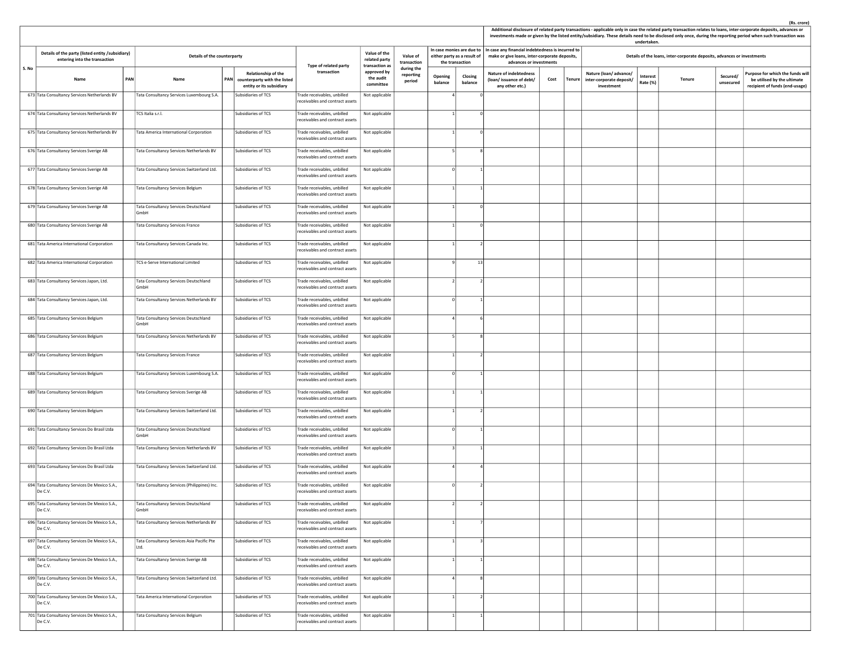|      |                                                                                   |                                                    |                                                     |                                                                                     |                                                                |                                                 |                                   |                    |                                                                             |                                                                                                                               |      |        |                                                                 | undertaken.                 |                                                                         |                       | Additional disclosure of related party transactions - applicable only in case the related party transaction relates to loans, inter-corporate deposits, advances or<br>investments made or given by the listed entity/subsidiary. These details need to be disclosed only once, during the reporting period when such transaction was |
|------|-----------------------------------------------------------------------------------|----------------------------------------------------|-----------------------------------------------------|-------------------------------------------------------------------------------------|----------------------------------------------------------------|-------------------------------------------------|-----------------------------------|--------------------|-----------------------------------------------------------------------------|-------------------------------------------------------------------------------------------------------------------------------|------|--------|-----------------------------------------------------------------|-----------------------------|-------------------------------------------------------------------------|-----------------------|---------------------------------------------------------------------------------------------------------------------------------------------------------------------------------------------------------------------------------------------------------------------------------------------------------------------------------------|
|      | Details of the party (listed entity /subsidiary)<br>entering into the transaction | Details of the counterparty<br>PAN<br>Name<br>Name |                                                     |                                                                                     | Type of related party                                          | Value of the<br>related party<br>transaction as | Value of<br>transaction           |                    | In case monies are due to<br>either party as a result of<br>the transaction | In case any financial indebtedness is incurred to<br>make or give loans, inter-corporate deposits,<br>advances or investments |      |        |                                                                 |                             | Details of the loans, inter-corporate deposits, advances or investments |                       |                                                                                                                                                                                                                                                                                                                                       |
| S.No |                                                                                   |                                                    |                                                     | Relationship of the<br>PAN counterparty with the listed<br>entity or its subsidiary | transaction                                                    | approved by<br>the audit<br>committee           | during the<br>reporting<br>period | Opening<br>balance | Closing<br>balance                                                          | <b>Nature of indebtedness</b><br>(loan/issuance of debt/<br>any other etc.)                                                   | Cost | Tenure | Nature (loan/advance/<br>inter-corporate deposit/<br>investment | <b>Interest</b><br>Rate (%) | Tenure                                                                  | Secured/<br>unsecured | Purpose for which the funds wil<br>be utilised by the ultimate<br>recipient of funds (end-usage)                                                                                                                                                                                                                                      |
|      | 673 Tata Consultancy Services Netherlands BV                                      |                                                    | Tata Consultancy Services Luxembourg S.A.           | Subsidiaries of TCS                                                                 | Trade receivables, unbilled<br>receivables and contract assets | Not applicable                                  |                                   |                    |                                                                             |                                                                                                                               |      |        |                                                                 |                             |                                                                         |                       |                                                                                                                                                                                                                                                                                                                                       |
|      | 674 Tata Consultancy Services Netherlands BV                                      |                                                    | TCS Italia s.r.l.                                   | Subsidiaries of TCS                                                                 | Trade receivables, unbilled<br>receivables and contract assets | Not applicable                                  |                                   |                    |                                                                             |                                                                                                                               |      |        |                                                                 |                             |                                                                         |                       |                                                                                                                                                                                                                                                                                                                                       |
|      | 675 Tata Consultancy Services Netherlands BV                                      |                                                    | Tata America International Corporation              | Subsidiaries of TCS                                                                 | Frade receivables, unbilled<br>receivables and contract assets | Not applicable                                  |                                   |                    |                                                                             |                                                                                                                               |      |        |                                                                 |                             |                                                                         |                       |                                                                                                                                                                                                                                                                                                                                       |
|      | 676 Tata Consultancy Services Sverige AB                                          |                                                    | Tata Consultancy Services Netherlands BV            | Subsidiaries of TCS                                                                 | Trade receivables, unbilled<br>receivables and contract assets | Not applicable                                  |                                   |                    |                                                                             |                                                                                                                               |      |        |                                                                 |                             |                                                                         |                       |                                                                                                                                                                                                                                                                                                                                       |
|      | 677 Tata Consultancy Services Sverige AB                                          |                                                    | Tata Consultancy Services Switzerland Ltd.          | Subsidiaries of TCS                                                                 | Trade receivables, unbilled<br>receivables and contract assets | Not applicable                                  |                                   |                    |                                                                             |                                                                                                                               |      |        |                                                                 |                             |                                                                         |                       |                                                                                                                                                                                                                                                                                                                                       |
|      | 678 Tata Consultancy Services Sverige AB                                          |                                                    | Tata Consultancy Services Belgium                   | Subsidiaries of TCS                                                                 | Trade receivables, unbilled<br>receivables and contract assets | Not applicable                                  |                                   |                    |                                                                             |                                                                                                                               |      |        |                                                                 |                             |                                                                         |                       |                                                                                                                                                                                                                                                                                                                                       |
|      | 679 Tata Consultancy Services Sverige AB                                          |                                                    | Tata Consultancy Services Deutschland<br>GmbH       | Subsidiaries of TCS                                                                 | Trade receivables, unbilled<br>receivables and contract assets | Not applicable                                  |                                   |                    | $\Omega$                                                                    |                                                                                                                               |      |        |                                                                 |                             |                                                                         |                       |                                                                                                                                                                                                                                                                                                                                       |
|      | 680 Tata Consultancy Services Sverige AB                                          |                                                    | Tata Consultancy Services France                    | Subsidiaries of TCS                                                                 | Frade receivables, unbilled<br>receivables and contract assets | Not applicable                                  |                                   |                    |                                                                             |                                                                                                                               |      |        |                                                                 |                             |                                                                         |                       |                                                                                                                                                                                                                                                                                                                                       |
|      | 681 Tata America International Corporation                                        |                                                    | Tata Consultancy Services Canada Inc.               | Subsidiaries of TCS                                                                 | Trade receivables, unbilled<br>receivables and contract assets | Not applicable                                  |                                   |                    |                                                                             |                                                                                                                               |      |        |                                                                 |                             |                                                                         |                       |                                                                                                                                                                                                                                                                                                                                       |
|      | 682 Tata America International Corporation                                        |                                                    | TCS e-Serve International Limited                   | Subsidiaries of TCS                                                                 | Trade receivables, unbilled<br>eceivables and contract assets  | Not applicable                                  |                                   |                    | 13                                                                          |                                                                                                                               |      |        |                                                                 |                             |                                                                         |                       |                                                                                                                                                                                                                                                                                                                                       |
|      | 683 Tata Consultancy Services Japan, Ltd.                                         |                                                    | Tata Consultancy Services Deutschland<br>GmbH       | Subsidiaries of TCS                                                                 | Trade receivables, unbilled<br>receivables and contract assets | Not applicable                                  |                                   |                    |                                                                             |                                                                                                                               |      |        |                                                                 |                             |                                                                         |                       |                                                                                                                                                                                                                                                                                                                                       |
|      | 684 Tata Consultancy Services Japan, Ltd.                                         |                                                    | Tata Consultancy Services Netherlands BV            | Subsidiaries of TCS                                                                 | Frade receivables, unbilled<br>receivables and contract assets | Not applicable                                  |                                   |                    |                                                                             |                                                                                                                               |      |        |                                                                 |                             |                                                                         |                       |                                                                                                                                                                                                                                                                                                                                       |
|      | 685 Tata Consultancy Services Belgium                                             |                                                    | Tata Consultancy Services Deutschland<br>GmbH       | Subsidiaries of TCS                                                                 | Trade receivables, unbilled<br>receivables and contract assets | Not applicable                                  |                                   |                    |                                                                             |                                                                                                                               |      |        |                                                                 |                             |                                                                         |                       |                                                                                                                                                                                                                                                                                                                                       |
|      | 686 Tata Consultancy Services Belgium                                             |                                                    | Tata Consultancy Services Netherlands BV            | Subsidiaries of TCS                                                                 | Trade receivables, unbilled<br>receivables and contract assets | Not applicable                                  |                                   |                    |                                                                             |                                                                                                                               |      |        |                                                                 |                             |                                                                         |                       |                                                                                                                                                                                                                                                                                                                                       |
|      | 687 Tata Consultancy Services Belgium                                             |                                                    | <b>Tata Consultancy Services France</b>             | Subsidiaries of TCS                                                                 | Trade receivables, unbilled<br>receivables and contract assets | Not applicable                                  |                                   |                    |                                                                             |                                                                                                                               |      |        |                                                                 |                             |                                                                         |                       |                                                                                                                                                                                                                                                                                                                                       |
|      | 688 Tata Consultancy Services Belgium                                             |                                                    | Tata Consultancy Services Luxembourg S.A.           | Subsidiaries of TCS                                                                 | Trade receivables, unbilled<br>receivables and contract assets | Not applicable                                  |                                   |                    |                                                                             |                                                                                                                               |      |        |                                                                 |                             |                                                                         |                       |                                                                                                                                                                                                                                                                                                                                       |
|      | 689 Tata Consultancy Services Belgium                                             |                                                    | Tata Consultancy Services Sverige AB                | Subsidiaries of TCS                                                                 | Trade receivables, unbilled<br>receivables and contract assets | Not applicable                                  |                                   |                    |                                                                             |                                                                                                                               |      |        |                                                                 |                             |                                                                         |                       |                                                                                                                                                                                                                                                                                                                                       |
|      | 690 Tata Consultancy Services Belgium                                             |                                                    | Tata Consultancy Services Switzerland Ltd.          | Subsidiaries of TCS                                                                 | Frade receivables, unbilled<br>receivables and contract assets | Not applicable                                  |                                   |                    |                                                                             |                                                                                                                               |      |        |                                                                 |                             |                                                                         |                       |                                                                                                                                                                                                                                                                                                                                       |
|      | 691 Tata Consultancy Services Do Brasil Ltda                                      |                                                    | Tata Consultancy Services Deutschland<br>GmbH       | Subsidiaries of TCS                                                                 | Trade receivables, unbilled<br>receivables and contract assets | Not applicable                                  |                                   |                    |                                                                             |                                                                                                                               |      |        |                                                                 |                             |                                                                         |                       |                                                                                                                                                                                                                                                                                                                                       |
|      | 692 Tata Consultancy Services Do Brasil Ltda                                      |                                                    | Tata Consultancy Services Netherlands BV            | Subsidiaries of TCS                                                                 | Trade receivables, unbilled<br>receivables and contract assets | Not applicable                                  |                                   |                    |                                                                             |                                                                                                                               |      |        |                                                                 |                             |                                                                         |                       |                                                                                                                                                                                                                                                                                                                                       |
|      | 693 Tata Consultancy Services Do Brasil Ltda                                      |                                                    | Tata Consultancy Services Switzerland Ltd.          | Subsidiaries of TCS                                                                 | Trade receivables, unbilled<br>receivables and contract assets | Not applicable                                  |                                   |                    |                                                                             |                                                                                                                               |      |        |                                                                 |                             |                                                                         |                       |                                                                                                                                                                                                                                                                                                                                       |
|      | 694 Tata Consultancy Services De Mexico S.A.,<br>De C.V.                          |                                                    | Tata Consultancy Services (Philippines) Inc.        | Subsidiaries of TCS                                                                 | Trade receivables, unbilled<br>receivables and contract assets | Not applicable                                  |                                   |                    |                                                                             |                                                                                                                               |      |        |                                                                 |                             |                                                                         |                       |                                                                                                                                                                                                                                                                                                                                       |
|      | 695 Tata Consultancy Services De Mexico S.A.,<br>De C.V.                          |                                                    | Tata Consultancy Services Deutschland<br>GmbH       | Subsidiaries of TCS                                                                 | Trade receivables, unbilled<br>receivables and contract assets | Not applicable                                  |                                   |                    |                                                                             |                                                                                                                               |      |        |                                                                 |                             |                                                                         |                       |                                                                                                                                                                                                                                                                                                                                       |
|      | 696 Tata Consultancy Services De Mexico S.A.,<br>De C.V.                          |                                                    | Tata Consultancy Services Netherlands BV            | Subsidiaries of TCS                                                                 | Trade receivables, unbilled<br>receivables and contract assets | Not applicable                                  |                                   |                    |                                                                             |                                                                                                                               |      |        |                                                                 |                             |                                                                         |                       |                                                                                                                                                                                                                                                                                                                                       |
|      | 697 Tata Consultancy Services De Mexico S.A.,<br>De C.V.                          |                                                    | Tata Consultancy Services Asia Pacific Pte<br>litd. | Subsidiaries of TCS                                                                 | Trade receivables, unbilled<br>receivables and contract assets | Not applicable                                  |                                   |                    |                                                                             |                                                                                                                               |      |        |                                                                 |                             |                                                                         |                       |                                                                                                                                                                                                                                                                                                                                       |
|      | 698 Tata Consultancy Services De Mexico S.A.,<br>De C.V.                          |                                                    | Tata Consultancy Services Sverige AB                | Subsidiaries of TCS                                                                 | Trade receivables, unbilled<br>receivables and contract assets | Not applicable                                  |                                   |                    |                                                                             |                                                                                                                               |      |        |                                                                 |                             |                                                                         |                       |                                                                                                                                                                                                                                                                                                                                       |
|      | 699 Tata Consultancy Services De Mexico S.A.,<br>De C.V.                          |                                                    | Tata Consultancy Services Switzerland Ltd.          | Subsidiaries of TCS                                                                 | Frade receivables, unbilled<br>receivables and contract assets | Not applicable                                  |                                   |                    |                                                                             |                                                                                                                               |      |        |                                                                 |                             |                                                                         |                       |                                                                                                                                                                                                                                                                                                                                       |
|      | 700 Tata Consultancy Services De Mexico S.A.,<br>De C.V.                          |                                                    | Tata America International Corporation              | Subsidiaries of TCS                                                                 | Frade receivables, unbilled<br>receivables and contract assets | Not applicable                                  |                                   |                    |                                                                             |                                                                                                                               |      |        |                                                                 |                             |                                                                         |                       |                                                                                                                                                                                                                                                                                                                                       |
|      | 701 Tata Consultancy Services De Mexico S.A.,<br>De C.V.                          |                                                    | Tata Consultancy Services Belgium                   | Subsidiaries of TCS                                                                 | Trade receivables, unbilled<br>receivables and contract assets | Not applicable                                  |                                   |                    |                                                                             |                                                                                                                               |      |        |                                                                 |                             |                                                                         |                       |                                                                                                                                                                                                                                                                                                                                       |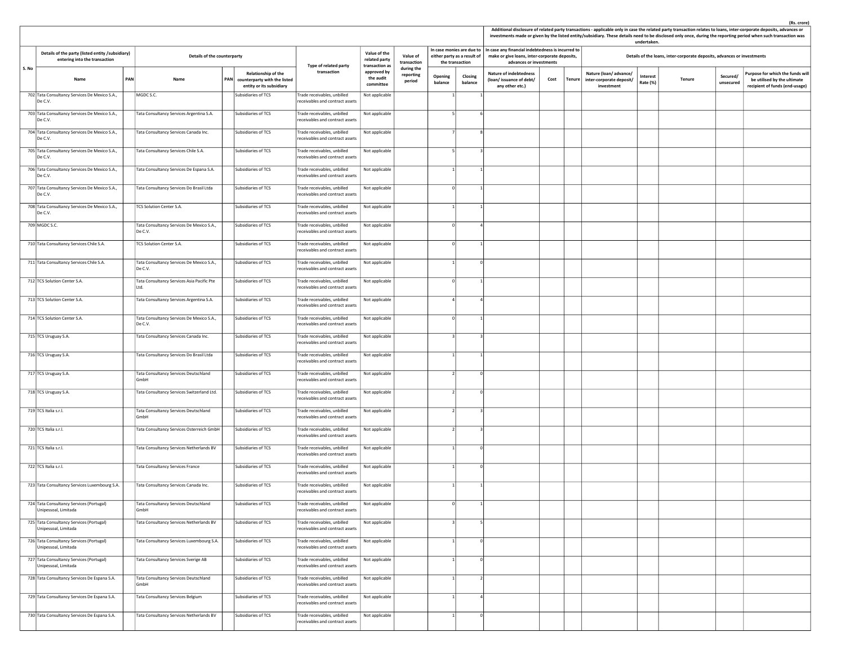|       |                                                                                   |     |                                                      |  |                                                                                     |                                                                 |                                                 |                                   |                                                                             | (Rs. crore)<br>Additional disclosure of related party transactions - applicable only in case the related party transaction relates to loans, inter-corporate deposits, advances or<br>investments made or given by the listed entity/subsidiary. These details need to be disclosed only once, during the reporting period when such transaction was<br>undertaken. |                                                                                                                               |      |        |                                                                         |                      |        |                       |                                                                                                   |
|-------|-----------------------------------------------------------------------------------|-----|------------------------------------------------------|--|-------------------------------------------------------------------------------------|-----------------------------------------------------------------|-------------------------------------------------|-----------------------------------|-----------------------------------------------------------------------------|---------------------------------------------------------------------------------------------------------------------------------------------------------------------------------------------------------------------------------------------------------------------------------------------------------------------------------------------------------------------|-------------------------------------------------------------------------------------------------------------------------------|------|--------|-------------------------------------------------------------------------|----------------------|--------|-----------------------|---------------------------------------------------------------------------------------------------|
|       | Details of the party (listed entity /subsidiary)<br>entering into the transaction |     | Details of the counterparty                          |  |                                                                                     | Type of related party                                           | Value of the<br>related party<br>transaction as | Value of<br>transaction           | In case monies are due to<br>either party as a result of<br>the transaction |                                                                                                                                                                                                                                                                                                                                                                     | In case any financial indebtedness is incurred to<br>make or give loans, inter-corporate deposits,<br>advances or investments |      |        | Details of the loans, inter-corporate deposits, advances or investments |                      |        |                       |                                                                                                   |
| S. No | Name                                                                              | PAN | Name                                                 |  | Relationship of the<br>PAN counterparty with the listed<br>entity or its subsidiary | transaction                                                     | approved by<br>the audit<br>committee           | during the<br>reporting<br>period | Opening<br>balance                                                          | Closing<br>balance                                                                                                                                                                                                                                                                                                                                                  | <b>Nature of indebtedness</b><br>(loan/issuance of debt/<br>any other etc.)                                                   | Cost | Tenure | Nature (loan/advance/<br>inter-corporate deposit/<br>investment         | Interest<br>Rate (%) | Tenure | Secured/<br>unsecured | Purpose for which the funds will<br>be utilised by the ultimate<br>recipient of funds (end-usage) |
|       | 702 Tata Consultancy Services De Mexico S.A.,<br>De C.V.                          |     | MGDC S.C.                                            |  | Subsidiaries of TCS                                                                 | Trade receivables, unbilled<br>receivables and contract assets  | Not applicable                                  |                                   |                                                                             |                                                                                                                                                                                                                                                                                                                                                                     |                                                                                                                               |      |        |                                                                         |                      |        |                       |                                                                                                   |
|       | 703 Tata Consultancy Services De Mexico S.A.,<br>De C.V.                          |     | Tata Consultancy Services Argentina S.A.             |  | Subsidiaries of TCS                                                                 | rade receivables, unbilled<br>receivables and contract assets   | Not applicable                                  |                                   |                                                                             |                                                                                                                                                                                                                                                                                                                                                                     |                                                                                                                               |      |        |                                                                         |                      |        |                       |                                                                                                   |
|       | 704 Tata Consultancy Services De Mexico S.A.,<br>De C.V.                          |     | Tata Consultancy Services Canada Inc.                |  | Subsidiaries of TCS                                                                 | Trade receivables, unbilled<br>receivables and contract assets  | Not applicable                                  |                                   |                                                                             |                                                                                                                                                                                                                                                                                                                                                                     |                                                                                                                               |      |        |                                                                         |                      |        |                       |                                                                                                   |
|       | 705 Tata Consultancy Services De Mexico S.A.,<br>De C.V.                          |     | Tata Consultancy Services Chile S.A.                 |  | Subsidiaries of TCS                                                                 | Trade receivables, unbilled<br>eceivables and contract assets   | Not applicable                                  |                                   |                                                                             |                                                                                                                                                                                                                                                                                                                                                                     |                                                                                                                               |      |        |                                                                         |                      |        |                       |                                                                                                   |
|       | 706 Tata Consultancy Services De Mexico S.A.,<br>De C.V.                          |     | Tata Consultancy Services De Espana S.A.             |  | Subsidiaries of TCS                                                                 | Trade receivables, unbilled<br>receivables and contract assets  | Not applicable                                  |                                   |                                                                             |                                                                                                                                                                                                                                                                                                                                                                     |                                                                                                                               |      |        |                                                                         |                      |        |                       |                                                                                                   |
|       | 707 Tata Consultancy Services De Mexico S.A.,<br>De C.V.                          |     | Tata Consultancy Services Do Brasil Ltda             |  | Subsidiaries of TCS                                                                 | Trade receivables, unbilled<br>receivables and contract assets  | Not applicable                                  |                                   |                                                                             |                                                                                                                                                                                                                                                                                                                                                                     |                                                                                                                               |      |        |                                                                         |                      |        |                       |                                                                                                   |
|       | 708 Tata Consultancy Services De Mexico S.A.,<br>De C.V.                          |     | TCS Solution Center S.A.                             |  | Subsidiaries of TCS                                                                 | rade receivables, unbilled<br>receivables and contract assets   | Not applicable                                  |                                   |                                                                             |                                                                                                                                                                                                                                                                                                                                                                     |                                                                                                                               |      |        |                                                                         |                      |        |                       |                                                                                                   |
|       | 709 MGDC S.C.                                                                     |     | Tata Consultancy Services De Mexico S.A.,<br>De C.V. |  | Subsidiaries of TCS                                                                 | Trade receivables, unbilled<br>receivables and contract assets  | Not applicable                                  |                                   |                                                                             |                                                                                                                                                                                                                                                                                                                                                                     |                                                                                                                               |      |        |                                                                         |                      |        |                       |                                                                                                   |
|       | 710 Tata Consultancy Services Chile S.A.                                          |     | TCS Solution Center S.A.                             |  | Subsidiaries of TCS                                                                 | rade receivables, unbilled<br>eceivables and contract assets    | Not applicable                                  |                                   |                                                                             |                                                                                                                                                                                                                                                                                                                                                                     |                                                                                                                               |      |        |                                                                         |                      |        |                       |                                                                                                   |
|       | 711 Tata Consultancy Services Chile S.A.                                          |     | Tata Consultancy Services De Mexico S.A.,<br>De C.V. |  | Subsidiaries of TCS                                                                 | Trade receivables, unbilled<br>receivables and contract assets  | Not applicable                                  |                                   |                                                                             |                                                                                                                                                                                                                                                                                                                                                                     |                                                                                                                               |      |        |                                                                         |                      |        |                       |                                                                                                   |
|       | 712 TCS Solution Center S.A.                                                      |     | Tata Consultancy Services Asia Pacific Pte<br>l td.  |  | Subsidiaries of TCS                                                                 | Trade receivables, unbilled<br>receivables and contract assets. | Not applicable                                  |                                   |                                                                             |                                                                                                                                                                                                                                                                                                                                                                     |                                                                                                                               |      |        |                                                                         |                      |        |                       |                                                                                                   |
|       | 713 TCS Solution Center S.A.                                                      |     | Tata Consultancy Services Argentina S.A.             |  | Subsidiaries of TCS                                                                 | Trade receivables, unbilled<br>receivables and contract assets  | Not applicable                                  |                                   |                                                                             |                                                                                                                                                                                                                                                                                                                                                                     |                                                                                                                               |      |        |                                                                         |                      |        |                       |                                                                                                   |
|       | 714 TCS Solution Center S.A.                                                      |     | Tata Consultancy Services De Mexico S.A.,<br>De C.V. |  | Subsidiaries of TCS                                                                 | rade receivables, unbilled<br>receivables and contract assets   | Not applicable                                  |                                   |                                                                             |                                                                                                                                                                                                                                                                                                                                                                     |                                                                                                                               |      |        |                                                                         |                      |        |                       |                                                                                                   |
|       | 715 TCS Uruguay S.A.                                                              |     | Tata Consultancy Services Canada Inc.                |  | Subsidiaries of TCS                                                                 | Frade receivables, unbilled<br>eceivables and contract assets   | Not applicable                                  |                                   |                                                                             |                                                                                                                                                                                                                                                                                                                                                                     |                                                                                                                               |      |        |                                                                         |                      |        |                       |                                                                                                   |
|       | 716 TCS Uruguay S.A.                                                              |     | Tata Consultancy Services Do Brasil Ltda             |  | Subsidiaries of TCS                                                                 | Trade receivables, unbilled<br>receivables and contract assets  | Not applicable                                  |                                   |                                                                             |                                                                                                                                                                                                                                                                                                                                                                     |                                                                                                                               |      |        |                                                                         |                      |        |                       |                                                                                                   |
|       | 717 TCS Uruguay S.A.                                                              |     | Tata Consultancy Services Deutschland<br>GmbH        |  | Subsidiaries of TCS                                                                 | Trade receivables, unbilled<br>receivables and contract assets  | Not applicable                                  |                                   |                                                                             |                                                                                                                                                                                                                                                                                                                                                                     |                                                                                                                               |      |        |                                                                         |                      |        |                       |                                                                                                   |
|       | 718 TCS Uruguay S.A.                                                              |     | Tata Consultancy Services Switzerland Ltd.           |  | Subsidiaries of TCS                                                                 | rade receivables, unbilled<br>receivables and contract assets   | Not applicable                                  |                                   |                                                                             |                                                                                                                                                                                                                                                                                                                                                                     |                                                                                                                               |      |        |                                                                         |                      |        |                       |                                                                                                   |
|       | 719 TCS Italia s.r.l.                                                             |     | Tata Consultancy Services Deutschland<br><b>GmbH</b> |  | Subsidiaries of TCS                                                                 | Trade receivables, unbilled<br>receivables and contract assets  | Not applicable                                  |                                   |                                                                             |                                                                                                                                                                                                                                                                                                                                                                     |                                                                                                                               |      |        |                                                                         |                      |        |                       |                                                                                                   |
|       | 720 TCS Italia s.r.l.                                                             |     | Tata Consultancy Services Osterreich GmbH            |  | Subsidiaries of TCS                                                                 | rade receivables, unbilled<br>eceivables and contract assets    | Not applicable                                  |                                   |                                                                             |                                                                                                                                                                                                                                                                                                                                                                     |                                                                                                                               |      |        |                                                                         |                      |        |                       |                                                                                                   |
|       | 721 TCS Italia s.r.l.                                                             |     | Tata Consultancy Services Netherlands BV             |  | Subsidiaries of TCS                                                                 | Trade receivables, unbilled<br>eceivables and contract assets   | Not applicable                                  |                                   |                                                                             | $\Omega$                                                                                                                                                                                                                                                                                                                                                            |                                                                                                                               |      |        |                                                                         |                      |        |                       |                                                                                                   |
|       | 722 TCS Italia s.r.l.                                                             |     | Tata Consultancy Services France                     |  | Subsidiaries of TCS                                                                 | Trade receivables, unbilled<br>receivables and contract assets  | Not applicable                                  |                                   |                                                                             | $\Omega$                                                                                                                                                                                                                                                                                                                                                            |                                                                                                                               |      |        |                                                                         |                      |        |                       |                                                                                                   |
|       | 723 Tata Consultancy Services Luxembourg S.A.                                     |     | Tata Consultancy Services Canada Inc.                |  | Subsidiaries of TCS                                                                 | Trade receivables, unbilled<br>receivables and contract assets  | Not applicable                                  |                                   |                                                                             |                                                                                                                                                                                                                                                                                                                                                                     |                                                                                                                               |      |        |                                                                         |                      |        |                       |                                                                                                   |
|       | 724 Tata Consultancy Services (Portugal)<br>Unipessoal, Limitada                  |     | Tata Consultancy Services Deutschland<br><b>GmbH</b> |  | Subsidiaries of TCS                                                                 | rade receivables, unbilled<br>receivables and contract assets   | Not applicable                                  |                                   |                                                                             |                                                                                                                                                                                                                                                                                                                                                                     |                                                                                                                               |      |        |                                                                         |                      |        |                       |                                                                                                   |
|       | 725 Tata Consultancy Services (Portugal)<br>Unipessoal, Limitada                  |     | Tata Consultancy Services Netherlands BV             |  | Subsidiaries of TCS                                                                 | Trade receivables, unbilled<br>receivables and contract assets  | Not applicable                                  |                                   |                                                                             |                                                                                                                                                                                                                                                                                                                                                                     |                                                                                                                               |      |        |                                                                         |                      |        |                       |                                                                                                   |
|       | 726 Tata Consultancy Services (Portugal)<br>Unipessoal, Limitada                  |     | Tata Consultancy Services Luxembourg S.A.            |  | Subsidiaries of TCS                                                                 | Trade receivables, unbilled<br>receivables and contract assets  | Not applicable                                  |                                   |                                                                             | $\Omega$                                                                                                                                                                                                                                                                                                                                                            |                                                                                                                               |      |        |                                                                         |                      |        |                       |                                                                                                   |
|       | 727 Tata Consultancy Services (Portugal)<br>Unipessoal, Limitada                  |     | Tata Consultancy Services Sverige AB                 |  | Subsidiaries of TCS                                                                 | Trade receivables, unbilled<br>receivables and contract assets  | Not applicable                                  |                                   |                                                                             |                                                                                                                                                                                                                                                                                                                                                                     |                                                                                                                               |      |        |                                                                         |                      |        |                       |                                                                                                   |
|       | 728 Tata Consultancy Services De Espana S.A.                                      |     | Tata Consultancy Services Deutschland<br>GmbH        |  | Subsidiaries of TCS                                                                 | Trade receivables, unbilled<br>receivables and contract assets  | Not applicable                                  |                                   |                                                                             |                                                                                                                                                                                                                                                                                                                                                                     |                                                                                                                               |      |        |                                                                         |                      |        |                       |                                                                                                   |
|       | 729 Tata Consultancy Services De Espana S.A.                                      |     | Tata Consultancy Services Belgium                    |  | Subsidiaries of TCS                                                                 | Trade receivables, unbilled<br>receivables and contract assets  | Not applicable                                  |                                   |                                                                             |                                                                                                                                                                                                                                                                                                                                                                     |                                                                                                                               |      |        |                                                                         |                      |        |                       |                                                                                                   |
|       | 730 Tata Consultancy Services De Espana S.A.                                      |     | Tata Consultancy Services Netherlands BV             |  | Subsidiaries of TCS                                                                 | Trade receivables, unbilled<br>eceivables and contract assets   | Not applicable                                  |                                   |                                                                             |                                                                                                                                                                                                                                                                                                                                                                     |                                                                                                                               |      |        |                                                                         |                      |        |                       |                                                                                                   |